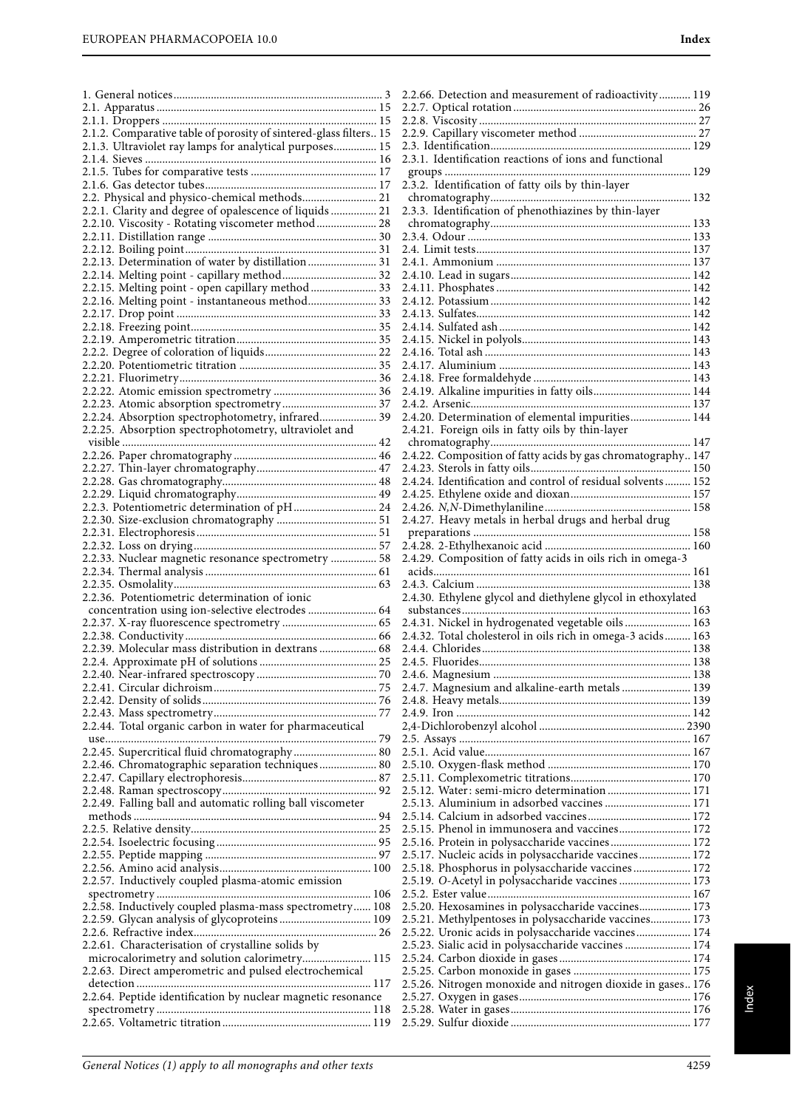1. General notices......................................................................... 3 2.1. Apparatus ............................................................................. 15

|                                                                   | 2.2.8. Visc   |
|-------------------------------------------------------------------|---------------|
| 2.1.2. Comparative table of porosity of sintered-glass filters 15 | 2.2.9. Cap    |
| 2.1.3. Ultraviolet ray lamps for analytical purposes 15           | 2.3. Identi   |
|                                                                   | 2.3.1. Ider   |
|                                                                   | groups        |
|                                                                   | 2.3.2. Idea   |
|                                                                   |               |
| 2.2. Physical and physico-chemical methods 21                     | chromato      |
| 2.2.1. Clarity and degree of opalescence of liquids  21           | 2.3.3. Ider   |
| 2.2.10. Viscosity - Rotating viscometer method  28                | chromato      |
|                                                                   | 2.3.4. Odc    |
|                                                                   | 2.4. Limit    |
| 2.2.13. Determination of water by distillation  31                | 2.4.1. Amı    |
| 2.2.14. Melting point - capillary method 32                       | 2.4.10. Lea   |
| 2.2.15. Melting point - open capillary method  33                 | 2.4.11. Ph    |
|                                                                   |               |
| 2.2.16. Melting point - instantaneous method 33                   | 2.4.12. Pot   |
|                                                                   | 2.4.13. Sul   |
|                                                                   | 2.4.14. Sul   |
|                                                                   | 2.4.15. Nio   |
|                                                                   | 2.4.16. Tot   |
|                                                                   | 2.4.17. Al    |
|                                                                   | 2.4.18. Fre   |
|                                                                   | 2.4.19. All   |
|                                                                   | 2.4.2. Arse   |
|                                                                   |               |
| 2.2.24. Absorption spectrophotometry, infrared 39                 | 2.4.20. De    |
| 2.2.25. Absorption spectrophotometry, ultraviolet and             | 2.4.21. Fo    |
|                                                                   | chromato      |
|                                                                   | 2.4.22. Co    |
|                                                                   | 2.4.23. Ste   |
|                                                                   | 2.4.24. Ide   |
|                                                                   | 2.4.25. Eth   |
| 2.2.3. Potentiometric determination of pH 24                      | 2.4.26. N, l  |
|                                                                   |               |
|                                                                   | 2.4.27. He    |
|                                                                   | preparati     |
|                                                                   | 2.4.28. 2-E   |
| 2.2.33. Nuclear magnetic resonance spectrometry  58               | 2.4.29. Co    |
|                                                                   | acids…….      |
|                                                                   | 2.4.3. Calc   |
| 2.2.36. Potentiometric determination of ionic                     | 2.4.30. Eth   |
| concentration using ion-selective electrodes  64                  | substanc      |
|                                                                   | 2.4.31. Nio   |
|                                                                   | 2.4.32. Tot   |
| 2.2.39. Molecular mass distribution in dextrans  68               |               |
|                                                                   | 2.4.4. Chlo   |
|                                                                   | 2.4.5. Fluc   |
|                                                                   | 2.4.6. Mag    |
|                                                                   | 2.4.7. Mag    |
|                                                                   | 2.4.8. Hea    |
|                                                                   | 2.4.9. Iron   |
| 2.2.44. Total organic carbon in water for pharmaceutical          | 2,4-Dichlo    |
|                                                                   | 2.5. Assay    |
| 2.2.45. Supercritical fluid chromatography 80                     | 2.5.1. Acid   |
|                                                                   | 2.5.10. Ox    |
| 2.2.46. Chromatographic separation techniques 80                  |               |
|                                                                   | 2.5.11. Co    |
|                                                                   | 2.5.12. Wa    |
| 2.2.49. Falling ball and automatic rolling ball viscometer        | 2.5.13. Alu   |
|                                                                   | 2.5.14. Ca    |
|                                                                   | 2.5.15. Ph    |
|                                                                   | 2.5.16. Pro   |
|                                                                   | 2.5.17. Nu    |
|                                                                   | 2.5.18. Ph    |
| 2.2.57. Inductively coupled plasma-atomic emission                | $2.5.19. O -$ |
|                                                                   |               |
|                                                                   | 2.5.2. Este   |
| 2.2.58. Inductively coupled plasma-mass spectrometry 108          | 2.5.20. He    |
|                                                                   | 2.5.21. Me    |
|                                                                   | 2.5.22. Ure   |
| 2.2.61. Characterisation of crystalline solids by                 | 2.5.23. Sia   |
| microcalorimetry and solution calorimetry 115                     | 2.5.24. Ca    |
| 2.2.63. Direct amperometric and pulsed electrochemical            | 2.5.25. Ca    |
|                                                                   |               |
|                                                                   | 2.5.26. Nit   |

| 2.2.66. Detection and measurement of radioactivity 119                                                     |
|------------------------------------------------------------------------------------------------------------|
|                                                                                                            |
|                                                                                                            |
|                                                                                                            |
|                                                                                                            |
| 2.3.1. Identification reactions of ions and functional                                                     |
|                                                                                                            |
| 2.3.2. Identification of fatty oils by thin-layer                                                          |
| 2.3.3. Identification of phenothiazines by thin-layer                                                      |
|                                                                                                            |
|                                                                                                            |
|                                                                                                            |
|                                                                                                            |
|                                                                                                            |
|                                                                                                            |
|                                                                                                            |
|                                                                                                            |
|                                                                                                            |
|                                                                                                            |
|                                                                                                            |
|                                                                                                            |
| 2.4.19. Alkaline impurities in fatty oils 144                                                              |
|                                                                                                            |
| 2.4.20. Determination of elemental impurities 144                                                          |
|                                                                                                            |
| 2.4.22. Composition of fatty acids by gas chromatography 147                                               |
|                                                                                                            |
| 2.4.24. Identification and control of residual solvents 152                                                |
|                                                                                                            |
|                                                                                                            |
| 2.4.27. Heavy metals in herbal drugs and herbal drug                                                       |
|                                                                                                            |
| 2.4.29. Composition of fatty acids in oils rich in omega-3                                                 |
|                                                                                                            |
|                                                                                                            |
| 2.4.30. Ethylene glycol and diethylene glycol in ethoxylated                                               |
|                                                                                                            |
|                                                                                                            |
| 2.4.31. Nickel in hydrogenated vegetable oils  163                                                         |
| 2.4.32. Total cholesterol in oils rich in omega-3 acids 163                                                |
|                                                                                                            |
|                                                                                                            |
|                                                                                                            |
| 2.4.7. Magnesium and alkaline-earth metals  139                                                            |
|                                                                                                            |
|                                                                                                            |
|                                                                                                            |
|                                                                                                            |
|                                                                                                            |
|                                                                                                            |
| 2.5.12. Water: semi-micro determination  171                                                               |
| 2.5.13. Aluminium in adsorbed vaccines  171                                                                |
| 2.5.15. Phenol in immunosera and vaccines 172                                                              |
| 2.5.16. Protein in polysaccharide vaccines 172                                                             |
| 2.5.17. Nucleic acids in polysaccharide vaccines 172                                                       |
| 2.5.18. Phosphorus in polysaccharide vaccines 172                                                          |
| 2.5.19. O-Acetyl in polysaccharide vaccines  173                                                           |
|                                                                                                            |
| 2.5.20. Hexosamines in polysaccharide vaccines 173                                                         |
| 2.5.21. Methylpentoses in polysaccharide vaccines 173                                                      |
| 2.5.22. Uronic acids in polysaccharide vaccines 174<br>2.5.23. Sialic acid in polysaccharide vaccines  174 |
|                                                                                                            |
|                                                                                                            |
| 2.5.26. Nitrogen monoxide and nitrogen dioxide in gases 176                                                |
|                                                                                                            |
|                                                                                                            |

2.2.64. Peptide identification by nuclear magnetic resonance spectrometry ........................................................................... 118 2.2.65. Voltametric titration .................................................... 119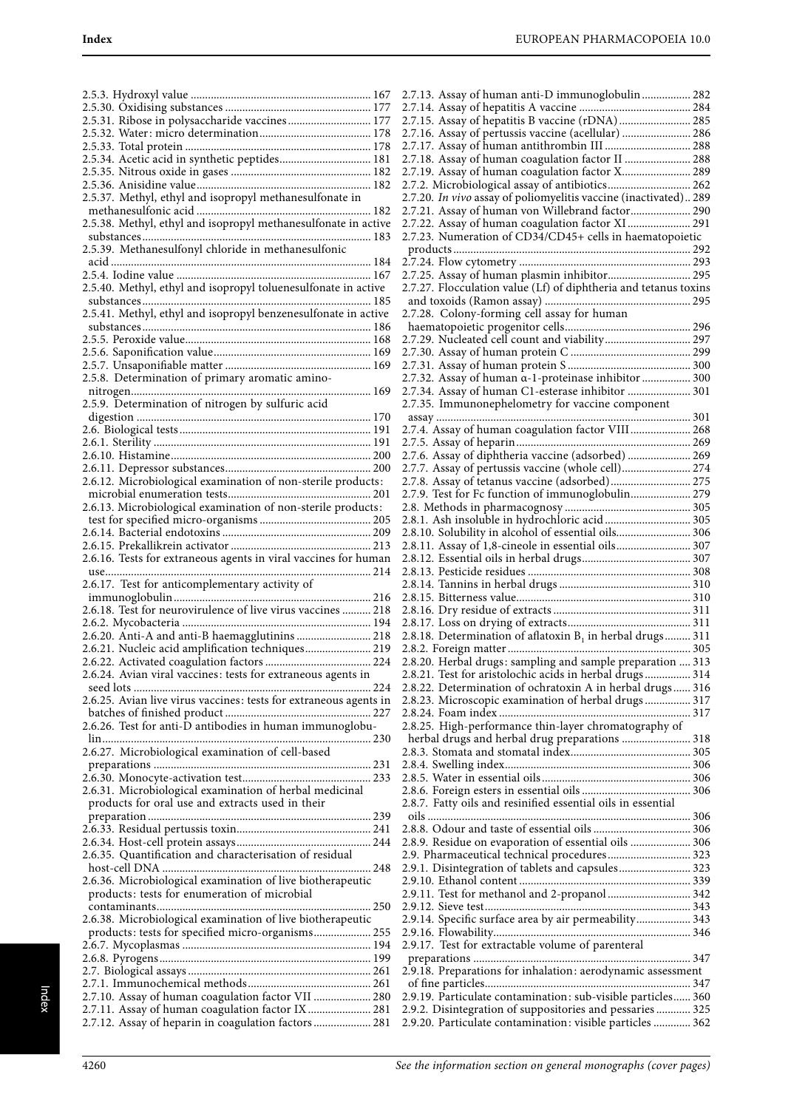| 2.5.31. Ribose in polysaccharide vaccines 177                                                          |
|--------------------------------------------------------------------------------------------------------|
|                                                                                                        |
| 2.5.34. Acetic acid in synthetic peptides 181                                                          |
|                                                                                                        |
|                                                                                                        |
| 2.5.37. Methyl, ethyl and isopropyl methanesulfonate in                                                |
|                                                                                                        |
| 2.5.38. Methyl, ethyl and isopropyl methanesulfonate in active                                         |
| 2.5.39. Methanesulfonyl chloride in methanesulfonic                                                    |
|                                                                                                        |
|                                                                                                        |
| 2.5.40. Methyl, ethyl and isopropyl toluenesulfonate in active                                         |
| 2.5.41. Methyl, ethyl and isopropyl benzenesulfonate in active                                         |
|                                                                                                        |
|                                                                                                        |
|                                                                                                        |
|                                                                                                        |
| 2.5.8. Determination of primary aromatic amino-                                                        |
|                                                                                                        |
| 2.5.9. Determination of nitrogen by sulfuric acid                                                      |
|                                                                                                        |
|                                                                                                        |
|                                                                                                        |
|                                                                                                        |
| 2.6.12. Microbiological examination of non-sterile products:                                           |
|                                                                                                        |
| 2.6.13. Microbiological examination of non-sterile products:                                           |
|                                                                                                        |
|                                                                                                        |
| 2.6.16. Tests for extraneous agents in viral vaccines for human                                        |
|                                                                                                        |
|                                                                                                        |
| 2.6.17. Test for anticomplementary activity of                                                         |
|                                                                                                        |
| 2.6.18. Test for neurovirulence of live virus vaccines  218                                            |
|                                                                                                        |
| 2.6.20. Anti-A and anti-B haemagglutinins  218                                                         |
| 2.6.21. Nucleic acid amplification techniques 219                                                      |
| 2.6.24. Avian viral vaccines: tests for extraneous agents in                                           |
|                                                                                                        |
| 2.6.25. Avian live virus vaccines: tests for extraneous agents in                                      |
|                                                                                                        |
| 2.6.26. Test for anti-D antibodies in human immunoglobu-                                               |
| 2.6.27. Microbiological examination of cell-based                                                      |
|                                                                                                        |
|                                                                                                        |
| 2.6.31. Microbiological examination of herbal medicinal                                                |
| products for oral use and extracts used in their                                                       |
|                                                                                                        |
|                                                                                                        |
| 2.6.35. Quantification and characterisation of residual                                                |
|                                                                                                        |
| 2.6.36. Microbiological examination of live biotherapeutic                                             |
| products: tests for enumeration of microbial                                                           |
|                                                                                                        |
| 2.6.38. Microbiological examination of live biotherapeutic                                             |
| products: tests for specified micro-organisms 255                                                      |
|                                                                                                        |
|                                                                                                        |
|                                                                                                        |
| 2.7.10. Assay of human coagulation factor VII  280<br>2.7.11. Assay of human coagulation factor IX 281 |

| 2.7.13. Assay of human anti-D immunoglobulin 282                                                                                                                                                                                                                                                                                                                                                                     |  |
|----------------------------------------------------------------------------------------------------------------------------------------------------------------------------------------------------------------------------------------------------------------------------------------------------------------------------------------------------------------------------------------------------------------------|--|
|                                                                                                                                                                                                                                                                                                                                                                                                                      |  |
| 2.7.15. Assay of hepatitis B vaccine (rDNA) 285                                                                                                                                                                                                                                                                                                                                                                      |  |
| 2.7.16. Assay of pertussis vaccine (acellular)  286                                                                                                                                                                                                                                                                                                                                                                  |  |
|                                                                                                                                                                                                                                                                                                                                                                                                                      |  |
| 2.7.17. Assay of human antithrombin III  288                                                                                                                                                                                                                                                                                                                                                                         |  |
| 2.7.18. Assay of human coagulation factor II  288                                                                                                                                                                                                                                                                                                                                                                    |  |
| 2.7.19. Assay of human coagulation factor X 289                                                                                                                                                                                                                                                                                                                                                                      |  |
| 2.7.2. Microbiological assay of antibiotics 262                                                                                                                                                                                                                                                                                                                                                                      |  |
| 2.7.20. In vivo assay of poliomyelitis vaccine (inactivated) 289                                                                                                                                                                                                                                                                                                                                                     |  |
|                                                                                                                                                                                                                                                                                                                                                                                                                      |  |
| 2.7.21. Assay of human von Willebrand factor 290                                                                                                                                                                                                                                                                                                                                                                     |  |
| 2.7.22. Assay of human coagulation factor XI 291                                                                                                                                                                                                                                                                                                                                                                     |  |
| 2.7.23. Numeration of CD34/CD45+ cells in haematopoietic                                                                                                                                                                                                                                                                                                                                                             |  |
|                                                                                                                                                                                                                                                                                                                                                                                                                      |  |
|                                                                                                                                                                                                                                                                                                                                                                                                                      |  |
|                                                                                                                                                                                                                                                                                                                                                                                                                      |  |
| 2.7.25. Assay of human plasmin inhibitor 295                                                                                                                                                                                                                                                                                                                                                                         |  |
| 2.7.27. Flocculation value (Lf) of diphtheria and tetanus toxins                                                                                                                                                                                                                                                                                                                                                     |  |
|                                                                                                                                                                                                                                                                                                                                                                                                                      |  |
| 2.7.28. Colony-forming cell assay for human                                                                                                                                                                                                                                                                                                                                                                          |  |
|                                                                                                                                                                                                                                                                                                                                                                                                                      |  |
|                                                                                                                                                                                                                                                                                                                                                                                                                      |  |
| 2.7.29. Nucleated cell count and viability 297                                                                                                                                                                                                                                                                                                                                                                       |  |
|                                                                                                                                                                                                                                                                                                                                                                                                                      |  |
|                                                                                                                                                                                                                                                                                                                                                                                                                      |  |
| 2.7.32. Assay of human α-1-proteinase inhibitor  300                                                                                                                                                                                                                                                                                                                                                                 |  |
| 2.7.34. Assay of human C1-esterase inhibitor  301                                                                                                                                                                                                                                                                                                                                                                    |  |
|                                                                                                                                                                                                                                                                                                                                                                                                                      |  |
| 2.7.35. Immunonephelometry for vaccine component                                                                                                                                                                                                                                                                                                                                                                     |  |
|                                                                                                                                                                                                                                                                                                                                                                                                                      |  |
| 2.7.4. Assay of human coagulation factor VIII 268                                                                                                                                                                                                                                                                                                                                                                    |  |
|                                                                                                                                                                                                                                                                                                                                                                                                                      |  |
| 2.7.6. Assay of diphtheria vaccine (adsorbed)  269                                                                                                                                                                                                                                                                                                                                                                   |  |
|                                                                                                                                                                                                                                                                                                                                                                                                                      |  |
| 2.7.7. Assay of pertussis vaccine (whole cell) 274                                                                                                                                                                                                                                                                                                                                                                   |  |
| 2.7.8. Assay of tetanus vaccine (adsorbed) 275                                                                                                                                                                                                                                                                                                                                                                       |  |
| 2.7.9. Test for Fc function of immunoglobulin 279                                                                                                                                                                                                                                                                                                                                                                    |  |
|                                                                                                                                                                                                                                                                                                                                                                                                                      |  |
| 2.8.1. Ash insoluble in hydrochloric acid 305                                                                                                                                                                                                                                                                                                                                                                        |  |
|                                                                                                                                                                                                                                                                                                                                                                                                                      |  |
| 2.8.10. Solubility in alcohol of essential oils 306                                                                                                                                                                                                                                                                                                                                                                  |  |
| 2.8.11. Assay of 1,8-cineole in essential oils 307                                                                                                                                                                                                                                                                                                                                                                   |  |
|                                                                                                                                                                                                                                                                                                                                                                                                                      |  |
|                                                                                                                                                                                                                                                                                                                                                                                                                      |  |
|                                                                                                                                                                                                                                                                                                                                                                                                                      |  |
|                                                                                                                                                                                                                                                                                                                                                                                                                      |  |
|                                                                                                                                                                                                                                                                                                                                                                                                                      |  |
|                                                                                                                                                                                                                                                                                                                                                                                                                      |  |
|                                                                                                                                                                                                                                                                                                                                                                                                                      |  |
| 2.8.18. Determination of aflatoxin $B_1$ in herbal drugs 311                                                                                                                                                                                                                                                                                                                                                         |  |
|                                                                                                                                                                                                                                                                                                                                                                                                                      |  |
|                                                                                                                                                                                                                                                                                                                                                                                                                      |  |
| 2.8.20. Herbal drugs: sampling and sample preparation  313                                                                                                                                                                                                                                                                                                                                                           |  |
| 2.8.21. Test for aristolochic acids in herbal drugs 314                                                                                                                                                                                                                                                                                                                                                              |  |
| 2.8.22. Determination of ochratoxin A in herbal drugs 316                                                                                                                                                                                                                                                                                                                                                            |  |
| 2.8.23. Microscopic examination of herbal drugs  317                                                                                                                                                                                                                                                                                                                                                                 |  |
|                                                                                                                                                                                                                                                                                                                                                                                                                      |  |
|                                                                                                                                                                                                                                                                                                                                                                                                                      |  |
| 2.8.25. High-performance thin-layer chromatography of                                                                                                                                                                                                                                                                                                                                                                |  |
| herbal drugs and herbal drug preparations  318                                                                                                                                                                                                                                                                                                                                                                       |  |
|                                                                                                                                                                                                                                                                                                                                                                                                                      |  |
|                                                                                                                                                                                                                                                                                                                                                                                                                      |  |
|                                                                                                                                                                                                                                                                                                                                                                                                                      |  |
|                                                                                                                                                                                                                                                                                                                                                                                                                      |  |
|                                                                                                                                                                                                                                                                                                                                                                                                                      |  |
|                                                                                                                                                                                                                                                                                                                                                                                                                      |  |
|                                                                                                                                                                                                                                                                                                                                                                                                                      |  |
|                                                                                                                                                                                                                                                                                                                                                                                                                      |  |
|                                                                                                                                                                                                                                                                                                                                                                                                                      |  |
| 2.8.7. Fatty oils and resinified essential oils in essential                                                                                                                                                                                                                                                                                                                                                         |  |
|                                                                                                                                                                                                                                                                                                                                                                                                                      |  |
|                                                                                                                                                                                                                                                                                                                                                                                                                      |  |
| 2.8.9. Residue on evaporation of essential oils  306<br>2.9. Pharmaceutical technical procedures 323<br>2.9.1. Disintegration of tablets and capsules 323                                                                                                                                                                                                                                                            |  |
|                                                                                                                                                                                                                                                                                                                                                                                                                      |  |
|                                                                                                                                                                                                                                                                                                                                                                                                                      |  |
|                                                                                                                                                                                                                                                                                                                                                                                                                      |  |
|                                                                                                                                                                                                                                                                                                                                                                                                                      |  |
|                                                                                                                                                                                                                                                                                                                                                                                                                      |  |
|                                                                                                                                                                                                                                                                                                                                                                                                                      |  |
|                                                                                                                                                                                                                                                                                                                                                                                                                      |  |
|                                                                                                                                                                                                                                                                                                                                                                                                                      |  |
|                                                                                                                                                                                                                                                                                                                                                                                                                      |  |
|                                                                                                                                                                                                                                                                                                                                                                                                                      |  |
|                                                                                                                                                                                                                                                                                                                                                                                                                      |  |
|                                                                                                                                                                                                                                                                                                                                                                                                                      |  |
| 2.9.11. Test for methanol and 2-propanol  342<br>2.9.14. Specific surface area by air permeability 343<br>2.9.17. Test for extractable volume of parenteral<br>2.9.18. Preparations for inhalation: aerodynamic assessment<br>2.9.19. Particulate contamination: sub-visible particles 360<br>2.9.2. Disintegration of suppositories and pessaries  325<br>2.9.20. Particulate contamination: visible particles  362 |  |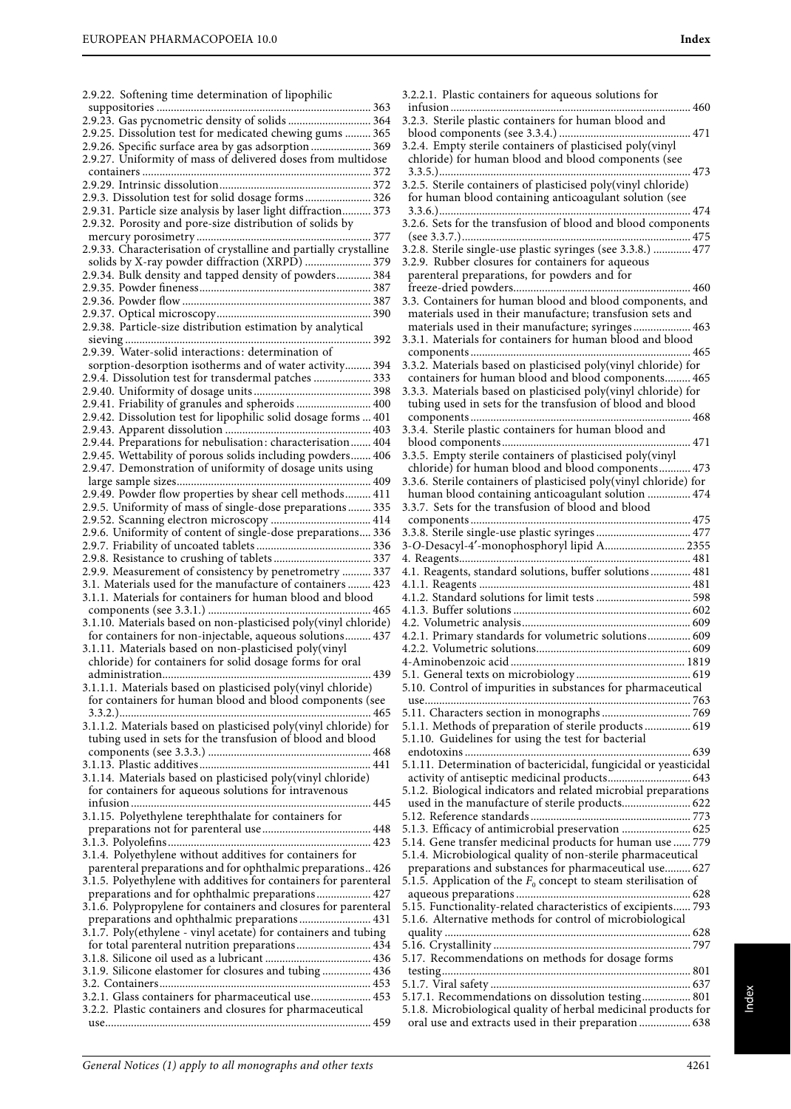2.9.22. Softening time determination of lipophilic

| 2.9.23. Gas pycnometric density of solids  364                    |
|-------------------------------------------------------------------|
| 2.9.25. Dissolution test for medicated chewing gums  365          |
| 2.9.26. Specific surface area by gas adsorption  369              |
| 2.9.27. Uniformity of mass of delivered doses from multidose      |
|                                                                   |
|                                                                   |
| 2.9.3. Dissolution test for solid dosage forms 326                |
| 2.9.31. Particle size analysis by laser light diffraction 373     |
| 2.9.32. Porosity and pore-size distribution of solids by          |
| 377                                                               |
| 2.9.33. Characterisation of crystalline and partially crystalline |
| solids by X-ray powder diffraction (XRPD)  379                    |
| 2.9.34. Bulk density and tapped density of powders 384            |
|                                                                   |
|                                                                   |
|                                                                   |
| 2.9.38. Particle-size distribution estimation by analytical       |
|                                                                   |
| 2.9.39. Water-solid interactions: determination of                |
|                                                                   |
| sorption-desorption isotherms and of water activity 394           |
| 2.9.4. Dissolution test for transdermal patches  333              |
|                                                                   |
| 2.9.41. Friability of granules and spheroids  400                 |
| 2.9.42. Dissolution test for lipophilic solid dosage forms  401   |
|                                                                   |
| 2.9.44. Preparations for nebulisation: characterisation 404       |
| 2.9.45. Wettability of porous solids including powders 406        |
| 2.9.47. Demonstration of uniformity of dosage units using         |
| 409                                                               |
| 2.9.49. Powder flow properties by shear cell methods 411          |
| 2.9.5. Uniformity of mass of single-dose preparations 335         |
| 2.9.52. Scanning electron microscopy  414                         |
| 2.9.6. Uniformity of content of single-dose preparations 336      |
|                                                                   |
|                                                                   |
|                                                                   |
|                                                                   |
| 2.9.9. Measurement of consistency by penetrometry  337            |
| 3.1. Materials used for the manufacture of containers  423        |
| 3.1.1. Materials for containers for human blood and blood         |
|                                                                   |
| 3.1.10. Materials based on non-plasticised poly(vinyl chloride)   |
| for containers for non-injectable, aqueous solutions 437          |
| 3.1.11. Materials based on non-plasticised poly(vinyl             |
| chloride) for containers for solid dosage forms for oral          |
|                                                                   |
| 3.1.1.1. Materials based on plasticised poly(vinyl chloride)      |
| for containers for human blood and blood components (see          |
| 465                                                               |
| 3.1.1.2. Materials based on plasticised poly(vinyl chloride) for  |
| tubing used in sets for the transfusion of blood and blood        |
|                                                                   |
|                                                                   |
| 3.1.14. Materials based on plasticised poly(vinyl chloride)       |
| for containers for aqueous solutions for intravenous              |
|                                                                   |
| 3.1.15. Polyethylene terephthalate for containers for             |
|                                                                   |
|                                                                   |
|                                                                   |
| 3.1.4. Polyethylene without additives for containers for          |
| parenteral preparations and for ophthalmic preparations 426       |
| 3.1.5. Polyethylene with additives for containers for parenteral  |
| preparations and for ophthalmic preparations 427                  |
| 3.1.6. Polypropylene for containers and closures for parenteral   |
| preparations and ophthalmic preparations 431                      |
| 3.1.7. Poly(ethylene - vinyl acetate) for containers and tubing   |
| for total parenteral nutrition preparations 434                   |
|                                                                   |
| 3.1.9. Silicone elastomer for closures and tubing 436             |
|                                                                   |
| 3.2.1. Glass containers for pharmaceutical use 453                |
| 3.2.2. Plastic containers and closures for pharmaceutical         |

3.2.2.1. Plastic containers for aqueous solutions for infusion .................................................................................... 460 3.2.3. Sterile plastic containers for human blood and blood components (see 3.3.4.) .............................................. 471 3.2.4. Empty sterile containers of plasticised poly(vinyl chloride) for human blood and blood components (see 3.3.5.)........................................................................................ 473 3.2.5. Sterile containers of plasticised poly(vinyl chloride) for human blood containing anticoagulant solution (see 3.3.6.)........................................................................................ 474 3.2.6. Sets for the transfusion of blood and blood components (see 3.3.7.)................................................................................ 475 3.2.8. Sterile single-use plastic syringes (see 3.3.8.) ............. 477 3.2.9. Rubber closures for containers for aqueous parenteral preparations, for powders and for freeze-dried powders.............................................................. 460 3.3. Containers for human blood and blood components, and materials used in their manufacture; transfusion sets and materials used in their manufacture; syringes .................... 463 3.3.1. Materials for containers for human blood and blood components ............................................................................. 465 3.3.2. Materials based on plasticised poly(vinyl chloride) for containers for human blood and blood components......... 465 3.3.3. Materials based on plasticised poly(vinyl chloride) for tubing used in sets for the transfusion of blood and blood components ............................................................................. 468 3.3.4. Sterile plastic containers for human blood and blood components.................................................................. 471 3.3.5. Empty sterile containers of plasticised poly(vinyl chloride) for human blood and blood components........... 473 3.3.6. Sterile containers of plasticised poly(vinyl chloride) for human blood containing anticoagulant solution ............... 474 3.3.7. Sets for the transfusion of blood and blood components ............................................................................. 475 3.3.8. Sterile single-use plastic syringes ................................. 477 3-O-Desacyl-4′-monophosphoryl lipid A............................ 2355 4. Reagents................................................................................. 481 4.1. Reagents, standard solutions, buffer solutions .............. 481 4.1.1. Reagents .......................................................................... 481 4.1.2. Standard solutions for limit tests ................................. 598 4.1.3. Buffer solutions .............................................................. 602 4.2. Volumetric analysis........................................................... 609 4.2.1. Primary standards for volumetric solutions............... 609 4.2.2. Volumetric solutions...................................................... 609 4-Aminobenzoic acid ............................................................. 1819 5.1. General texts on microbiology ........................................ 619 5.10. Control of impurities in substances for pharmaceutical use............................................................................................. 763 5.11. Characters section in monographs ............................... 769 5.1.1. Methods of preparation of sterile products ................ 619 5.1.10. Guidelines for using the test for bacterial endotoxins ............................................................................... 639 5.1.11. Determination of bactericidal, fungicidal or yeasticidal activity of antiseptic medicinal products............................. 643 5.1.2. Biological indicators and related microbial preparations used in the manufacture of sterile products........................ 622 5.12. Reference standards ........................................................ 773 5.1.3. Efficacy of antimicrobial preservation ........................ 625 5.14. Gene transfer medicinal products for human use ...... 779 5.1.4. Microbiological quality of non-sterile pharmaceutical preparations and substances for pharmaceutical use......... 627 5.1.5. Application of the  $F_0$  concept to steam sterilisation of aqueous preparations ............................................................. 628 5.15. Functionality-related characteristics of excipients...... 793 5.1.6. Alternative methods for control of microbiological quality ...................................................................................... 628 5.16. Crystallinity ..................................................................... 797 5.17. Recommendations on methods for dosage forms testing....................................................................................... 801 5.1.7. Viral safety ...................................................................... 637 5.17.1. Recommendations on dissolution testing................. 801 5.1.8. Microbiological quality of herbal medicinal products for oral use and extracts used in their preparation .................. 638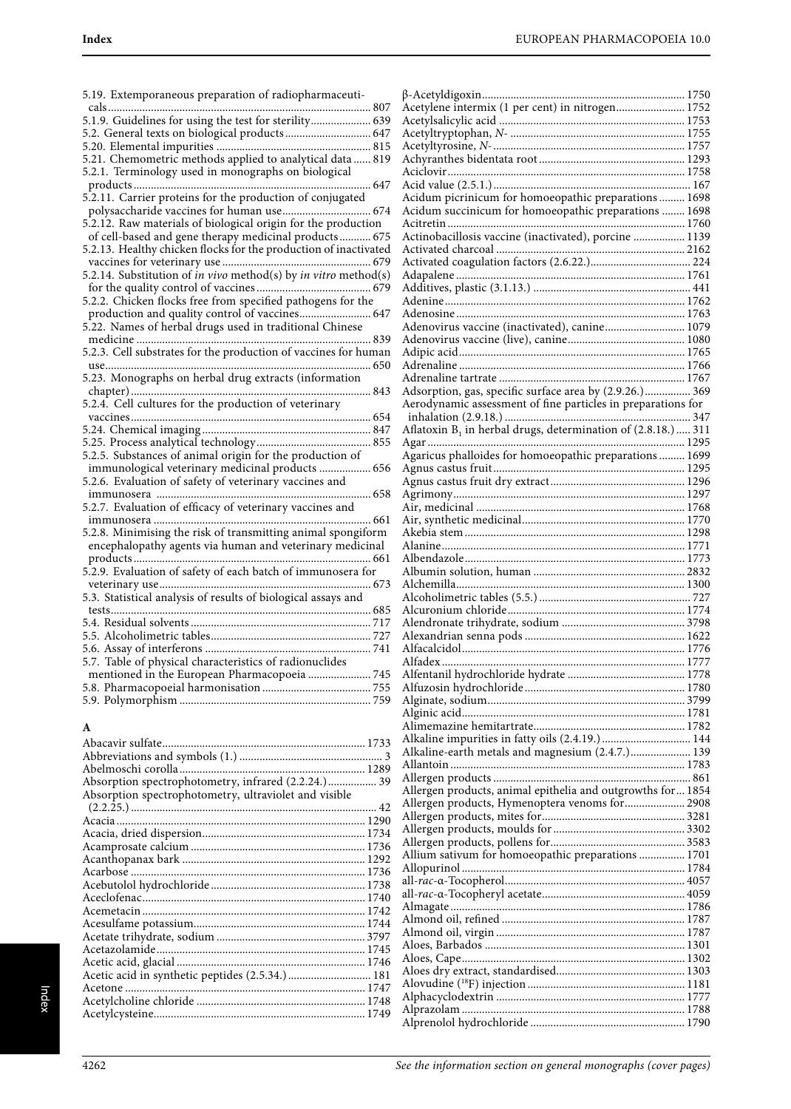| 5.19. Extemporaneous preparation of radiopharmaceuti-            | þ              |
|------------------------------------------------------------------|----------------|
|                                                                  | ŀ              |
| 5.1.9. Guidelines for using the test for sterility 639           | $\overline{1}$ |
| 5.2. General texts on biological products 647                    | I              |
|                                                                  | Ï              |
| 5.21. Chemometric methods applied to analytical data  819        | Ï              |
| 5.2.1. Terminology used in monographs on biological              | I              |
|                                                                  | I              |
| 5.2.11. Carrier proteins for the production of conjugated        | I              |
|                                                                  | I              |
| 5.2.12. Raw materials of biological origin for the production    | I              |
| of cell-based and gene therapy medicinal products 675            | P              |
| 5.2.13. Healthy chicken flocks for the production of inactivated | I              |
|                                                                  | I              |
| 5.2.14. Substitution of in vivo method(s) by in vitro method(s)  | Í              |
|                                                                  | I              |
| 5.2.2. Chicken flocks free from specified pathogens for the      | P              |
| production and quality control of vaccines 647                   | P              |
| 5.22. Names of herbal drugs used in traditional Chinese          | I              |
|                                                                  | Í              |
| 5.2.3. Cell substrates for the production of vaccines for human  | P              |
|                                                                  | l              |
| 5.23. Monographs on herbal drug extracts (information            | ŀ              |
|                                                                  | P              |
| 5.2.4. Cell cultures for the production of veterinary            | P              |
|                                                                  |                |
|                                                                  | I<br>P         |
| 5.2.5. Substances of animal origin for the production of         | P              |
| immunological veterinary medicinal products  656                 | Í              |
| 5.2.6. Evaluation of safety of veterinary vaccines and           | P              |
|                                                                  | Í              |
| 5.2.7. Evaluation of efficacy of veterinary vaccines and         | P              |
|                                                                  | P              |
| 5.2.8. Minimising the risk of transmitting animal spongiform     | P              |
| encephalopathy agents via human and veterinary medicinal         | P              |
|                                                                  | I              |
| 5.2.9. Evaluation of safety of each batch of immunosera for      | P              |
|                                                                  | P              |
| 5.3. Statistical analysis of results of biological assays and    | P              |
|                                                                  | P              |
|                                                                  | P              |
|                                                                  | P              |
|                                                                  | I              |
| 5.7. Table of physical characteristics of radionuclides          | I              |
| mentioned in the European Pharmacopoeia  745                     | I              |
|                                                                  | Ï              |
|                                                                  | Ï              |
|                                                                  | I              |
| A                                                                | ŀ              |
|                                                                  |                |

| Absorption spectrophotometry, infrared (2.2.24.) 39   |  |
|-------------------------------------------------------|--|
| Absorption spectrophotometry, ultraviolet and visible |  |
|                                                       |  |
|                                                       |  |
|                                                       |  |
|                                                       |  |
|                                                       |  |
|                                                       |  |
|                                                       |  |
|                                                       |  |
|                                                       |  |
|                                                       |  |
|                                                       |  |
|                                                       |  |
|                                                       |  |
| Acetic acid in synthetic peptides (2.5.34.)  181      |  |
|                                                       |  |
|                                                       |  |
|                                                       |  |
|                                                       |  |

| Acetylene intermix (1 per cent) in nitrogen 1752             |  |
|--------------------------------------------------------------|--|
|                                                              |  |
|                                                              |  |
|                                                              |  |
|                                                              |  |
|                                                              |  |
|                                                              |  |
|                                                              |  |
| Acidum picrinicum for homoeopathic preparations  1698        |  |
| Acidum succinicum for homoeopathic preparations  1698        |  |
|                                                              |  |
|                                                              |  |
|                                                              |  |
|                                                              |  |
|                                                              |  |
|                                                              |  |
|                                                              |  |
|                                                              |  |
|                                                              |  |
|                                                              |  |
| Adenovirus vaccine (inactivated), canine 1079                |  |
|                                                              |  |
|                                                              |  |
|                                                              |  |
|                                                              |  |
|                                                              |  |
| Adsorption, gas, specific surface area by (2.9.26.) 369      |  |
|                                                              |  |
|                                                              |  |
|                                                              |  |
|                                                              |  |
| Agaricus phalloides for homoeopathic preparations  1699      |  |
|                                                              |  |
|                                                              |  |
|                                                              |  |
|                                                              |  |
|                                                              |  |
|                                                              |  |
|                                                              |  |
|                                                              |  |
|                                                              |  |
|                                                              |  |
|                                                              |  |
|                                                              |  |
|                                                              |  |
|                                                              |  |
|                                                              |  |
|                                                              |  |
|                                                              |  |
|                                                              |  |
|                                                              |  |
|                                                              |  |
|                                                              |  |
|                                                              |  |
|                                                              |  |
|                                                              |  |
|                                                              |  |
|                                                              |  |
| Alkaline impurities in fatty oils (2.4.19.)  144             |  |
| Alkaline-earth metals and magnesium (2.4.7.) 139             |  |
|                                                              |  |
|                                                              |  |
|                                                              |  |
| Allergen products, animal epithelia and outgrowths for  1854 |  |
| Allergen products, Hymenoptera venoms for  2908              |  |
|                                                              |  |
|                                                              |  |
|                                                              |  |
|                                                              |  |
| Allium sativum for homoeopathic preparations  1701           |  |
|                                                              |  |
|                                                              |  |
|                                                              |  |
|                                                              |  |
|                                                              |  |
|                                                              |  |
|                                                              |  |
|                                                              |  |
|                                                              |  |
|                                                              |  |
|                                                              |  |
|                                                              |  |
|                                                              |  |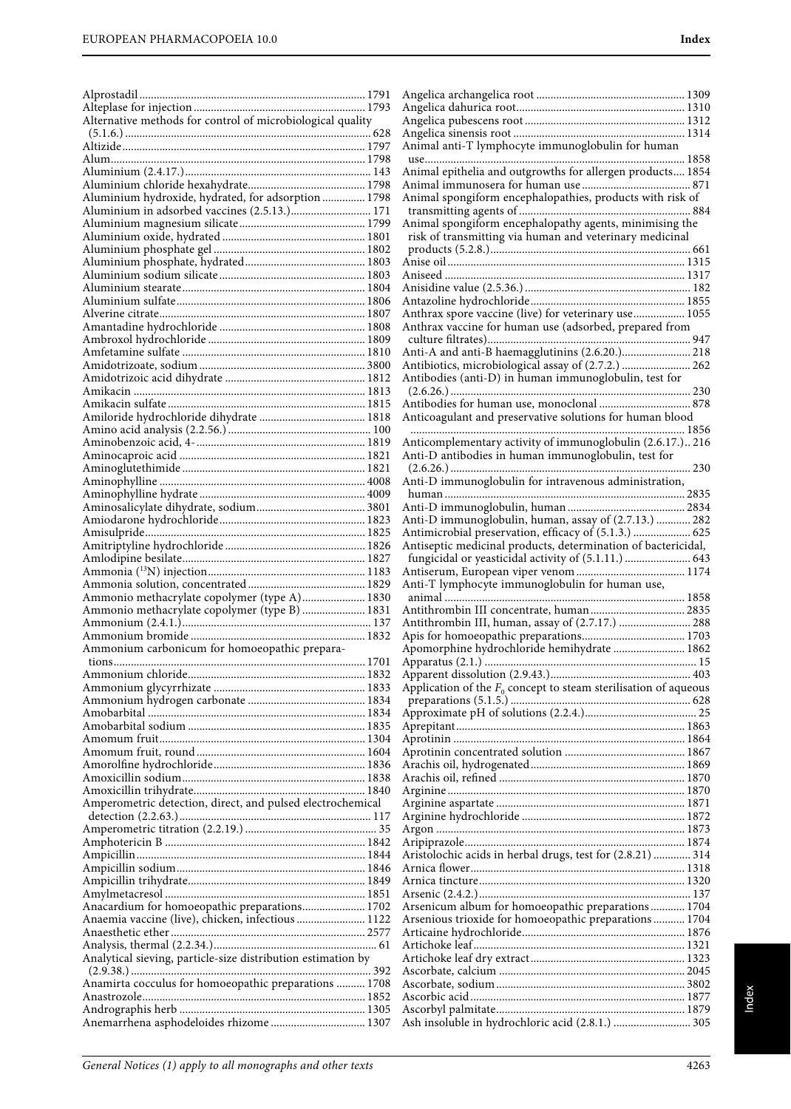| Alternative methods for control of microbiological quality   |
|--------------------------------------------------------------|
|                                                              |
|                                                              |
|                                                              |
| Aluminium hydroxide, hydrated, for adsorption  1798          |
| Aluminium in adsorbed vaccines (2.5.13.) 171                 |
|                                                              |
|                                                              |
|                                                              |
|                                                              |
|                                                              |
|                                                              |
|                                                              |
|                                                              |
|                                                              |
|                                                              |
|                                                              |
|                                                              |
|                                                              |
|                                                              |
|                                                              |
|                                                              |
|                                                              |
|                                                              |
|                                                              |
|                                                              |
|                                                              |
|                                                              |
| Ammonio methacrylate copolymer (type A) 1830                 |
| Ammonio methacrylate copolymer (type B)  1831                |
|                                                              |
| Ammonium carbonicum for homoeopathic prepara-                |
| 1701<br>tions                                                |
|                                                              |
|                                                              |
|                                                              |
|                                                              |
|                                                              |
|                                                              |
|                                                              |
| Amperometric detection, direct, and pulsed electrochemical   |
|                                                              |
|                                                              |
|                                                              |
|                                                              |
| Anacardium for homoeopathic preparations 1702                |
| Anaemia vaccine (live), chicken, infectious  1122            |
|                                                              |
| Analytical sieving, particle-size distribution estimation by |
|                                                              |
| Anamirta cocculus for homoeopathic preparations  1708        |
|                                                              |
| Anemarrhena asphodeloides rhizome  1307                      |
|                                                              |

| Animal anti-T lymphocyte immunoglobulin for human                  |  |
|--------------------------------------------------------------------|--|
|                                                                    |  |
| Animal epithelia and outgrowths for allergen products 1854         |  |
|                                                                    |  |
| Animal spongiform encephalopathies, products with risk of          |  |
|                                                                    |  |
| Animal spongiform encephalopathy agents, minimising the            |  |
| risk of transmitting via human and veterinary medicinal            |  |
|                                                                    |  |
|                                                                    |  |
|                                                                    |  |
|                                                                    |  |
|                                                                    |  |
|                                                                    |  |
| Anthrax spore vaccine (live) for veterinary use 1055               |  |
| Anthrax vaccine for human use (adsorbed, prepared from             |  |
|                                                                    |  |
|                                                                    |  |
| Anti-A and anti-B haemagglutinins (2.6.20.) 218                    |  |
| Antibiotics, microbiological assay of (2.7.2.)  262                |  |
| Antibodies (anti-D) in human immunoglobulin, test for              |  |
|                                                                    |  |
| Antibodies for human use, monoclonal  878                          |  |
| Anticoagulant and preservative solutions for human blood           |  |
|                                                                    |  |
| Anticomplementary activity of immunoglobulin (2.6.17.) 216         |  |
|                                                                    |  |
| Anti-D antibodies in human immunoglobulin, test for                |  |
|                                                                    |  |
| Anti-D immunoglobulin for intravenous administration,              |  |
|                                                                    |  |
|                                                                    |  |
| Anti-D immunoglobulin, human, assay of (2.7.13.)  282              |  |
| Antimicrobial preservation, efficacy of (5.1.3.)  625              |  |
|                                                                    |  |
| Antiseptic medicinal products, determination of bactericidal,      |  |
| fungicidal or yeasticidal activity of (5.1.11.)  643               |  |
|                                                                    |  |
| Anti-T lymphocyte immunoglobulin for human use,                    |  |
|                                                                    |  |
| Antithrombin III concentrate, human 2835                           |  |
|                                                                    |  |
|                                                                    |  |
| Antithrombin III, human, assay of (2.7.17.)  288                   |  |
|                                                                    |  |
| Apomorphine hydrochloride hemihydrate  1862                        |  |
|                                                                    |  |
|                                                                    |  |
|                                                                    |  |
| Application of the $F_0$ concept to steam sterilisation of aqueous |  |
|                                                                    |  |
|                                                                    |  |
|                                                                    |  |
|                                                                    |  |
|                                                                    |  |
|                                                                    |  |
|                                                                    |  |
|                                                                    |  |
|                                                                    |  |
|                                                                    |  |
|                                                                    |  |
|                                                                    |  |
|                                                                    |  |
| Aristolochic acids in herbal drugs, test for (2.8.21)  314         |  |
|                                                                    |  |
|                                                                    |  |
|                                                                    |  |
|                                                                    |  |
| Arsenicum album for homoeopathic preparations 1704                 |  |
| Arsenious trioxide for homoeopathic preparations 1704              |  |
|                                                                    |  |
|                                                                    |  |
|                                                                    |  |
|                                                                    |  |
|                                                                    |  |
|                                                                    |  |
|                                                                    |  |
| Ash insoluble in hydrochloric acid (2.8.1.)  305                   |  |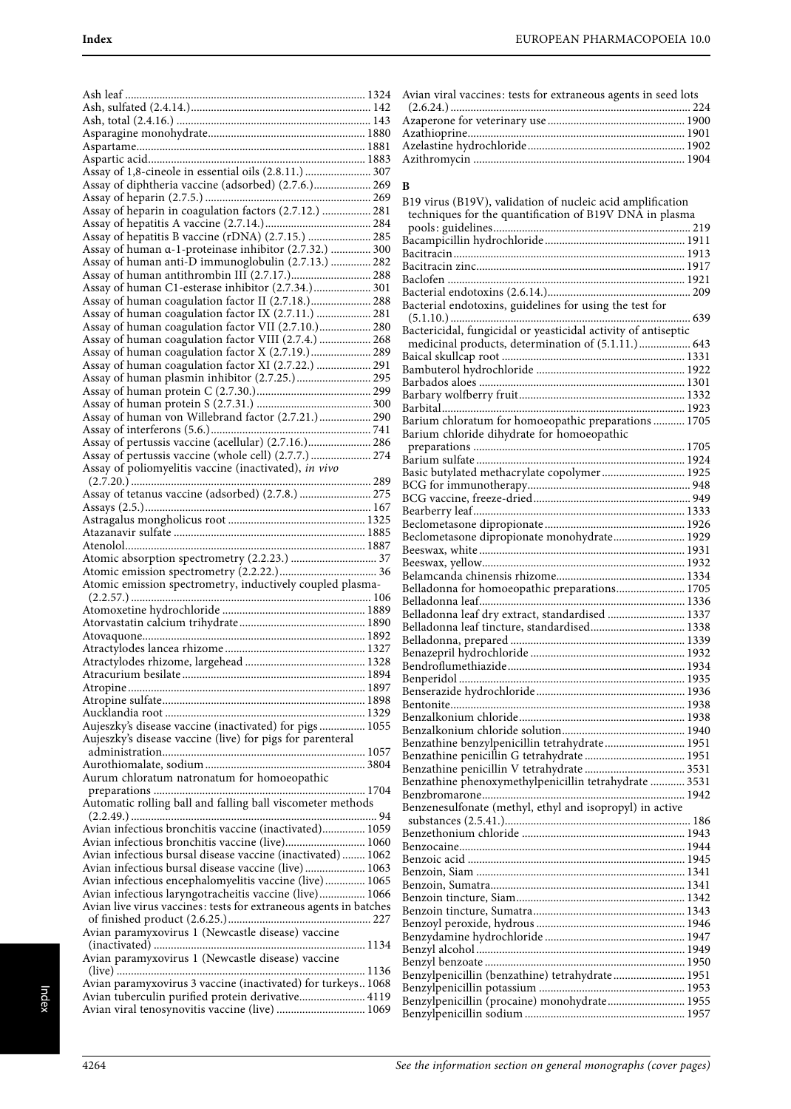| Assay of 1,8-cineole in essential oils (2.8.11.)  307<br>Assay of diphtheria vaccine (adsorbed) (2.7.6.) 269                                                        |  |
|---------------------------------------------------------------------------------------------------------------------------------------------------------------------|--|
|                                                                                                                                                                     |  |
|                                                                                                                                                                     |  |
|                                                                                                                                                                     |  |
| Assay of hepatitis B vaccine (rDNA) (2.7.15.)  285                                                                                                                  |  |
| Assay of human a-1-proteinase inhibitor (2.7.32.)  300<br>Assay of human anti-D immunoglobulin (2.7.13.)  282                                                       |  |
|                                                                                                                                                                     |  |
| Assay of human C1-esterase inhibitor (2.7.34.) 301                                                                                                                  |  |
| Assay of human coagulation factor II (2.7.18.) 288                                                                                                                  |  |
| Assay of human coagulation factor IX (2.7.11.)  281<br>Assay of human coagulation factor VII (2.7.10.) 280                                                          |  |
| Assay of human coagulation factor VIII (2.7.4.)  268                                                                                                                |  |
| Assay of human coagulation factor X (2.7.19.) 289                                                                                                                   |  |
| Assay of human coagulation factor XI (2.7.22.)  291                                                                                                                 |  |
| Assay of human plasmin inhibitor (2.7.25.) 295                                                                                                                      |  |
|                                                                                                                                                                     |  |
| Assay of human von Willebrand factor (2.7.21.) 290                                                                                                                  |  |
|                                                                                                                                                                     |  |
| Assay of pertussis vaccine (acellular) (2.7.16.) 286                                                                                                                |  |
| Assay of pertussis vaccine (whole cell) (2.7.7.)  274<br>Assay of poliomyelitis vaccine (inactivated), in vivo                                                      |  |
|                                                                                                                                                                     |  |
| Assay of tetanus vaccine (adsorbed) (2.7.8.)  275                                                                                                                   |  |
|                                                                                                                                                                     |  |
|                                                                                                                                                                     |  |
|                                                                                                                                                                     |  |
|                                                                                                                                                                     |  |
|                                                                                                                                                                     |  |
|                                                                                                                                                                     |  |
| Atomic emission spectrometry, inductively coupled plasma-                                                                                                           |  |
|                                                                                                                                                                     |  |
|                                                                                                                                                                     |  |
|                                                                                                                                                                     |  |
|                                                                                                                                                                     |  |
|                                                                                                                                                                     |  |
|                                                                                                                                                                     |  |
|                                                                                                                                                                     |  |
|                                                                                                                                                                     |  |
| Aujeszky's disease vaccine (inactivated) for pigs  1055                                                                                                             |  |
| Aujeszky's disease vaccine (live) for pigs for parenteral                                                                                                           |  |
|                                                                                                                                                                     |  |
| Aurum chloratum natronatum for homoeopathic                                                                                                                         |  |
|                                                                                                                                                                     |  |
| Automatic rolling ball and falling ball viscometer methods                                                                                                          |  |
|                                                                                                                                                                     |  |
| Avian infectious bronchitis vaccine (inactivated) 1059                                                                                                              |  |
| Avian infectious bronchitis vaccine (live) 1060<br>Avian infectious bursal disease vaccine (inactivated)  1062                                                      |  |
| Avian infectious bursal disease vaccine (live) 1063                                                                                                                 |  |
| Avian infectious encephalomyelitis vaccine (live) 1065                                                                                                              |  |
| Avian infectious laryngotracheitis vaccine (live) 1066                                                                                                              |  |
| Avian live virus vaccines: tests for extraneous agents in batches                                                                                                   |  |
| Avian paramyxovirus 1 (Newcastle disease) vaccine                                                                                                                   |  |
|                                                                                                                                                                     |  |
| Avian paramyxovirus 1 (Newcastle disease) vaccine                                                                                                                   |  |
|                                                                                                                                                                     |  |
| Avian paramyxovirus 3 vaccine (inactivated) for turkeys 1068<br>Avian tuberculin purified protein derivative 4119<br>Avian viral tenosynovitis vaccine (live)  1069 |  |

| Avian viral vaccines: tests for extraneous agents in seed lots |  |
|----------------------------------------------------------------|--|
|                                                                |  |
|                                                                |  |
|                                                                |  |
|                                                                |  |
|                                                                |  |
|                                                                |  |

#### **B**

| B19 virus (B19V), validation of nucleic acid amplification     |  |
|----------------------------------------------------------------|--|
| techniques for the quantification of B19V DNA in plasma        |  |
|                                                                |  |
|                                                                |  |
|                                                                |  |
|                                                                |  |
|                                                                |  |
|                                                                |  |
| Bacterial endotoxins, guidelines for using the test for        |  |
|                                                                |  |
| Bactericidal, fungicidal or yeasticidal activity of antiseptic |  |
| medicinal products, determination of (5.1.11.) 643             |  |
|                                                                |  |
|                                                                |  |
|                                                                |  |
|                                                                |  |
|                                                                |  |
| Barium chloratum for homoeopathic preparations  1705           |  |
| Barium chloride dihydrate for homoeopathic                     |  |
|                                                                |  |
|                                                                |  |
| Basic butylated methacrylate copolymer 1925                    |  |
|                                                                |  |
|                                                                |  |
|                                                                |  |
|                                                                |  |
| Beclometasone dipropionate monohydrate 1929                    |  |
|                                                                |  |
|                                                                |  |
|                                                                |  |
| Belladonna for homoeopathic preparations 1705                  |  |
|                                                                |  |
|                                                                |  |
| Belladonna leaf tincture, standardised 1338                    |  |
|                                                                |  |
|                                                                |  |
|                                                                |  |
|                                                                |  |
|                                                                |  |
|                                                                |  |
|                                                                |  |
|                                                                |  |
| Benzathine benzylpenicillin tetrahydrate 1951                  |  |
|                                                                |  |
|                                                                |  |
| Benzathine phenoxymethylpenicillin tetrahydrate  3531          |  |
|                                                                |  |
| Benzenesulfonate (methyl, ethyl and isopropyl) in active       |  |
|                                                                |  |
|                                                                |  |
|                                                                |  |
|                                                                |  |
|                                                                |  |
|                                                                |  |
|                                                                |  |
|                                                                |  |
|                                                                |  |
|                                                                |  |
|                                                                |  |
|                                                                |  |
| Benzylpenicillin (benzathine) tetrahydrate 1951                |  |
|                                                                |  |
| Benzylpenicillin (procaine) monohydrate 1955                   |  |
|                                                                |  |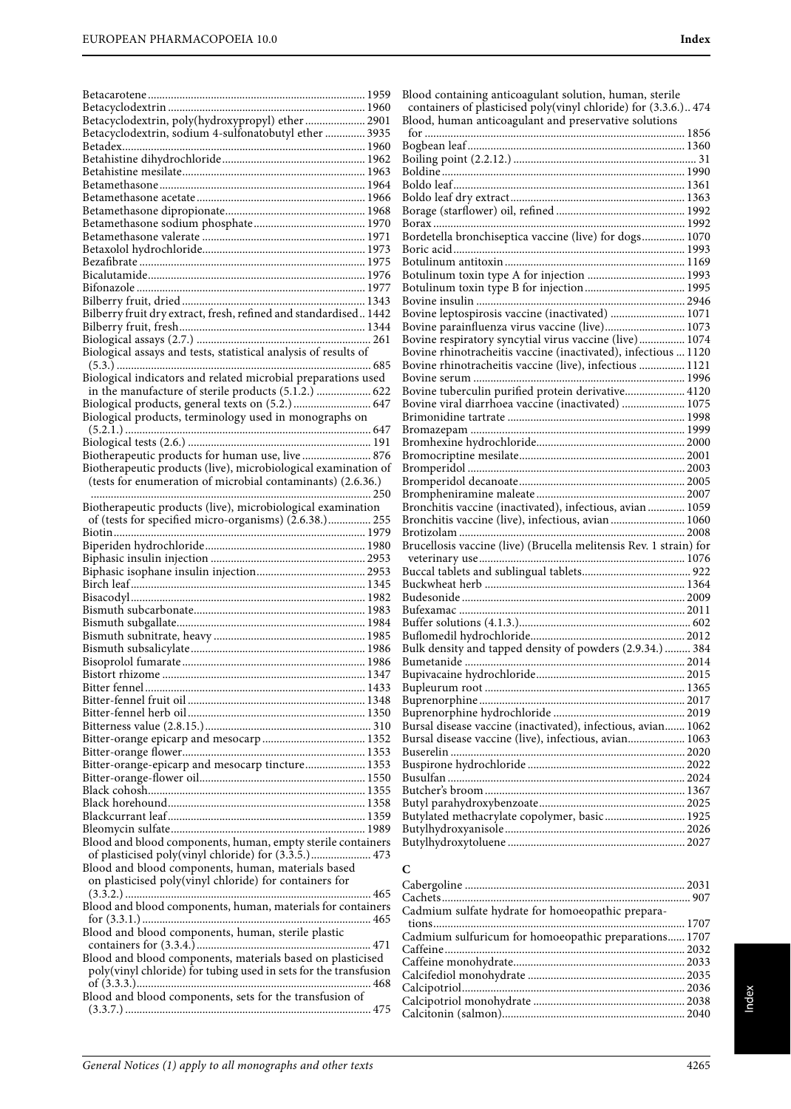|                                                                                                                       | Blood containing an                            |
|-----------------------------------------------------------------------------------------------------------------------|------------------------------------------------|
|                                                                                                                       | containers of plastic                          |
| Betacyclodextrin, poly(hydroxypropyl) ether 2901                                                                      | Blood, human antico                            |
| Betacyclodextrin, sodium 4-sulfonatobutyl ether  3935                                                                 |                                                |
|                                                                                                                       | Bogbean leaf                                   |
|                                                                                                                       | Boiling point (2.2.12<br>Boldine               |
|                                                                                                                       | Boldo leaf                                     |
|                                                                                                                       | Boldo leaf dry extrac                          |
|                                                                                                                       | Borage (starflower) o                          |
|                                                                                                                       |                                                |
|                                                                                                                       | Bordetella bronchise                           |
|                                                                                                                       | Boric acid                                     |
|                                                                                                                       | Botulinum antitoxin                            |
|                                                                                                                       | Botulinum toxin typ                            |
|                                                                                                                       | Botulinum toxin typ                            |
|                                                                                                                       | Bovine insulin                                 |
| Bilberry fruit dry extract, fresh, refined and standardised 1442                                                      | Bovine leptospirosis                           |
|                                                                                                                       | Bovine parainfluenza                           |
| Biological assays and tests, statistical analysis of results of                                                       | Bovine respiratory sy<br>Bovine rhinotracheit  |
|                                                                                                                       | Bovine rhinotracheit                           |
| Biological indicators and related microbial preparations used                                                         | Bovine serum                                   |
| in the manufacture of sterile products (5.1.2.)  622                                                                  | Bovine tuberculin pu                           |
| Biological products, general texts on (5.2.) 647                                                                      | Bovine viral diarrho                           |
| Biological products, terminology used in monographs on                                                                | Brimonidine tartrate                           |
|                                                                                                                       | Bromazepam                                     |
|                                                                                                                       | Bromhexine hydroch                             |
| Biotherapeutic products for human use, live  876                                                                      | Bromocriptine mesil                            |
| Biotherapeutic products (live), microbiological examination of                                                        | Bromperidol                                    |
| (tests for enumeration of microbial contaminants) (2.6.36.)                                                           | Bromperidol decano                             |
|                                                                                                                       | Brompheniramine m                              |
| Biotherapeutic products (live), microbiological examination<br>of (tests for specified micro-organisms) (2.6.38.) 255 | Bronchitis vaccine (i<br>Bronchitis vaccine (l |
|                                                                                                                       | Brotizolam                                     |
|                                                                                                                       | Brucellosis vaccine (                          |
|                                                                                                                       | veterinary use                                 |
|                                                                                                                       | Buccal tablets and su                          |
|                                                                                                                       | Buckwheat herb                                 |
|                                                                                                                       | Budesonide                                     |
|                                                                                                                       | Bufexamac                                      |
|                                                                                                                       | Buffer solutions (4.1                          |
|                                                                                                                       | Buflomedil hydrochl                            |
|                                                                                                                       | Bulk density and tap                           |
|                                                                                                                       | Bumetanide                                     |
|                                                                                                                       | Bupivacaine hydroch<br>Bupleurum root          |
|                                                                                                                       | Buprenorphine                                  |
|                                                                                                                       | Buprenorphine hydr                             |
|                                                                                                                       | Bursal disease vaccir                          |
|                                                                                                                       | Bursal disease vaccir                          |
|                                                                                                                       | Buserelin                                      |
| Bitter-orange-epicarp and mesocarp tincture 1353                                                                      | Buspirone hydrochlo                            |
|                                                                                                                       | Busulfan                                       |
|                                                                                                                       | Butcher's broom                                |
|                                                                                                                       | Butyl parahydroxybe                            |
|                                                                                                                       | Butylated methacryl                            |
| Blood and blood components, human, empty sterile containers                                                           | Butylhydroxyanisole<br>Butylhydroxytoluene     |
|                                                                                                                       |                                                |
| Blood and blood components, human, materials based                                                                    | C                                              |
| on plasticised poly(vinyl chloride) for containers for                                                                |                                                |
|                                                                                                                       | Cabergoline<br>Cachets                         |
| Blood and blood components, human, materials for containers                                                           | Cadmium sulfate hy                             |
|                                                                                                                       |                                                |
| Blood and blood components, human, sterile plastic                                                                    | Cadmium sulfuricur                             |
|                                                                                                                       | Caffeine                                       |
| Blood and blood components, materials based on plasticised                                                            | Caffeine monohydra                             |
| poly(vinyl chloride) for tubing used in sets for the transfusion                                                      | Calcifediol monohyd                            |
| Blood and blood components, sets for the transfusion of                                                               | Calcipotriol                                   |
|                                                                                                                       | Calcipotriol monohy                            |
|                                                                                                                       | Calcitonin (salmon).                           |

| Blood containing anticoagulant solution, human, sterile            |  |
|--------------------------------------------------------------------|--|
| containers of plasticised poly(vinyl chloride) for (3.3.6.) 474    |  |
| Blood, human anticoagulant and preservative solutions              |  |
|                                                                    |  |
|                                                                    |  |
|                                                                    |  |
|                                                                    |  |
|                                                                    |  |
|                                                                    |  |
|                                                                    |  |
|                                                                    |  |
| Bordetella bronchiseptica vaccine (live) for dogs 1070             |  |
|                                                                    |  |
|                                                                    |  |
|                                                                    |  |
|                                                                    |  |
| Bovine leptospirosis vaccine (inactivated)  1071                   |  |
| Bovine parainfluenza virus vaccine (live) 1073                     |  |
| Bovine respiratory syncytial virus vaccine (live) 1074             |  |
| Bovine rhinotracheitis vaccine (inactivated), infectious  1120     |  |
| Bovine rhinotracheitis vaccine (live), infectious  1121            |  |
|                                                                    |  |
| Bovine tuberculin purified protein derivative 4120                 |  |
| Bovine viral diarrhoea vaccine (inactivated)  1075                 |  |
|                                                                    |  |
|                                                                    |  |
|                                                                    |  |
|                                                                    |  |
|                                                                    |  |
|                                                                    |  |
|                                                                    |  |
| Bronchitis vaccine (inactivated), infectious, avian  1059          |  |
| Bronchitis vaccine (live), infectious, avian  1060                 |  |
|                                                                    |  |
| Brucellosis vaccine (live) (Brucella melitensis Rev. 1 strain) for |  |
|                                                                    |  |
|                                                                    |  |
|                                                                    |  |
|                                                                    |  |
|                                                                    |  |
|                                                                    |  |
|                                                                    |  |
| Bulk density and tapped density of powders (2.9.34.)  384          |  |
|                                                                    |  |
|                                                                    |  |
|                                                                    |  |
|                                                                    |  |
| Bursal disease vaccine (inactivated), infectious, avian 1062       |  |
| Bursal disease vaccine (live), infectious, avian 1063              |  |
|                                                                    |  |
|                                                                    |  |
|                                                                    |  |
|                                                                    |  |
|                                                                    |  |
| Butylated methacrylate copolymer, basic 1925                       |  |
|                                                                    |  |
|                                                                    |  |
|                                                                    |  |
|                                                                    |  |

| Cadmium sulfate hydrate for homoeopathic prepara-     |  |
|-------------------------------------------------------|--|
|                                                       |  |
| Cadmium sulfuricum for homoeopathic preparations 1707 |  |
|                                                       |  |
|                                                       |  |
|                                                       |  |
|                                                       |  |
|                                                       |  |
|                                                       |  |
|                                                       |  |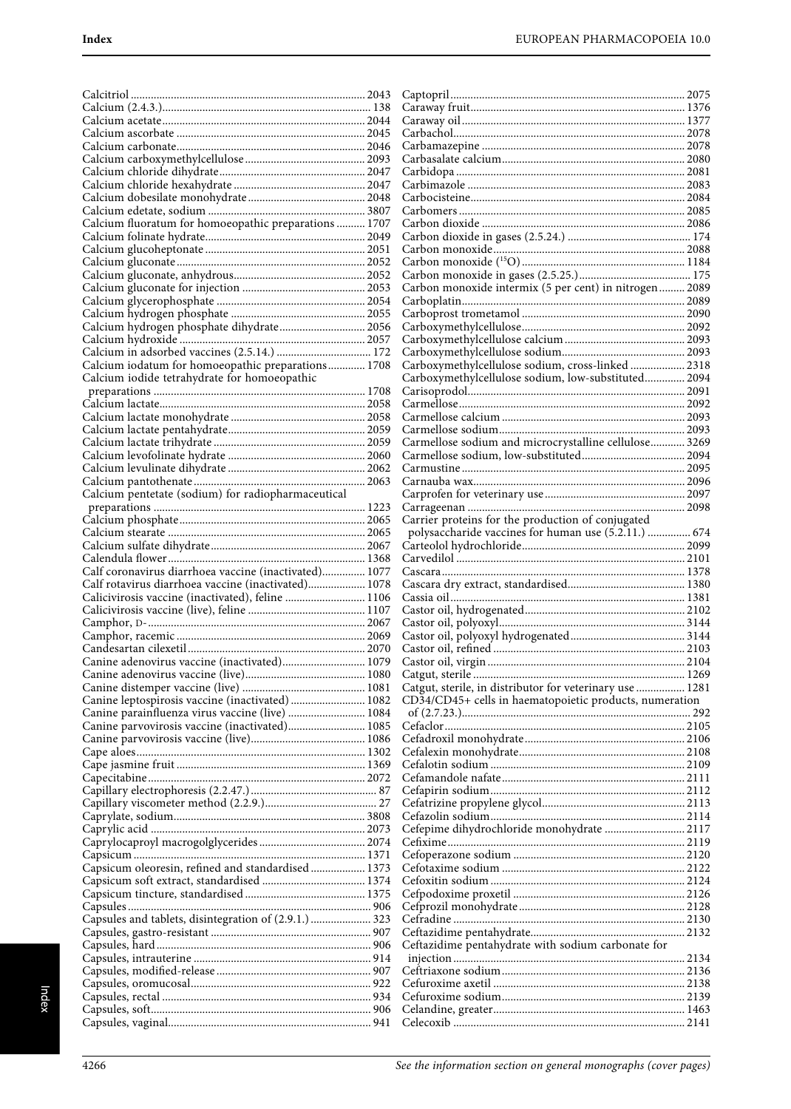| Calcium fluoratum for homoeopathic preparations  1707 |                                                          |  |
|-------------------------------------------------------|----------------------------------------------------------|--|
|                                                       |                                                          |  |
|                                                       |                                                          |  |
|                                                       |                                                          |  |
|                                                       |                                                          |  |
|                                                       | Carbon monoxide intermix (5 per cent) in nitrogen 2089   |  |
|                                                       |                                                          |  |
| Calcium hydrogen phosphate dihydrate 2056             |                                                          |  |
|                                                       |                                                          |  |
|                                                       |                                                          |  |
| Calcium iodatum for homoeopathic preparations 1708    | Carboxymethylcellulose sodium, cross-linked 2318         |  |
| Calcium iodide tetrahydrate for homoeopathic          | Carboxymethylcellulose sodium, low-substituted 2094      |  |
|                                                       |                                                          |  |
|                                                       |                                                          |  |
|                                                       |                                                          |  |
|                                                       | Carmellose sodium and microcrystalline cellulose 3269    |  |
|                                                       |                                                          |  |
|                                                       |                                                          |  |
|                                                       |                                                          |  |
| Calcium pentetate (sodium) for radiopharmaceutical    |                                                          |  |
|                                                       | Carrier proteins for the production of conjugated        |  |
|                                                       | polysaccharide vaccines for human use (5.2.11.)  674     |  |
|                                                       |                                                          |  |
|                                                       |                                                          |  |
| Calf coronavirus diarrhoea vaccine (inactivated) 1077 |                                                          |  |
| Calf rotavirus diarrhoea vaccine (inactivated) 1078   |                                                          |  |
| Calicivirosis vaccine (inactivated), feline  1106     |                                                          |  |
|                                                       |                                                          |  |
|                                                       |                                                          |  |
|                                                       |                                                          |  |
| Canine adenovirus vaccine (inactivated) 1079          |                                                          |  |
|                                                       | Catgut, sterile, in distributor for veterinary use  1281 |  |
| Canine leptospirosis vaccine (inactivated)  1082      | CD34/CD45+ cells in haematopoietic products, numeration  |  |
| Canine parainfluenza virus vaccine (live)  1084       |                                                          |  |
| Canine parvovirosis vaccine (inactivated) 1085        |                                                          |  |
|                                                       |                                                          |  |
|                                                       |                                                          |  |
|                                                       |                                                          |  |
|                                                       |                                                          |  |
|                                                       |                                                          |  |
|                                                       |                                                          |  |
|                                                       |                                                          |  |
|                                                       |                                                          |  |
|                                                       |                                                          |  |
| Capsicum oleoresin, refined and standardised 1373     |                                                          |  |
|                                                       |                                                          |  |
|                                                       |                                                          |  |
| Capsules and tablets, disintegration of (2.9.1.)  323 |                                                          |  |
|                                                       |                                                          |  |
|                                                       | Ceftazidime pentahydrate with sodium carbonate for       |  |
|                                                       |                                                          |  |
|                                                       |                                                          |  |
|                                                       |                                                          |  |
|                                                       |                                                          |  |
|                                                       |                                                          |  |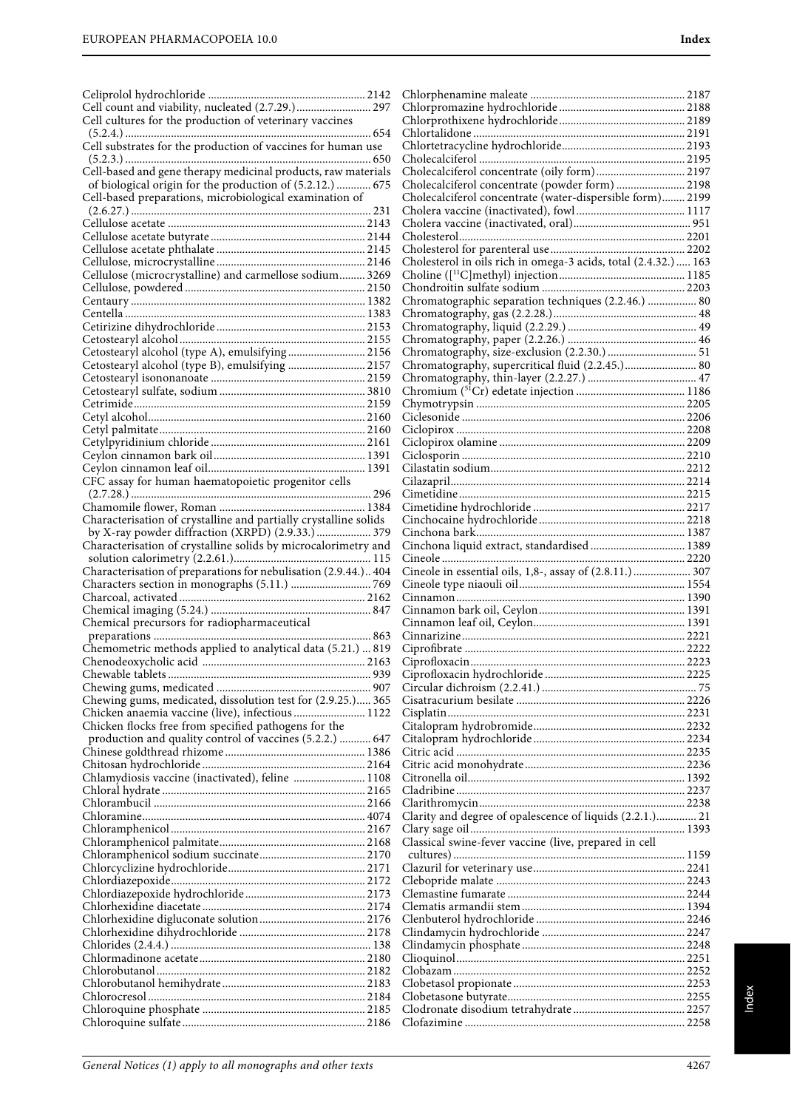| Cell count and viability, nucleated (2.7.29.) 297                                                              |                                                                                                              |  |
|----------------------------------------------------------------------------------------------------------------|--------------------------------------------------------------------------------------------------------------|--|
| Cell cultures for the production of veterinary vaccines                                                        |                                                                                                              |  |
|                                                                                                                |                                                                                                              |  |
| Cell substrates for the production of vaccines for human use                                                   |                                                                                                              |  |
|                                                                                                                |                                                                                                              |  |
| Cell-based and gene therapy medicinal products, raw materials                                                  |                                                                                                              |  |
| of biological origin for the production of (5.2.12.)  675                                                      | Cholecalciferol concentrate (powder form)  2198<br>Cholecalciferol concentrate (water-dispersible form) 2199 |  |
| Cell-based preparations, microbiological examination of                                                        |                                                                                                              |  |
|                                                                                                                |                                                                                                              |  |
|                                                                                                                |                                                                                                              |  |
|                                                                                                                |                                                                                                              |  |
|                                                                                                                | Cholesterol in oils rich in omega-3 acids, total (2.4.32.)  163                                              |  |
| Cellulose (microcrystalline) and carmellose sodium 3269                                                        |                                                                                                              |  |
|                                                                                                                |                                                                                                              |  |
|                                                                                                                | Chromatographic separation techniques (2.2.46.)  80                                                          |  |
|                                                                                                                |                                                                                                              |  |
|                                                                                                                |                                                                                                              |  |
| Cetostearyl alcohol (type A), emulsifying 2156                                                                 |                                                                                                              |  |
| Cetostearyl alcohol (type B), emulsifying  2157                                                                | Chromatography, supercritical fluid (2.2.45.) 80                                                             |  |
|                                                                                                                |                                                                                                              |  |
|                                                                                                                |                                                                                                              |  |
|                                                                                                                |                                                                                                              |  |
|                                                                                                                |                                                                                                              |  |
|                                                                                                                |                                                                                                              |  |
|                                                                                                                |                                                                                                              |  |
|                                                                                                                |                                                                                                              |  |
| CFC assay for human haematopoietic progenitor cells                                                            |                                                                                                              |  |
|                                                                                                                |                                                                                                              |  |
| Characterisation of crystalline and partially crystalline solids                                               |                                                                                                              |  |
| by X-ray powder diffraction (XRPD) (2.9.33.)  379                                                              |                                                                                                              |  |
| Characterisation of crystalline solids by microcalorimetry and                                                 |                                                                                                              |  |
|                                                                                                                |                                                                                                              |  |
| Characterisation of preparations for nebulisation (2.9.44.) 404                                                | Cineole in essential oils, 1,8-, assay of (2.8.11.)  307                                                     |  |
|                                                                                                                |                                                                                                              |  |
|                                                                                                                |                                                                                                              |  |
| Chemical precursors for radiopharmaceutical                                                                    |                                                                                                              |  |
|                                                                                                                |                                                                                                              |  |
| Chemometric methods applied to analytical data (5.21.)  819                                                    |                                                                                                              |  |
|                                                                                                                |                                                                                                              |  |
|                                                                                                                |                                                                                                              |  |
|                                                                                                                |                                                                                                              |  |
| Chewing gums, medicated, dissolution test for (2.9.25.) 365<br>Chicken anaemia vaccine (live), infectious 1122 |                                                                                                              |  |
| Chicken flocks free from specified pathogens for the                                                           |                                                                                                              |  |
| production and quality control of vaccines (5.2.2.)  647                                                       |                                                                                                              |  |
|                                                                                                                |                                                                                                              |  |
|                                                                                                                |                                                                                                              |  |
| Chlamydiosis vaccine (inactivated), feline  1108                                                               |                                                                                                              |  |
|                                                                                                                |                                                                                                              |  |
|                                                                                                                | Clarity and degree of opalescence of liquids (2.2.1.) 21                                                     |  |
|                                                                                                                |                                                                                                              |  |
|                                                                                                                | Classical swine-fever vaccine (live, prepared in cell                                                        |  |
|                                                                                                                |                                                                                                              |  |
|                                                                                                                |                                                                                                              |  |
|                                                                                                                |                                                                                                              |  |
|                                                                                                                |                                                                                                              |  |
|                                                                                                                |                                                                                                              |  |
|                                                                                                                |                                                                                                              |  |
|                                                                                                                |                                                                                                              |  |
|                                                                                                                |                                                                                                              |  |
|                                                                                                                |                                                                                                              |  |
|                                                                                                                |                                                                                                              |  |
|                                                                                                                |                                                                                                              |  |
|                                                                                                                |                                                                                                              |  |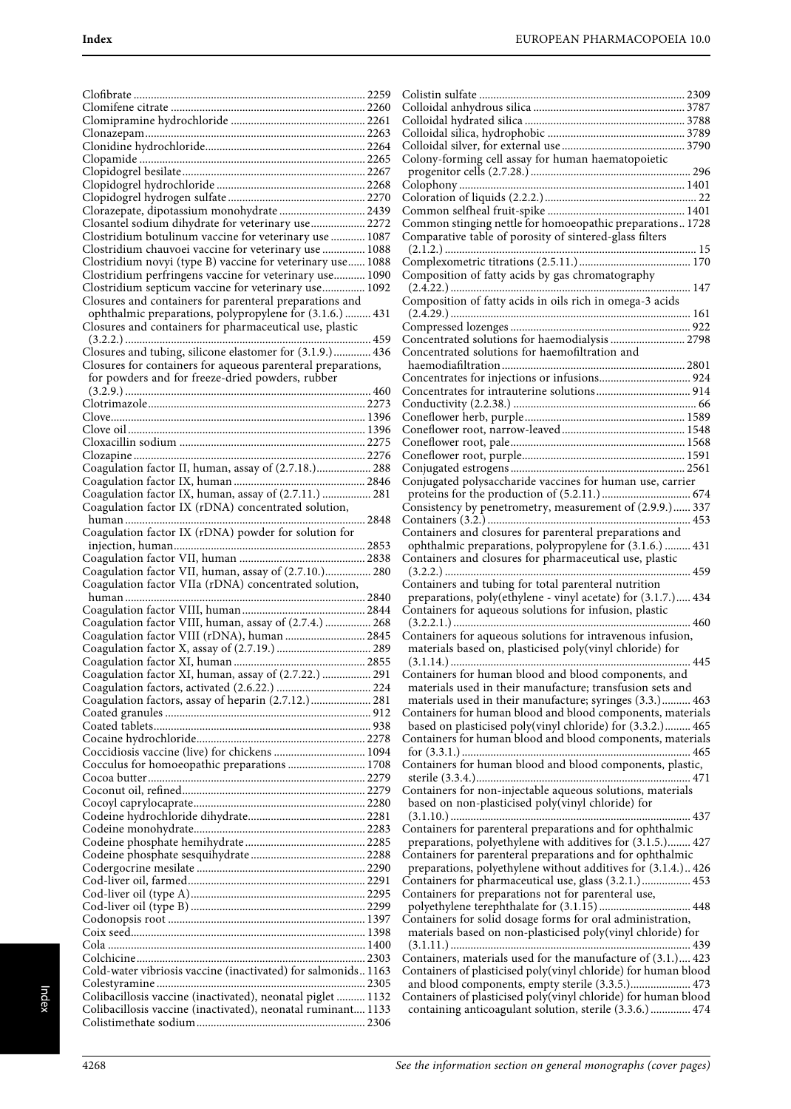| Clorazepate, dipotassium monohydrate  2439                                                                      |  |
|-----------------------------------------------------------------------------------------------------------------|--|
| Closantel sodium dihydrate for veterinary use 2272                                                              |  |
| Clostridium botulinum vaccine for veterinary use  1087<br>Clostridium chauvoei vaccine for veterinary use  1088 |  |
| Clostridium novyi (type B) vaccine for veterinary use 1088                                                      |  |
| Clostridium perfringens vaccine for veterinary use 1090                                                         |  |
| Clostridium septicum vaccine for veterinary use 1092                                                            |  |
| Closures and containers for parenteral preparations and                                                         |  |
| ophthalmic preparations, polypropylene for (3.1.6.)  431                                                        |  |
| Closures and containers for pharmaceutical use, plastic                                                         |  |
| Closures and tubing, silicone elastomer for (3.1.9.) 436                                                        |  |
| Closures for containers for aqueous parenteral preparations,                                                    |  |
| for powders and for freeze-dried powders, rubber                                                                |  |
|                                                                                                                 |  |
|                                                                                                                 |  |
|                                                                                                                 |  |
|                                                                                                                 |  |
|                                                                                                                 |  |
| Coagulation factor II, human, assay of (2.7.18.) 288                                                            |  |
|                                                                                                                 |  |
| Coagulation factor IX, human, assay of (2.7.11.)  281                                                           |  |
| Coagulation factor IX (rDNA) concentrated solution,                                                             |  |
|                                                                                                                 |  |
| Coagulation factor IX (rDNA) powder for solution for                                                            |  |
|                                                                                                                 |  |
| Coagulation factor VII, human, assay of (2.7.10.) 280                                                           |  |
|                                                                                                                 |  |
| Coagulation factor VIIa (rDNA) concentrated solution,                                                           |  |
|                                                                                                                 |  |
|                                                                                                                 |  |
| Coagulation factor VIII, human, assay of (2.7.4.)  268                                                          |  |
| Coagulation factor VIII (rDNA), human  2845                                                                     |  |
|                                                                                                                 |  |
|                                                                                                                 |  |
| Coagulation factor XI, human, assay of (2.7.22.)  291                                                           |  |
| Coagulation factors, assay of heparin (2.7.12.)  281                                                            |  |
|                                                                                                                 |  |
|                                                                                                                 |  |
|                                                                                                                 |  |
| Coccidiosis vaccine (live) for chickens  1094                                                                   |  |
| Cocculus for homoeopathic preparations  1708                                                                    |  |
|                                                                                                                 |  |
|                                                                                                                 |  |
|                                                                                                                 |  |
|                                                                                                                 |  |
|                                                                                                                 |  |
|                                                                                                                 |  |
|                                                                                                                 |  |
|                                                                                                                 |  |
|                                                                                                                 |  |
|                                                                                                                 |  |
|                                                                                                                 |  |
|                                                                                                                 |  |
| Cold-water vibriosis vaccine (inactivated) for salmonids1163                                                    |  |
|                                                                                                                 |  |
| Colibacillosis vaccine (inactivated), neonatal piglet  1132                                                     |  |
| Colibacillosis vaccine (inactivated), neonatal ruminant 1133                                                    |  |

| Colony-forming cell assay for human haematopoietic             |
|----------------------------------------------------------------|
|                                                                |
|                                                                |
|                                                                |
|                                                                |
| Common stinging nettle for homoeopathic preparations 1728      |
| Comparative table of porosity of sintered-glass filters        |
|                                                                |
|                                                                |
|                                                                |
| Composition of fatty acids by gas chromatography               |
|                                                                |
| Composition of fatty acids in oils rich in omega-3 acids       |
|                                                                |
|                                                                |
| Concentrated solutions for haemodialysis  2798                 |
| Concentrated solutions for haemofiltration and                 |
|                                                                |
|                                                                |
|                                                                |
|                                                                |
|                                                                |
|                                                                |
|                                                                |
|                                                                |
|                                                                |
|                                                                |
| Conjugated polysaccharide vaccines for human use, carrier      |
|                                                                |
|                                                                |
| Consistency by penetrometry, measurement of (2.9.9.) 337       |
|                                                                |
| Containers and closures for parenteral preparations and        |
| ophthalmic preparations, polypropylene for (3.1.6.)  431       |
| Containers and closures for pharmaceutical use, plastic        |
|                                                                |
| Containers and tubing for total parenteral nutrition           |
| preparations, poly(ethylene - vinyl acetate) for (3.1.7.) 434  |
| Containers for aqueous solutions for infusion, plastic         |
|                                                                |
|                                                                |
| Containers for aqueous solutions for intravenous infusion,     |
| materials based on, plasticised poly(vinyl chloride) for       |
|                                                                |
| Containers for human blood and blood components, and           |
| materials used in their manufacture; transfusion sets and      |
| materials used in their manufacture; syringes (3.3.) 463       |
| Containers for human blood and blood components, materials     |
| based on plasticised poly(vinyl chloride) for (3.3.2.) 465     |
| Containers for human blood and blood components, materials     |
|                                                                |
| Containers for human blood and blood components, plastic,      |
|                                                                |
|                                                                |
| Containers for non-injectable aqueous solutions, materials     |
| based on non-plasticised poly(vinyl chloride) for              |
|                                                                |
| Containers for parenteral preparations and for ophthalmic      |
| preparations, polyethylene with additives for (3.1.5.) 427     |
| Containers for parenteral preparations and for ophthalmic      |
| preparations, polyethylene without additives for (3.1.4.) 426  |
| Containers for pharmaceutical use, glass (3.2.1.) 453          |
| Containers for preparations not for parenteral use,            |
|                                                                |
|                                                                |
| Containers for solid dosage forms for oral administration,     |
| materials based on non-plasticised poly(vinyl chloride) for    |
|                                                                |
| Containers, materials used for the manufacture of (3.1.) 423   |
| Containers of plasticised poly(vinyl chloride) for human blood |
| and blood components, empty sterile (3.3.5.) 473               |
| Containers of plasticised poly(vinyl chloride) for human blood |
| containing anticoagulant solution, sterile (3.3.6.)  474       |
|                                                                |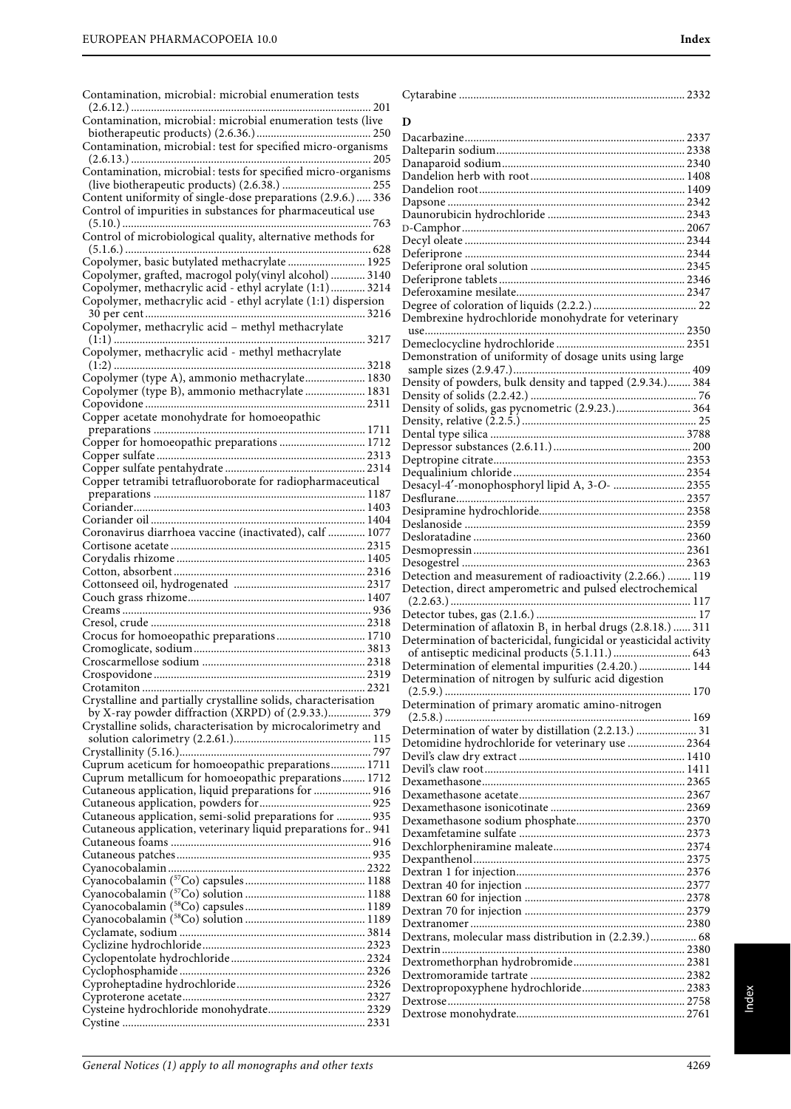| Contamination, microbial: microbial enumeration tests                                                 |                                                                   |
|-------------------------------------------------------------------------------------------------------|-------------------------------------------------------------------|
|                                                                                                       |                                                                   |
| Contamination, microbial: microbial enumeration tests (live                                           | D                                                                 |
| Contamination, microbial: test for specified micro-organisms                                          |                                                                   |
|                                                                                                       |                                                                   |
| Contamination, microbial: tests for specified micro-organisms                                         |                                                                   |
|                                                                                                       |                                                                   |
| Content uniformity of single-dose preparations (2.9.6.) 336                                           |                                                                   |
| Control of impurities in substances for pharmaceutical use                                            |                                                                   |
|                                                                                                       |                                                                   |
| Control of microbiological quality, alternative methods for                                           |                                                                   |
|                                                                                                       |                                                                   |
| Copolymer, basic butylated methacrylate 1925<br>Copolymer, grafted, macrogol poly(vinyl alcohol) 3140 |                                                                   |
| Copolymer, methacrylic acid - ethyl acrylate (1:1) 3214                                               |                                                                   |
| Copolymer, methacrylic acid - ethyl acrylate (1:1) dispersion                                         |                                                                   |
|                                                                                                       | Dembrexine hydrochloride monohydrate for veterinary               |
| Copolymer, methacrylic acid - methyl methacrylate                                                     |                                                                   |
|                                                                                                       |                                                                   |
| Copolymer, methacrylic acid - methyl methacrylate                                                     | Demonstration of uniformity of dosage units using large           |
|                                                                                                       |                                                                   |
| Copolymer (type A), ammonio methacrylate 1830                                                         | Density of powders, bulk density and tapped (2.9.34.) 384         |
| Copolymer (type B), ammonio methacrylate  1831                                                        |                                                                   |
| Copper acetate monohydrate for homoeopathic                                                           | Density of solids, gas pycnometric (2.9.23.) 364                  |
|                                                                                                       |                                                                   |
| Copper for homoeopathic preparations  1712                                                            |                                                                   |
|                                                                                                       |                                                                   |
|                                                                                                       |                                                                   |
| Copper tetramibi tetrafluoroborate for radiopharmaceutical                                            | Desacyl-4'-monophosphoryl lipid A, 3-O-  2355                     |
|                                                                                                       |                                                                   |
|                                                                                                       |                                                                   |
| Coronavirus diarrhoea vaccine (inactivated), calf  1077                                               |                                                                   |
|                                                                                                       |                                                                   |
|                                                                                                       |                                                                   |
|                                                                                                       | Detection and measurement of radioactivity (2.2.66.)  119         |
|                                                                                                       | Detection, direct amperometric and pulsed electrochemical         |
|                                                                                                       |                                                                   |
|                                                                                                       |                                                                   |
|                                                                                                       | Determination of aflatoxin $B_1$ in herbal drugs (2.8.18.)  311   |
| Crocus for homoeopathic preparations 1710                                                             | Determination of bactericidal, fungicidal or yeasticidal activity |
|                                                                                                       |                                                                   |
|                                                                                                       | Determination of elemental impurities (2.4.20.)  144              |
|                                                                                                       | Determination of nitrogen by sulfuric acid digestion              |
| Crystalline and partially crystalline solids, characterisation                                        | Determination of primary aromatic amino-nitrogen                  |
| by X-ray powder diffraction (XRPD) of (2.9.33.) 379                                                   |                                                                   |
| Crystalline solids, characterisation by microcalorimetry and                                          | Determination of water by distillation (2.2.13.)  31              |
|                                                                                                       | Detomidine hydrochloride for veterinary use  2364                 |
| Cuprum aceticum for homoeopathic preparations 1711                                                    |                                                                   |
| Cuprum metallicum for homoeopathic preparations 1712                                                  |                                                                   |
| Cutaneous application, liquid preparations for  916                                                   |                                                                   |
|                                                                                                       |                                                                   |
| Cutaneous application, semi-solid preparations for  935                                               |                                                                   |
| Cutaneous application, veterinary liquid preparations for 941                                         |                                                                   |
|                                                                                                       |                                                                   |
|                                                                                                       |                                                                   |
|                                                                                                       |                                                                   |
|                                                                                                       |                                                                   |
|                                                                                                       |                                                                   |
|                                                                                                       |                                                                   |
|                                                                                                       | Dextrans, molecular mass distribution in (2.2.39.) 68             |
|                                                                                                       |                                                                   |
|                                                                                                       |                                                                   |
|                                                                                                       |                                                                   |
|                                                                                                       |                                                                   |
|                                                                                                       |                                                                   |
|                                                                                                       |                                                                   |
|                                                                                                       |                                                                   |

| Dembrexine hydrochloride monohydrate for veterinary               |  |
|-------------------------------------------------------------------|--|
| use                                                               |  |
|                                                                   |  |
| Demonstration of uniformity of dosage units using large           |  |
| Density of powders, bulk density and tapped (2.9.34.) 384         |  |
|                                                                   |  |
|                                                                   |  |
|                                                                   |  |
|                                                                   |  |
|                                                                   |  |
|                                                                   |  |
|                                                                   |  |
| Desacyl-4'-monophosphoryl lipid A, 3-O-  2355                     |  |
|                                                                   |  |
|                                                                   |  |
|                                                                   |  |
|                                                                   |  |
|                                                                   |  |
| Detection and measurement of radioactivity (2.2.66.)  119         |  |
|                                                                   |  |
|                                                                   |  |
| Detection, direct amperometric and pulsed electrochemical         |  |
|                                                                   |  |
| Determination of aflatoxin $B_1$ in herbal drugs (2.8.18.)  311   |  |
| Determination of bactericidal, fungicidal or yeasticidal activity |  |
| of antiseptic medicinal products (5.1.11.)  643                   |  |
| Determination of elemental impurities (2.4.20.) 144               |  |
| Determination of nitrogen by sulfuric acid digestion              |  |
|                                                                   |  |
| Determination of primary aromatic amino-nitrogen                  |  |
|                                                                   |  |
| Determination of water by distillation (2.2.13.)  31              |  |
| Detomidine hydrochloride for veterinary use  2364                 |  |
|                                                                   |  |
|                                                                   |  |
|                                                                   |  |
|                                                                   |  |
|                                                                   |  |
|                                                                   |  |
|                                                                   |  |
|                                                                   |  |
|                                                                   |  |
|                                                                   |  |
|                                                                   |  |
|                                                                   |  |
| Dextrans, molecular mass distribution in (2.2.39.) 68             |  |
|                                                                   |  |
|                                                                   |  |
|                                                                   |  |
|                                                                   |  |
|                                                                   |  |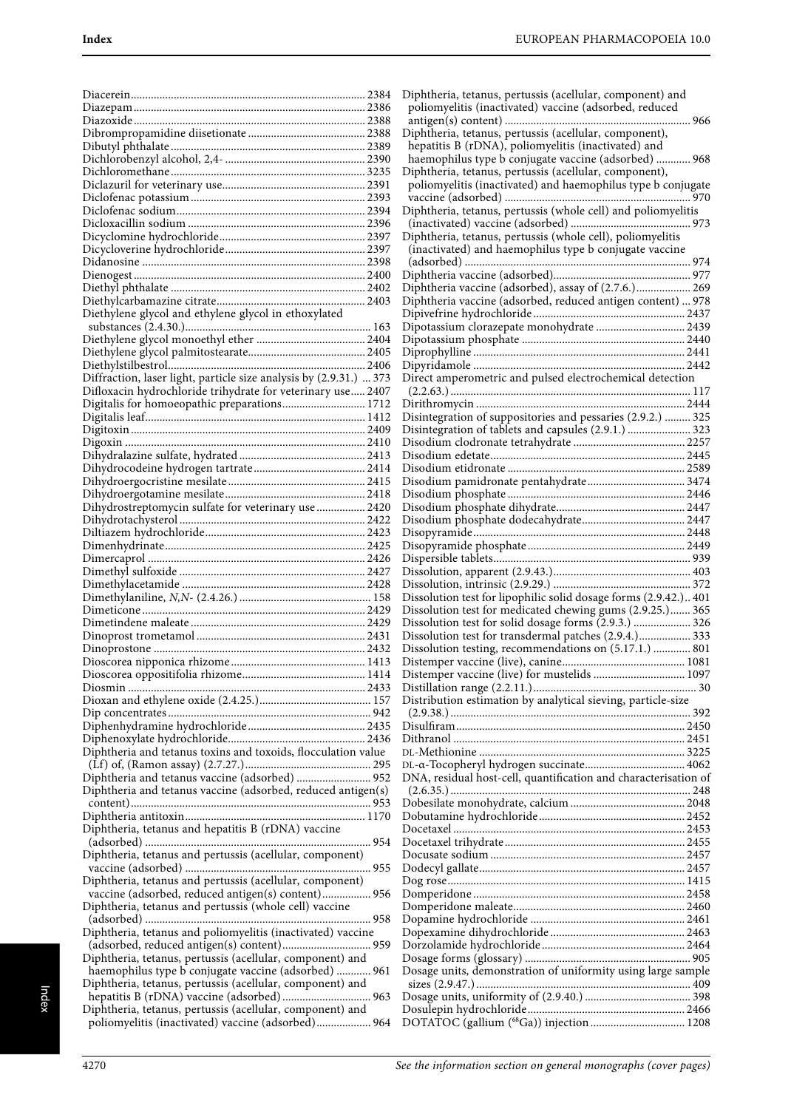| Diethylene glycol and ethylene glycol in ethoxylated                                                        |  |
|-------------------------------------------------------------------------------------------------------------|--|
|                                                                                                             |  |
|                                                                                                             |  |
|                                                                                                             |  |
|                                                                                                             |  |
| Diffraction, laser light, particle size analysis by (2.9.31.)  373                                          |  |
| Difloxacin hydrochloride trihydrate for veterinary use 2407<br>Digitalis for homoeopathic preparations 1712 |  |
|                                                                                                             |  |
|                                                                                                             |  |
|                                                                                                             |  |
|                                                                                                             |  |
|                                                                                                             |  |
|                                                                                                             |  |
|                                                                                                             |  |
| Dihydrostreptomycin sulfate for veterinary use  2420                                                        |  |
|                                                                                                             |  |
|                                                                                                             |  |
|                                                                                                             |  |
|                                                                                                             |  |
|                                                                                                             |  |
|                                                                                                             |  |
|                                                                                                             |  |
|                                                                                                             |  |
|                                                                                                             |  |
|                                                                                                             |  |
|                                                                                                             |  |
|                                                                                                             |  |
|                                                                                                             |  |
|                                                                                                             |  |
|                                                                                                             |  |
| Diphtheria and tetanus toxins and toxoids, flocculation value                                               |  |
|                                                                                                             |  |
| Diphtheria and tetanus vaccine (adsorbed)  952                                                              |  |
| Diphtheria and tetanus vaccine (adsorbed, reduced antigen(s)                                                |  |
|                                                                                                             |  |
|                                                                                                             |  |
| Diphtheria, tetanus and hepatitis B (rDNA) vaccine                                                          |  |
|                                                                                                             |  |
| Diphtheria, tetanus and pertussis (acellular, component)                                                    |  |
| Diphtheria, tetanus and pertussis (acellular, component)                                                    |  |
| vaccine (adsorbed, reduced antigen(s) content) 956                                                          |  |
| Diphtheria, tetanus and pertussis (whole cell) vaccine                                                      |  |
|                                                                                                             |  |
| Diphtheria, tetanus and poliomyelitis (inactivated) vaccine                                                 |  |
|                                                                                                             |  |
| Diphtheria, tetanus, pertussis (acellular, component) and                                                   |  |
| haemophilus type b conjugate vaccine (adsorbed)  961                                                        |  |
| Diphtheria, tetanus, pertussis (acellular, component) and                                                   |  |
| Diphtheria, tetanus, pertussis (acellular, component) and                                                   |  |
| poliomyelitis (inactivated) vaccine (adsorbed) 964                                                          |  |
|                                                                                                             |  |

| Diphtheria, tetanus, pertussis (acellular, component) and        |
|------------------------------------------------------------------|
| poliomyelitis (inactivated) vaccine (adsorbed, reduced           |
| Diphtheria, tetanus, pertussis (acellular, component),           |
| hepatitis B (rDNA), poliomyelitis (inactivated) and              |
| haemophilus type b conjugate vaccine (adsorbed)  968             |
| Diphtheria, tetanus, pertussis (acellular, component),           |
| poliomyelitis (inactivated) and haemophilus type b conjugate     |
| Diphtheria, tetanus, pertussis (whole cell) and poliomyelitis    |
|                                                                  |
| Diphtheria, tetanus, pertussis (whole cell), poliomyelitis       |
| (inactivated) and haemophilus type b conjugate vaccine           |
|                                                                  |
| Diphtheria vaccine (adsorbed), assay of (2.7.6.) 269             |
| Diphtheria vaccine (adsorbed, reduced antigen content)  978      |
|                                                                  |
| Dipotassium clorazepate monohydrate  2439                        |
|                                                                  |
|                                                                  |
| Direct amperometric and pulsed electrochemical detection         |
|                                                                  |
|                                                                  |
| Disintegration of suppositories and pessaries (2.9.2.)  325      |
| Disintegration of tablets and capsules (2.9.1.)  323             |
|                                                                  |
|                                                                  |
| Disodium pamidronate pentahydrate 3474                           |
|                                                                  |
|                                                                  |
|                                                                  |
|                                                                  |
|                                                                  |
|                                                                  |
|                                                                  |
|                                                                  |
| Dissolution test for lipophilic solid dosage forms (2.9.42.) 401 |
| Dissolution test for medicated chewing gums (2.9.25.) 365        |
| Dissolution test for solid dosage forms (2.9.3.)  326            |
| Dissolution test for transdermal patches (2.9.4.) 333            |
| Dissolution testing, recommendations on (5.17.1.)  801           |
|                                                                  |
|                                                                  |
| Distribution estimation by analytical sieving, particle-size     |
|                                                                  |
|                                                                  |
|                                                                  |
|                                                                  |
|                                                                  |
| DNA, residual host-cell, quantification and characterisation of  |
|                                                                  |
|                                                                  |
|                                                                  |
|                                                                  |
|                                                                  |
|                                                                  |
|                                                                  |
|                                                                  |
|                                                                  |
|                                                                  |
|                                                                  |
| Dosage units, demonstration of uniformity using large sample     |
|                                                                  |
|                                                                  |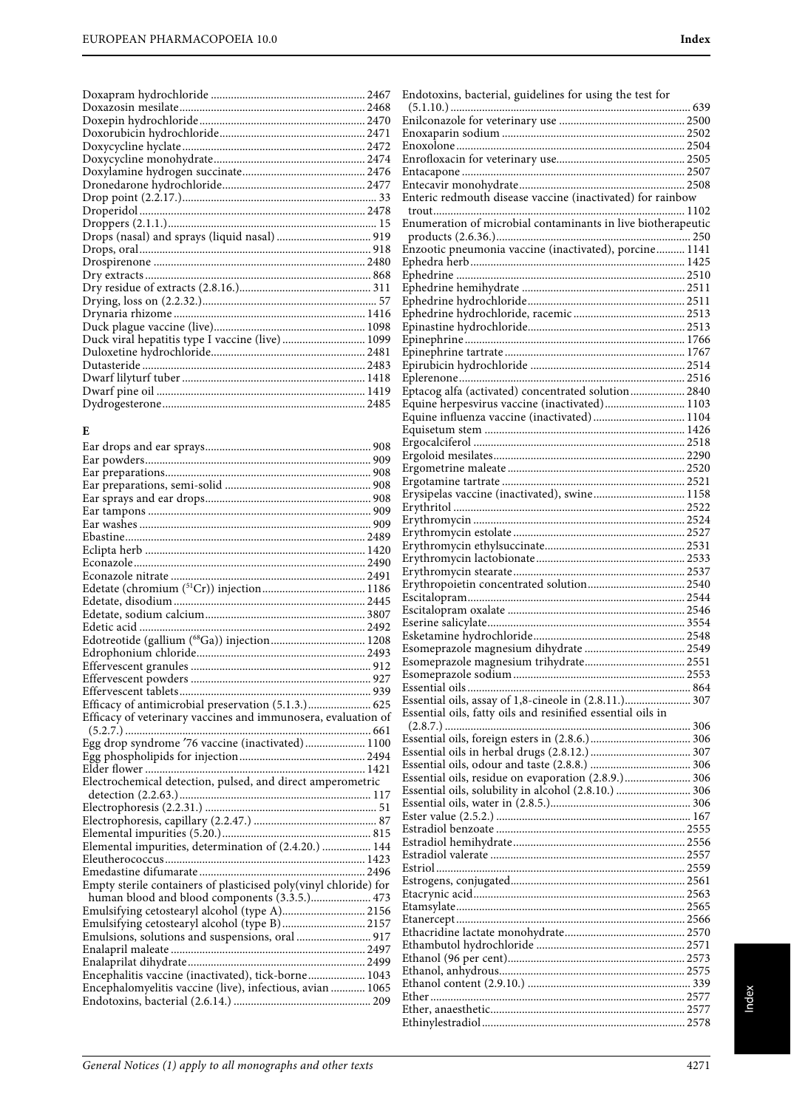| Drops (nasal) and sprays (liquid nasal)  919    |  |
|-------------------------------------------------|--|
|                                                 |  |
|                                                 |  |
|                                                 |  |
|                                                 |  |
|                                                 |  |
|                                                 |  |
|                                                 |  |
| Duck viral hepatitis type I vaccine (live) 1099 |  |
|                                                 |  |
|                                                 |  |
|                                                 |  |
|                                                 |  |
|                                                 |  |
|                                                 |  |

## **E**

| Edotreotide (gallium (68Ga)) injection 1208                      |  |
|------------------------------------------------------------------|--|
|                                                                  |  |
|                                                                  |  |
|                                                                  |  |
|                                                                  |  |
| Efficacy of antimicrobial preservation (5.1.3.) 625              |  |
| Efficacy of veterinary vaccines and immunosera, evaluation of    |  |
|                                                                  |  |
| Egg drop syndrome '76 vaccine (inactivated) 1100                 |  |
|                                                                  |  |
|                                                                  |  |
| Electrochemical detection, pulsed, and direct amperometric       |  |
|                                                                  |  |
|                                                                  |  |
|                                                                  |  |
|                                                                  |  |
| Elemental impurities, determination of (2.4.20.)  144            |  |
|                                                                  |  |
|                                                                  |  |
| Empty sterile containers of plasticised poly(vinyl chloride) for |  |
| human blood and blood components (3.3.5.) 473                    |  |
| Emulsifying cetostearyl alcohol (type A) 2156                    |  |
| Emulsifying cetostearyl alcohol (type B)  2157                   |  |
| Emulsions, solutions and suspensions, oral  917                  |  |
|                                                                  |  |
|                                                                  |  |
| Encephalitis vaccine (inactivated), tick-borne 1043              |  |
| Encephalomyelitis vaccine (live), infectious, avian  1065        |  |
|                                                                  |  |
|                                                                  |  |

| Enteric redmouth disease vaccine (inactivated) for rainbow   |  |
|--------------------------------------------------------------|--|
|                                                              |  |
| Enumeration of microbial contaminants in live biotherapeutic |  |
|                                                              |  |
| Enzootic pneumonia vaccine (inactivated), porcine 1141       |  |
|                                                              |  |
|                                                              |  |
|                                                              |  |
|                                                              |  |
|                                                              |  |
|                                                              |  |
|                                                              |  |
|                                                              |  |
| Eptacog alfa (activated) concentrated solution 2840          |  |
| Equine herpesvirus vaccine (inactivated) 1103                |  |
| Equine influenza vaccine (inactivated)  1104                 |  |
|                                                              |  |
|                                                              |  |
|                                                              |  |
|                                                              |  |
|                                                              |  |
| Erysipelas vaccine (inactivated), swine 1158                 |  |
|                                                              |  |
|                                                              |  |
|                                                              |  |
|                                                              |  |
|                                                              |  |
|                                                              |  |
|                                                              |  |
|                                                              |  |
|                                                              |  |
|                                                              |  |
|                                                              |  |
|                                                              |  |
|                                                              |  |
|                                                              |  |
| Essential oils, assay of 1,8-cineole in (2.8.11.) 307        |  |
| Essential oils, fatty oils and resinified essential oils in  |  |
|                                                              |  |
|                                                              |  |
|                                                              |  |
|                                                              |  |
| Essential oils, residue on evaporation (2.8.9.) 306          |  |
| Essential oils, solubility in alcohol (2.8.10.)  306         |  |
|                                                              |  |
|                                                              |  |
|                                                              |  |
|                                                              |  |
|                                                              |  |
|                                                              |  |
|                                                              |  |
|                                                              |  |
|                                                              |  |
|                                                              |  |
|                                                              |  |
|                                                              |  |
|                                                              |  |
|                                                              |  |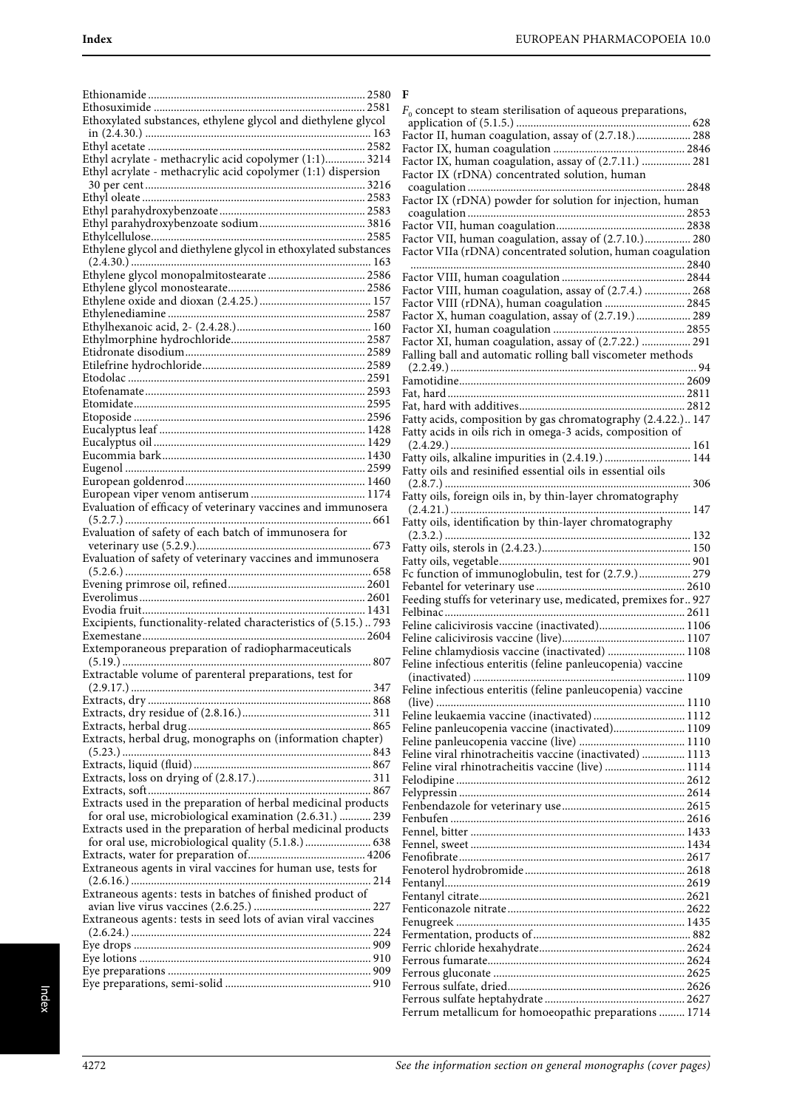| Ethoxylated substances, ethylene glycol and diethylene glycol    |     |
|------------------------------------------------------------------|-----|
|                                                                  |     |
|                                                                  |     |
| Ethyl acrylate - methacrylic acid copolymer (1:1) 3214           |     |
| Ethyl acrylate - methacrylic acid copolymer (1:1) dispersion     |     |
|                                                                  |     |
|                                                                  |     |
|                                                                  |     |
|                                                                  |     |
|                                                                  |     |
| Ethylene glycol and diethylene glycol in ethoxylated substances  |     |
|                                                                  |     |
|                                                                  |     |
|                                                                  |     |
|                                                                  |     |
|                                                                  |     |
|                                                                  |     |
|                                                                  |     |
|                                                                  |     |
|                                                                  |     |
|                                                                  |     |
|                                                                  |     |
|                                                                  |     |
|                                                                  |     |
|                                                                  |     |
|                                                                  |     |
|                                                                  |     |
|                                                                  |     |
|                                                                  |     |
|                                                                  |     |
|                                                                  |     |
| Evaluation of efficacy of veterinary vaccines and immunosera     |     |
|                                                                  |     |
| Evaluation of safety of each batch of immunosera for             |     |
|                                                                  |     |
|                                                                  |     |
| Evaluation of safety of veterinary vaccines and immunosera       |     |
|                                                                  |     |
|                                                                  |     |
|                                                                  |     |
|                                                                  |     |
| Excipients, functionality-related characteristics of (5.15.) 793 |     |
|                                                                  |     |
| Extemporaneous preparation of radiopharmaceuticals               |     |
|                                                                  | 807 |
|                                                                  |     |
| Extractable volume of parenteral preparations, test for          |     |
|                                                                  |     |
|                                                                  |     |
|                                                                  |     |
|                                                                  |     |
| Extracts, herbal drug, monographs on (information chapter)       |     |
|                                                                  |     |
|                                                                  |     |
|                                                                  |     |
|                                                                  |     |
| Extracts used in the preparation of herbal medicinal products    |     |
| for oral use, microbiological examination (2.6.31.)  239         |     |
| Extracts used in the preparation of herbal medicinal products    |     |
| for oral use, microbiological quality (5.1.8.) 638               |     |
|                                                                  |     |
| Extraneous agents in viral vaccines for human use, tests for     |     |
|                                                                  |     |
| Extraneous agents: tests in batches of finished product of       |     |
|                                                                  |     |
| Extraneous agents: tests in seed lots of avian viral vaccines    |     |
|                                                                  |     |
|                                                                  |     |
|                                                                  |     |
|                                                                  |     |

| н |  |  |
|---|--|--|
|   |  |  |

| F                                                               |
|-----------------------------------------------------------------|
| $F_0$ concept to steam sterilisation of aqueous preparations,   |
|                                                                 |
| Factor II, human coagulation, assay of (2.7.18.) 288            |
|                                                                 |
| Factor IX, human coagulation, assay of (2.7.11.)  281           |
| Factor IX (rDNA) concentrated solution, human                   |
|                                                                 |
| Factor IX (rDNA) powder for solution for injection, human       |
|                                                                 |
|                                                                 |
| Factor VII, human coagulation, assay of (2.7.10.) 280           |
| Factor VIIa (rDNA) concentrated solution, human coagulation     |
|                                                                 |
|                                                                 |
| Factor VIII, human coagulation, assay of (2.7.4.)  268          |
| Factor VIII (rDNA), human coagulation  2845                     |
| Factor X, human coagulation, assay of (2.7.19.) 289             |
|                                                                 |
| Factor XI, human coagulation, assay of (2.7.22.)  291           |
| Falling ball and automatic rolling ball viscometer methods      |
|                                                                 |
|                                                                 |
|                                                                 |
| Fatty acids, composition by gas chromatography (2.4.22.) 147    |
| Fatty acids in oils rich in omega-3 acids, composition of       |
|                                                                 |
| Fatty oils, alkaline impurities in (2.4.19.)  144               |
| Fatty oils and resinified essential oils in essential oils      |
|                                                                 |
| Fatty oils, foreign oils in, by thin-layer chromatography       |
|                                                                 |
| Fatty oils, identification by thin-layer chromatography         |
|                                                                 |
|                                                                 |
|                                                                 |
| Fc function of immunoglobulin, test for (2.7.9.) 279            |
|                                                                 |
| Feeding stuffs for veterinary use, medicated, premixes for  927 |
|                                                                 |
| Feline calicivirosis vaccine (inactivated) 1106                 |
|                                                                 |
| Feline chlamydiosis vaccine (inactivated)  1108                 |
| Feline infectious enteritis (feline panleucopenia) vaccine      |
|                                                                 |
| Feline infectious enteritis (feline panleucopenia) vaccine      |
|                                                                 |
| Feline leukaemia vaccine (inactivated)  1112                    |
| Feline panleucopenia vaccine (inactivated) 1109                 |
|                                                                 |
| Feline viral rhinotracheitis vaccine (inactivated)  1113        |
| Feline viral rhinotracheitis vaccine (live)  1114               |
|                                                                 |
|                                                                 |
|                                                                 |
|                                                                 |
|                                                                 |
|                                                                 |
|                                                                 |
|                                                                 |
|                                                                 |
|                                                                 |
|                                                                 |
|                                                                 |
|                                                                 |
|                                                                 |
|                                                                 |
|                                                                 |
|                                                                 |
| Ferrum metallicum for homoeopathic preparations  1714           |
|                                                                 |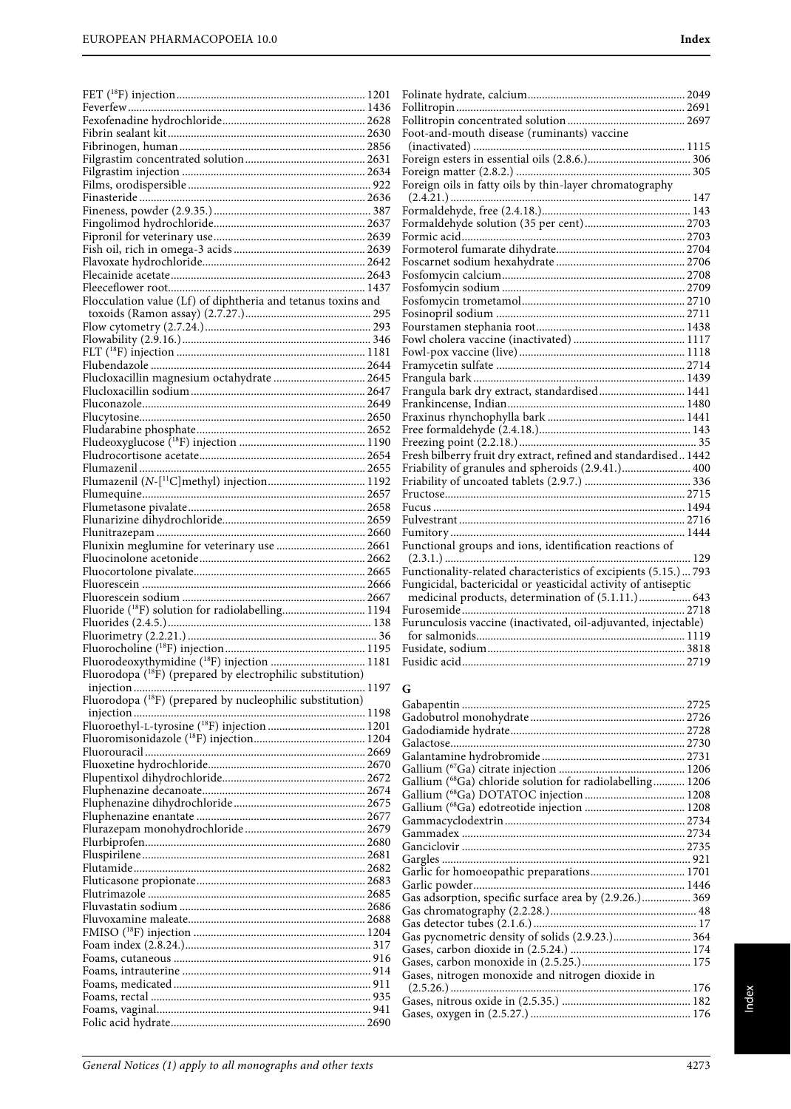FET (18F) injection.................................................................. 1201

| Flocculation value (Lf) of diphtheria and tetanus toxins and           |  |
|------------------------------------------------------------------------|--|
|                                                                        |  |
|                                                                        |  |
|                                                                        |  |
|                                                                        |  |
|                                                                        |  |
| Flucloxacillin magnesium octahydrate  2645                             |  |
|                                                                        |  |
|                                                                        |  |
|                                                                        |  |
|                                                                        |  |
|                                                                        |  |
|                                                                        |  |
|                                                                        |  |
| Flumazenil (N-[ <sup>11</sup> C]methyl) injection 1192                 |  |
|                                                                        |  |
|                                                                        |  |
|                                                                        |  |
|                                                                        |  |
| Flunixin meglumine for veterinary use  2661                            |  |
|                                                                        |  |
|                                                                        |  |
|                                                                        |  |
|                                                                        |  |
|                                                                        |  |
|                                                                        |  |
|                                                                        |  |
|                                                                        |  |
|                                                                        |  |
|                                                                        |  |
| Fluorodeoxythymidine ( <sup>18</sup> F) injection  1181                |  |
| Fluorodopa ( <sup>18</sup> F) (prepared by electrophilic substitution) |  |
|                                                                        |  |
| Fluorodopa ( <sup>18</sup> F) (prepared by nucleophilic substitution)  |  |
|                                                                        |  |
| Fluoroethyl-L-tyrosine ( <sup>18</sup> F) injection  1201              |  |
|                                                                        |  |
|                                                                        |  |
|                                                                        |  |
|                                                                        |  |
|                                                                        |  |
|                                                                        |  |
|                                                                        |  |
|                                                                        |  |
|                                                                        |  |
|                                                                        |  |
|                                                                        |  |
|                                                                        |  |
|                                                                        |  |
|                                                                        |  |
|                                                                        |  |
|                                                                        |  |
|                                                                        |  |
|                                                                        |  |
|                                                                        |  |
|                                                                        |  |
|                                                                        |  |
|                                                                        |  |

| Foot-and-mouth disease (ruminants) vaccine                      |  |
|-----------------------------------------------------------------|--|
|                                                                 |  |
|                                                                 |  |
|                                                                 |  |
| Foreign oils in fatty oils by thin-layer chromatography         |  |
|                                                                 |  |
|                                                                 |  |
|                                                                 |  |
|                                                                 |  |
|                                                                 |  |
|                                                                 |  |
|                                                                 |  |
|                                                                 |  |
|                                                                 |  |
|                                                                 |  |
|                                                                 |  |
|                                                                 |  |
|                                                                 |  |
|                                                                 |  |
|                                                                 |  |
| Frangula bark dry extract, standardised 1441                    |  |
|                                                                 |  |
|                                                                 |  |
|                                                                 |  |
|                                                                 |  |
| Fresh bilberry fruit dry extract, refined and standardised 1442 |  |
|                                                                 |  |
|                                                                 |  |
|                                                                 |  |
|                                                                 |  |
|                                                                 |  |
|                                                                 |  |
|                                                                 |  |
| Functional groups and ions, identification reactions of         |  |
|                                                                 |  |
| Functionality-related characteristics of excipients (5.15.) 793 |  |
| Fungicidal, bactericidal or yeasticidal activity of antiseptic  |  |
| medicinal products, determination of (5.1.11.)  643             |  |
|                                                                 |  |
| Furunculosis vaccine (inactivated, oil-adjuvanted, injectable)  |  |
|                                                                 |  |
|                                                                 |  |
|                                                                 |  |

# **G**

| Gallium (68Ga) chloride solution for radiolabelling 1206 |  |
|----------------------------------------------------------|--|
|                                                          |  |
|                                                          |  |
|                                                          |  |
|                                                          |  |
|                                                          |  |
|                                                          |  |
| Garlic for homoeopathic preparations 1701                |  |
|                                                          |  |
| Gas adsorption, specific surface area by (2.9.26.) 369   |  |
|                                                          |  |
|                                                          |  |
|                                                          |  |
|                                                          |  |
|                                                          |  |
| Gases, nitrogen monoxide and nitrogen dioxide in         |  |
|                                                          |  |
|                                                          |  |
|                                                          |  |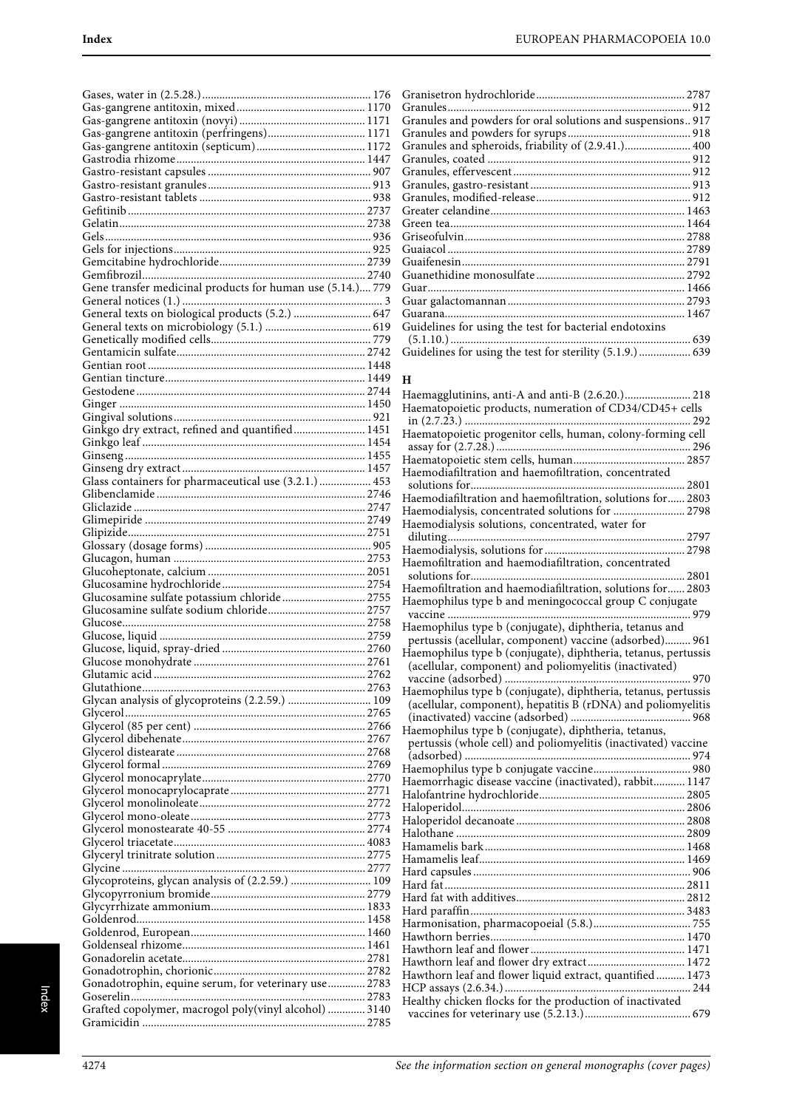| Gene transfer medicinal products for human use (5.14.) 779                              |  |
|-----------------------------------------------------------------------------------------|--|
|                                                                                         |  |
|                                                                                         |  |
|                                                                                         |  |
|                                                                                         |  |
|                                                                                         |  |
|                                                                                         |  |
|                                                                                         |  |
|                                                                                         |  |
|                                                                                         |  |
| Ginkgo dry extract, refined and quantified 1451                                         |  |
|                                                                                         |  |
|                                                                                         |  |
| Glass containers for pharmaceutical use (3.2.1.)  453                                   |  |
|                                                                                         |  |
|                                                                                         |  |
|                                                                                         |  |
|                                                                                         |  |
|                                                                                         |  |
|                                                                                         |  |
|                                                                                         |  |
|                                                                                         |  |
|                                                                                         |  |
| Glucosamine sulfate potassium chloride 2755<br>Glucosamine sulfate sodium chloride 2757 |  |
|                                                                                         |  |
|                                                                                         |  |
|                                                                                         |  |
|                                                                                         |  |
|                                                                                         |  |
|                                                                                         |  |
| Glycan analysis of glycoproteins (2.2.59.)  109                                         |  |
|                                                                                         |  |
|                                                                                         |  |
|                                                                                         |  |
|                                                                                         |  |
|                                                                                         |  |
|                                                                                         |  |
|                                                                                         |  |
|                                                                                         |  |
|                                                                                         |  |
|                                                                                         |  |
|                                                                                         |  |
| Glycoproteins, glycan analysis of (2.2.59.)  109                                        |  |
|                                                                                         |  |
|                                                                                         |  |
|                                                                                         |  |
|                                                                                         |  |
|                                                                                         |  |
|                                                                                         |  |
| Gonadotrophin, equine serum, for veterinary use 2783                                    |  |
| Grafted copolymer, macrogol poly(vinyl alcohol)  3140                                   |  |

| Granules and powders for oral solutions and suspensions 917 |  |
|-------------------------------------------------------------|--|
|                                                             |  |
| Granules and spheroids, friability of (2.9.41.) 400         |  |
|                                                             |  |
|                                                             |  |
|                                                             |  |
|                                                             |  |
|                                                             |  |
|                                                             |  |
|                                                             |  |
|                                                             |  |
|                                                             |  |
|                                                             |  |
|                                                             |  |
|                                                             |  |
|                                                             |  |
| Guidelines for using the test for bacterial endotoxins      |  |
|                                                             |  |
|                                                             |  |
|                                                             |  |

#### **H**

| Haemagglutinins, anti-A and anti-B (2.6.20.) 218               |
|----------------------------------------------------------------|
| Haematopoietic products, numeration of CD34/CD45+ cells        |
|                                                                |
| Haematopoietic progenitor cells, human, colony-forming cell    |
|                                                                |
|                                                                |
| Haemodiafiltration and haemofiltration, concentrated           |
| Haemodiafiltration and haemofiltration, solutions for 2803     |
| Haemodialysis, concentrated solutions for  2798                |
| Haemodialysis solutions, concentrated, water for               |
|                                                                |
|                                                                |
| Haemofiltration and haemodiafiltration, concentrated           |
|                                                                |
| Haemofiltration and haemodiafiltration, solutions for 2803     |
| Haemophilus type b and meningococcal group C conjugate         |
|                                                                |
| Haemophilus type b (conjugate), diphtheria, tetanus and        |
| pertussis (acellular, component) vaccine (adsorbed) 961        |
| Haemophilus type b (conjugate), diphtheria, tetanus, pertussis |
| (acellular, component) and poliomyelitis (inactivated)         |
|                                                                |
| Haemophilus type b (conjugate), diphtheria, tetanus, pertussis |
| (acellular, component), hepatitis B (rDNA) and poliomyelitis   |
| Haemophilus type b (conjugate), diphtheria, tetanus,           |
| pertussis (whole cell) and poliomyelitis (inactivated) vaccine |
|                                                                |
|                                                                |
| Haemorrhagic disease vaccine (inactivated), rabbit 1147        |
|                                                                |
|                                                                |
|                                                                |
|                                                                |
|                                                                |
|                                                                |
|                                                                |
|                                                                |
|                                                                |
|                                                                |
|                                                                |
|                                                                |
|                                                                |
|                                                                |
| Hawthorn leaf and flower liquid extract, quantified 1473       |
|                                                                |
| Healthy chicken flocks for the production of inactivated       |

vaccines for veterinary use (5.2.13.)..................................... 679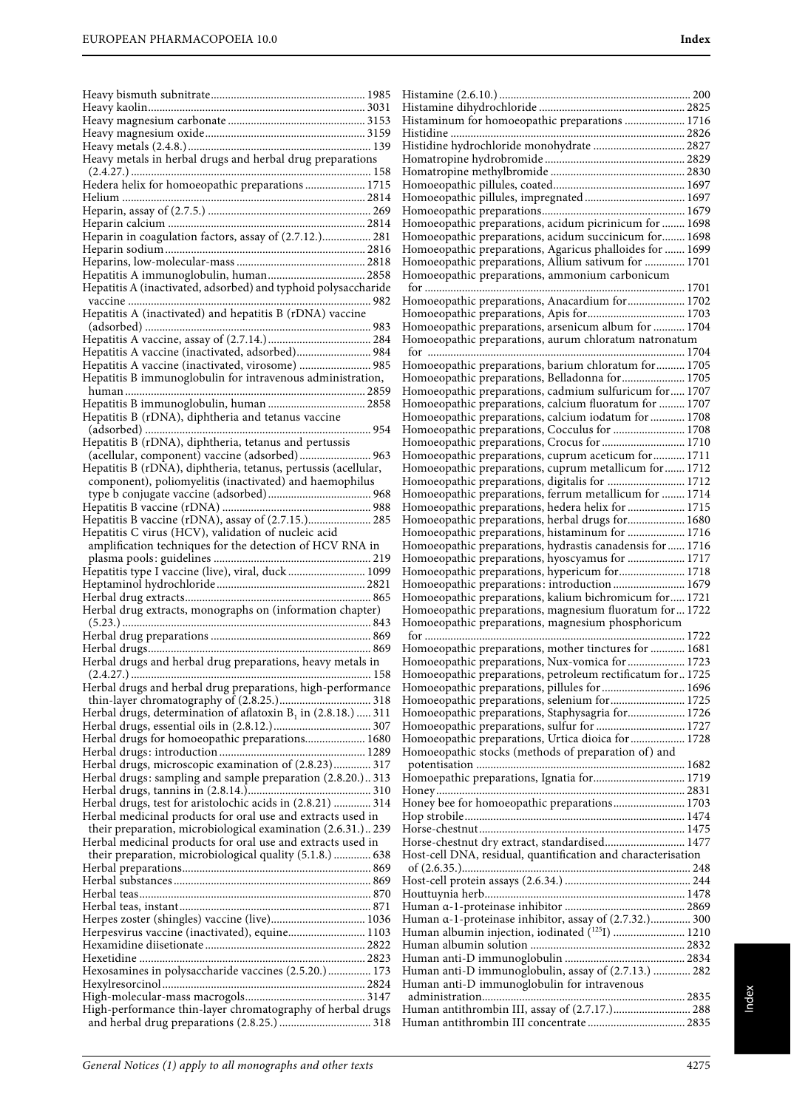|                                                                  | Histaminum for homoeopathic preparations  1716                                                                |  |
|------------------------------------------------------------------|---------------------------------------------------------------------------------------------------------------|--|
|                                                                  |                                                                                                               |  |
|                                                                  | Histidine hydrochloride monohydrate  2827                                                                     |  |
| Heavy metals in herbal drugs and herbal drug preparations        |                                                                                                               |  |
|                                                                  |                                                                                                               |  |
| Hedera helix for homoeopathic preparations  1715                 |                                                                                                               |  |
|                                                                  |                                                                                                               |  |
|                                                                  | Homoeopathic preparations, acidum picrinicum for  1698                                                        |  |
| Heparin in coagulation factors, assay of (2.7.12.) 281           | Homoeopathic preparations, acidum succinicum for 1698                                                         |  |
|                                                                  | Homoeopathic preparations, Agaricus phalloides for  1699                                                      |  |
|                                                                  | Homoeopathic preparations, Allium sativum for  1701                                                           |  |
|                                                                  | Homoeopathic preparations, ammonium carbonicum                                                                |  |
| Hepatitis A (inactivated, adsorbed) and typhoid polysaccharide   |                                                                                                               |  |
|                                                                  | Homoeopathic preparations, Anacardium for 1702                                                                |  |
| Hepatitis A (inactivated) and hepatitis B (rDNA) vaccine         |                                                                                                               |  |
|                                                                  | Homoeopathic preparations, arsenicum album for  1704<br>Homoeopathic preparations, aurum chloratum natronatum |  |
| Hepatitis A vaccine (inactivated, adsorbed) 984                  |                                                                                                               |  |
|                                                                  | Homoeopathic preparations, barium chloratum for 1705                                                          |  |
| Hepatitis B immunoglobulin for intravenous administration,       |                                                                                                               |  |
|                                                                  | Homoeopathic preparations, cadmium sulfuricum for 1707                                                        |  |
| Hepatitis B immunoglobulin, human  2858                          | Homoeopathic preparations, calcium fluoratum for  1707                                                        |  |
| Hepatitis B (rDNA), diphtheria and tetanus vaccine               | Homoeopathic preparations, calcium iodatum for  1708                                                          |  |
|                                                                  |                                                                                                               |  |
| Hepatitis B (rDNA), diphtheria, tetanus and pertussis            | Homoeopathic preparations, Crocus for  1710<br>Homoeopathic preparations, cuprum aceticum for  1711           |  |
| Hepatitis B (rDNA), diphtheria, tetanus, pertussis (acellular,   | Homoeopathic preparations, cuprum metallicum for  1712                                                        |  |
| component), poliomyelitis (inactivated) and haemophilus          | Homoeopathic preparations, digitalis for  1712                                                                |  |
|                                                                  | Homoeopathic preparations, ferrum metallicum for  1714                                                        |  |
|                                                                  |                                                                                                               |  |
| Hepatitis B vaccine (rDNA), assay of (2.7.15.) 285               | Homoeopathic preparations, herbal drugs for 1680                                                              |  |
| Hepatitis C virus (HCV), validation of nucleic acid              | Homoeopathic preparations, histaminum for  1716                                                               |  |
| amplification techniques for the detection of HCV RNA in         | Homoeopathic preparations, hydrastis canadensis for  1716                                                     |  |
| Hepatitis type I vaccine (live), viral, duck  1099               | Homoeopathic preparations, hyoscyamus for  1717<br>Homoeopathic preparations, hypericum for 1718              |  |
|                                                                  | Homoeopathic preparations: introduction  1679                                                                 |  |
|                                                                  | Homoeopathic preparations, kalium bichromicum for 1721                                                        |  |
| Herbal drug extracts, monographs on (information chapter)        | Homoeopathic preparations, magnesium fluoratum for  1722                                                      |  |
|                                                                  | Homoeopathic preparations, magnesium phosphoricum                                                             |  |
|                                                                  |                                                                                                               |  |
|                                                                  | Homoeopathic preparations, mother tinctures for  1681                                                         |  |
| Herbal drugs and herbal drug preparations, heavy metals in       | Homoeopathic preparations, Nux-vomica for  1723                                                               |  |
| Herbal drugs and herbal drug preparations, high-performance      | Homoeopathic preparations, petroleum rectificatum for  1725<br>Homoeopathic preparations, pillules for  1696  |  |
|                                                                  | Homoeopathic preparations, selenium for 1725                                                                  |  |
| Herbal drugs, determination of aflatoxin $B_1$ in (2.8.18.)  311 | Homoeopathic preparations, Staphysagria for 1726                                                              |  |
|                                                                  | Homoeopathic preparations, sulfur for  1727                                                                   |  |
| Herbal drugs for homoeopathic preparations 1680                  | Homoeopathic preparations, Urtica dioica for  1728                                                            |  |
|                                                                  | Homoeopathic stocks (methods of preparation of) and                                                           |  |
| Herbal drugs, microscopic examination of (2.8.23) 317            |                                                                                                               |  |
| Herbal drugs: sampling and sample preparation (2.8.20.) 313      | Homoepathic preparations, Ignatia for 1719                                                                    |  |
| Herbal drugs, test for aristolochic acids in $(2.8.21)$ 314      | Honey bee for homoeopathic preparations 1703                                                                  |  |
| Herbal medicinal products for oral use and extracts used in      |                                                                                                               |  |
| their preparation, microbiological examination (2.6.31.) 239     |                                                                                                               |  |
| Herbal medicinal products for oral use and extracts used in      | Horse-chestnut dry extract, standardised 1477                                                                 |  |
| their preparation, microbiological quality (5.1.8.)  638         | Host-cell DNA, residual, quantification and characterisation                                                  |  |
|                                                                  |                                                                                                               |  |
|                                                                  |                                                                                                               |  |
|                                                                  |                                                                                                               |  |
| Herpes zoster (shingles) vaccine (live) 1036                     | Human a-1-proteinase inhibitor, assay of (2.7.32.) 300                                                        |  |
| Herpesvirus vaccine (inactivated), equine 1103                   | Human albumin injection, iodinated (1251)  1210                                                               |  |
|                                                                  |                                                                                                               |  |
|                                                                  |                                                                                                               |  |
| Hexosamines in polysaccharide vaccines (2.5.20.) 173             | Human anti-D immunoglobulin, assay of (2.7.13.)  282                                                          |  |
|                                                                  | Human anti-D immunoglobulin for intravenous                                                                   |  |
|                                                                  |                                                                                                               |  |
| High-performance thin-layer chromatography of herbal drugs       | Human antithrombin III, assay of (2.7.17.) 288                                                                |  |
|                                                                  |                                                                                                               |  |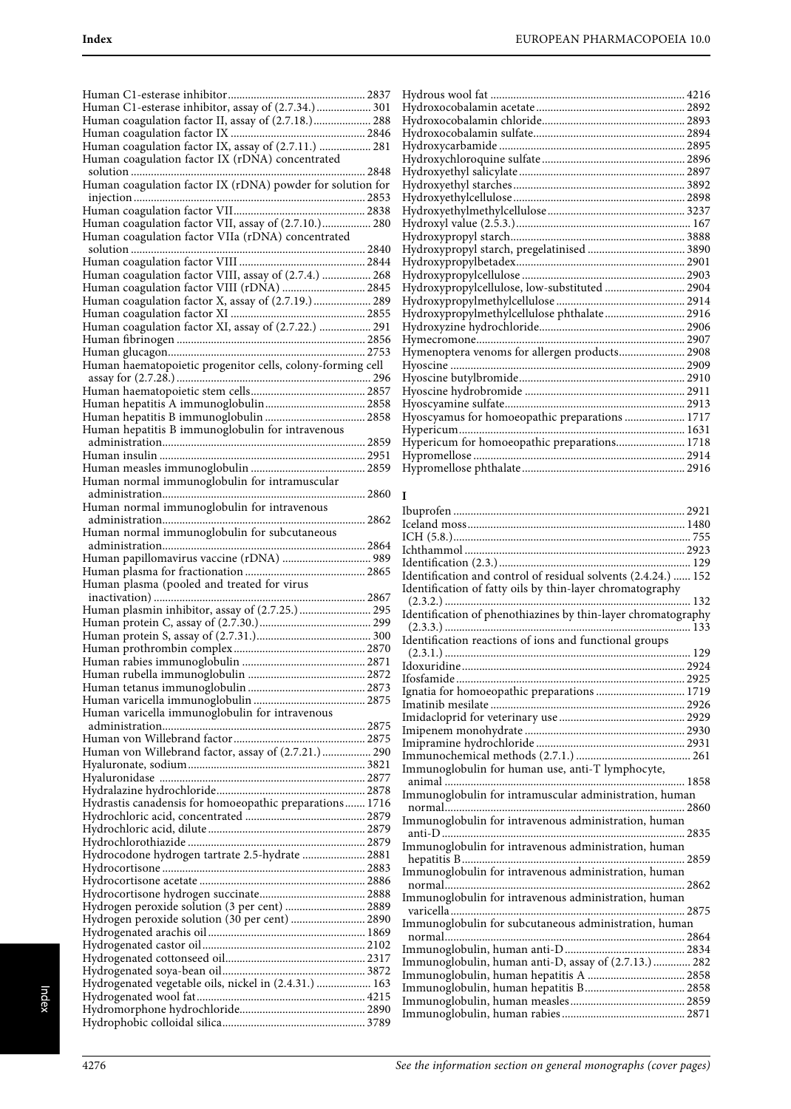| Human C1-esterase inhibitor, assay of (2.7.34.) 301        |
|------------------------------------------------------------|
| Human coagulation factor II, assay of (2.7.18.) 288        |
| Human coagulation factor IX, assay of (2.7.11.)  281       |
| Human coagulation factor IX (rDNA) concentrated            |
|                                                            |
| Human coagulation factor IX (rDNA) powder for solution for |
|                                                            |
|                                                            |
| Human coagulation factor VII, assay of (2.7.10.) 280       |
| Human coagulation factor VIIa (rDNA) concentrated          |
|                                                            |
| Human coagulation factor VIII, assay of (2.7.4.)  268      |
| Human coagulation factor VIII (rDNA)  2845                 |
| Human coagulation factor X, assay of (2.7.19.) 289         |
|                                                            |
| Human coagulation factor XI, assay of (2.7.22.)  291       |
|                                                            |
| Human haematopoietic progenitor cells, colony-forming cell |
|                                                            |
|                                                            |
|                                                            |
| Human hepatitis B immunoglobulin  2858                     |
| Human hepatitis B immunoglobulin for intravenous           |
|                                                            |
|                                                            |
| Human normal immunoglobulin for intramuscular              |
|                                                            |
| Human normal immunoglobulin for intravenous                |
|                                                            |
| Human normal immunoglobulin for subcutaneous               |
|                                                            |
|                                                            |
| Human papillomavirus vaccine (rDNA)  989                   |
|                                                            |
| Human plasma (pooled and treated for virus                 |
|                                                            |
|                                                            |
|                                                            |
|                                                            |
|                                                            |
|                                                            |
|                                                            |
|                                                            |
| Human varicella immunoglobulin for intravenous             |
|                                                            |
|                                                            |
| Human von Willebrand factor, assay of (2.7.21.) 290        |
|                                                            |
|                                                            |
| Hydrastis canadensis for homoeopathic preparations 1716    |
|                                                            |
|                                                            |
|                                                            |
| Hydrocodone hydrogen tartrate 2.5-hydrate  2881            |
|                                                            |
|                                                            |
| Hydrogen peroxide solution (3 per cent)  2889              |
| Hydrogen peroxide solution (30 per cent)  2890             |
|                                                            |
|                                                            |
|                                                            |
|                                                            |
| Hydrogenated vegetable oils, nickel in (2.4.31.)  163      |
|                                                            |

| Hydroxypropyl starch, pregelatinised  3890     |  |
|------------------------------------------------|--|
|                                                |  |
|                                                |  |
| Hydroxypropylcellulose, low-substituted  2904  |  |
|                                                |  |
| Hydroxypropylmethylcellulose phthalate 2916    |  |
|                                                |  |
|                                                |  |
| Hymenoptera venoms for allergen products 2908  |  |
|                                                |  |
|                                                |  |
|                                                |  |
|                                                |  |
| Hyoscyamus for homoeopathic preparations  1717 |  |
|                                                |  |
| Hypericum for homoeopathic preparations 1718   |  |
|                                                |  |
|                                                |  |

#### **I**

| Identification and control of residual solvents (2.4.24.)  152 |
|----------------------------------------------------------------|
| Identification of fatty oils by thin-layer chromatography      |
|                                                                |
|                                                                |
|                                                                |
| Identification reactions of ions and functional groups         |
|                                                                |
|                                                                |
|                                                                |
| Ignatia for homoeopathic preparations  1719                    |
|                                                                |
|                                                                |
|                                                                |
|                                                                |
|                                                                |
| Immunoglobulin for human use, anti-T lymphocyte,               |
|                                                                |
| Immunoglobulin for intramuscular administration, human         |
|                                                                |
| Immunoglobulin for intravenous administration, human           |
|                                                                |
| Immunoglobulin for intravenous administration, human           |
|                                                                |
| Immunoglobulin for intravenous administration, human           |
|                                                                |
| Immunoglobulin for intravenous administration, human           |
|                                                                |
| Immunoglobulin for subcutaneous administration, human          |
|                                                                |
|                                                                |
| Immunoglobulin, human anti-D, assay of (2.7.13.)  282          |
|                                                                |
|                                                                |
|                                                                |
|                                                                |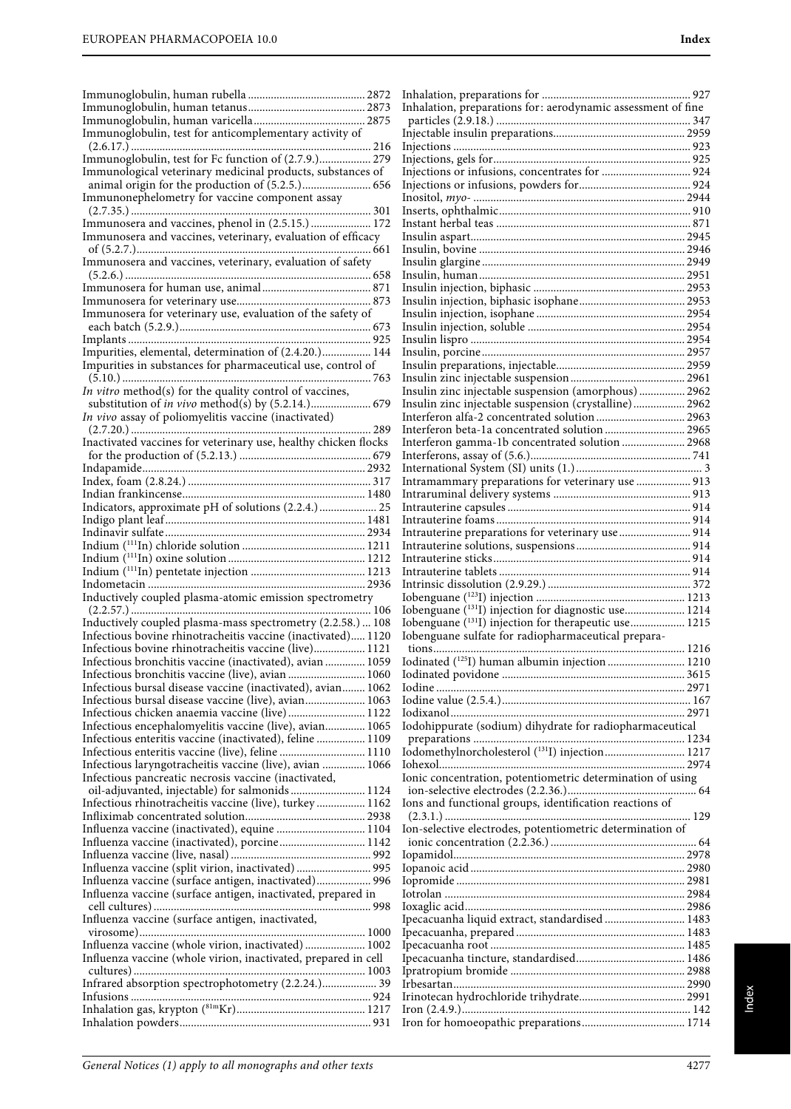|                                                                                                                     | Inhalation, preparations for: aerodynamic assessment of fine      |
|---------------------------------------------------------------------------------------------------------------------|-------------------------------------------------------------------|
|                                                                                                                     |                                                                   |
| Immunoglobulin, test for anticomplementary activity of                                                              |                                                                   |
|                                                                                                                     |                                                                   |
| Immunoglobulin, test for Fc function of (2.7.9.) 279<br>Immunological veterinary medicinal products, substances of  |                                                                   |
|                                                                                                                     |                                                                   |
| Immunonephelometry for vaccine component assay                                                                      |                                                                   |
|                                                                                                                     |                                                                   |
| Immunosera and vaccines, phenol in (2.5.15.)  172                                                                   |                                                                   |
| Immunosera and vaccines, veterinary, evaluation of efficacy                                                         |                                                                   |
|                                                                                                                     |                                                                   |
| Immunosera and vaccines, veterinary, evaluation of safety                                                           |                                                                   |
|                                                                                                                     |                                                                   |
|                                                                                                                     |                                                                   |
| Immunosera for veterinary use, evaluation of the safety of                                                          |                                                                   |
|                                                                                                                     |                                                                   |
|                                                                                                                     |                                                                   |
| Impurities, elemental, determination of (2.4.20.) 144                                                               |                                                                   |
| Impurities in substances for pharmaceutical use, control of                                                         |                                                                   |
|                                                                                                                     |                                                                   |
| In vitro method(s) for the quality control of vaccines,                                                             | Insulin zinc injectable suspension (amorphous) 2962               |
|                                                                                                                     | Insulin zinc injectable suspension (crystalline) 2962             |
| In vivo assay of poliomyelitis vaccine (inactivated)                                                                |                                                                   |
| Inactivated vaccines for veterinary use, healthy chicken flocks                                                     |                                                                   |
|                                                                                                                     |                                                                   |
|                                                                                                                     |                                                                   |
|                                                                                                                     | Intramammary preparations for veterinary use  913                 |
|                                                                                                                     |                                                                   |
| Indicators, approximate pH of solutions (2.2.4.)  25                                                                |                                                                   |
|                                                                                                                     |                                                                   |
|                                                                                                                     | Intrauterine preparations for veterinary use  914                 |
|                                                                                                                     |                                                                   |
|                                                                                                                     |                                                                   |
|                                                                                                                     |                                                                   |
| Inductively coupled plasma-atomic emission spectrometry                                                             |                                                                   |
|                                                                                                                     | Iobenguane (131I) injection for diagnostic use 1214               |
| Inductively coupled plasma-mass spectrometry (2.2.58.)  108                                                         | Iobenguane ( <sup>131</sup> I) injection for therapeutic use 1215 |
| Infectious bovine rhinotracheitis vaccine (inactivated) 1120                                                        | Iobenguane sulfate for radiopharmaceutical prepara-               |
| Infectious bovine rhinotracheitis vaccine (live) 1121                                                               |                                                                   |
| Infectious bronchitis vaccine (inactivated), avian  1059                                                            | Iodinated (125I) human albumin injection  1210                    |
|                                                                                                                     |                                                                   |
| Infectious bursal disease vaccine (inactivated), avian 1062<br>Infectious bursal disease vaccine (live), avian 1063 |                                                                   |
|                                                                                                                     |                                                                   |
| Infectious encephalomyelitis vaccine (live), avian 1065                                                             | Iodohippurate (sodium) dihydrate for radiopharmaceutical          |
| Infectious enteritis vaccine (inactivated), feline  1109                                                            |                                                                   |
|                                                                                                                     | Iodomethylnorcholesterol (131I) injection 1217                    |
| Infectious laryngotracheitis vaccine (live), avian  1066                                                            |                                                                   |
| Infectious pancreatic necrosis vaccine (inactivated,                                                                | Ionic concentration, potentiometric determination of using        |
| oil-adjuvanted, injectable) for salmonids  1124                                                                     |                                                                   |
| Infectious rhinotracheitis vaccine (live), turkey 1162                                                              | Ions and functional groups, identification reactions of           |
|                                                                                                                     | Ion-selective electrodes, potentiometric determination of         |
| Influenza vaccine (inactivated), equine  1104<br>Influenza vaccine (inactivated), porcine 1142                      |                                                                   |
|                                                                                                                     |                                                                   |
| Influenza vaccine (split virion, inactivated) 995                                                                   |                                                                   |
| Influenza vaccine (surface antigen, inactivated) 996                                                                |                                                                   |
| Influenza vaccine (surface antigen, inactivated, prepared in                                                        |                                                                   |
|                                                                                                                     |                                                                   |
| Influenza vaccine (surface antigen, inactivated,                                                                    | Ipecacuanha liquid extract, standardised 1483                     |
|                                                                                                                     |                                                                   |
| Influenza vaccine (whole virion, inactivated) 1002                                                                  |                                                                   |
| Influenza vaccine (whole virion, inactivated, prepared in cell                                                      |                                                                   |
| Infrared absorption spectrophotometry (2.2.24.) 39                                                                  |                                                                   |
|                                                                                                                     |                                                                   |
|                                                                                                                     |                                                                   |
|                                                                                                                     |                                                                   |
|                                                                                                                     |                                                                   |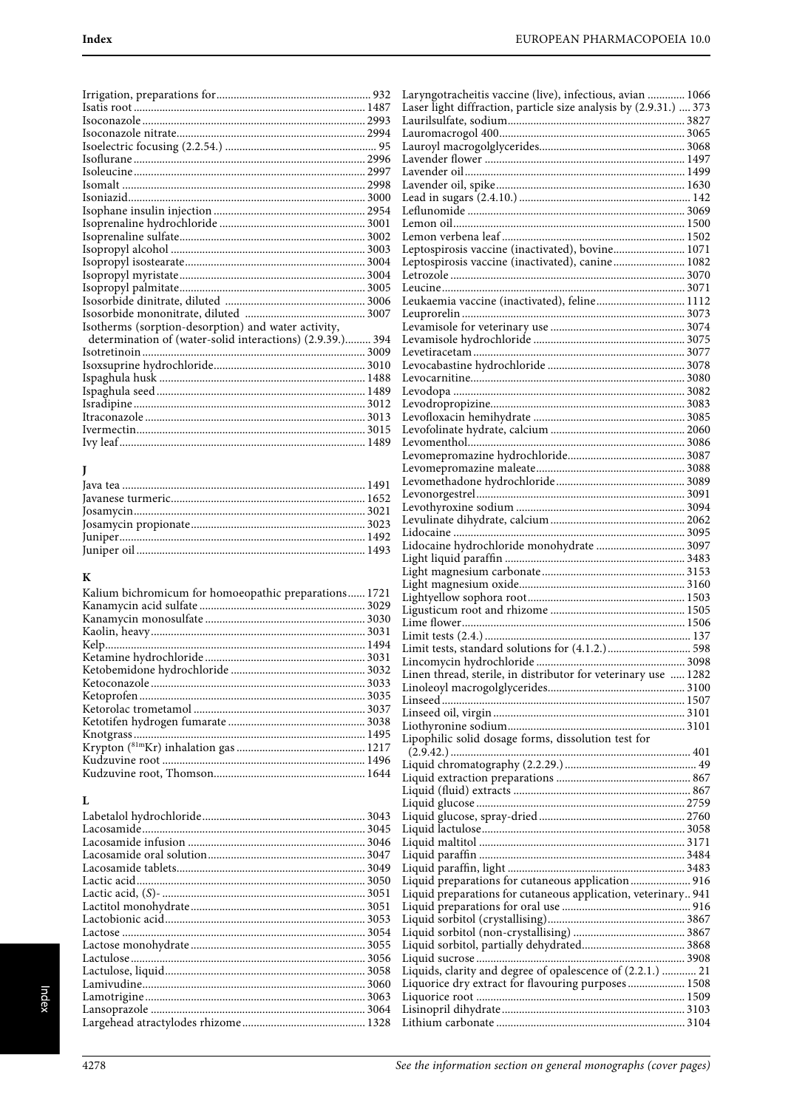| Isotherms (sorption-desorption) and water activity,       |  |
|-----------------------------------------------------------|--|
| determination of (water-solid interactions) (2.9.39.) 394 |  |
|                                                           |  |
|                                                           |  |
|                                                           |  |
|                                                           |  |
|                                                           |  |
|                                                           |  |
|                                                           |  |
|                                                           |  |
|                                                           |  |

## $\mathbf J$

# $\bf K$

| Kalium bichromicum for homoeopathic preparations 1721 |  |
|-------------------------------------------------------|--|
|                                                       |  |
|                                                       |  |
|                                                       |  |
|                                                       |  |
|                                                       |  |
|                                                       |  |
|                                                       |  |
|                                                       |  |
|                                                       |  |
|                                                       |  |
|                                                       |  |
|                                                       |  |
|                                                       |  |
|                                                       |  |

## $\mathbf L$

| 3043 |
|------|
| 3045 |
|      |
|      |
|      |
| 3050 |
|      |
|      |
|      |
|      |
|      |
|      |
|      |
|      |
|      |
|      |
|      |

| Laryngotracheitis vaccine (live), infectious, avian  1066         |  |
|-------------------------------------------------------------------|--|
| Laser light diffraction, particle size analysis by (2.9.31.)  373 |  |
|                                                                   |  |
|                                                                   |  |
|                                                                   |  |
|                                                                   |  |
|                                                                   |  |
|                                                                   |  |
|                                                                   |  |
|                                                                   |  |
|                                                                   |  |
|                                                                   |  |
|                                                                   |  |
|                                                                   |  |
|                                                                   |  |
|                                                                   |  |
| Leptospirosis vaccine (inactivated), bovine 1071                  |  |
|                                                                   |  |
| Leptospirosis vaccine (inactivated), canine 1082                  |  |
|                                                                   |  |
|                                                                   |  |
|                                                                   |  |
| Leukaemia vaccine (inactivated), feline 1112                      |  |
|                                                                   |  |
|                                                                   |  |
|                                                                   |  |
|                                                                   |  |
|                                                                   |  |
|                                                                   |  |
|                                                                   |  |
|                                                                   |  |
|                                                                   |  |
|                                                                   |  |
|                                                                   |  |
|                                                                   |  |
|                                                                   |  |
|                                                                   |  |
|                                                                   |  |
|                                                                   |  |
|                                                                   |  |
|                                                                   |  |
|                                                                   |  |
|                                                                   |  |
|                                                                   |  |
|                                                                   |  |
|                                                                   |  |
|                                                                   |  |
|                                                                   |  |
| Lidocaine hydrochloride monohydrate  3097                         |  |
|                                                                   |  |
|                                                                   |  |
|                                                                   |  |
|                                                                   |  |
|                                                                   |  |
|                                                                   |  |
|                                                                   |  |
|                                                                   |  |
|                                                                   |  |
|                                                                   |  |
|                                                                   |  |
| Limit tests, standard solutions for (4.1.2.) 598                  |  |
|                                                                   |  |
|                                                                   |  |
| Linen thread, sterile, in distributor for veterinary use  1282    |  |
|                                                                   |  |
|                                                                   |  |
|                                                                   |  |
|                                                                   |  |
|                                                                   |  |
|                                                                   |  |
| Lipophilic solid dosage forms, dissolution test for               |  |
|                                                                   |  |
|                                                                   |  |
|                                                                   |  |
|                                                                   |  |
|                                                                   |  |
|                                                                   |  |
|                                                                   |  |
|                                                                   |  |
|                                                                   |  |
|                                                                   |  |
|                                                                   |  |
|                                                                   |  |
|                                                                   |  |
|                                                                   |  |
| Liquid preparations for cutaneous application 916                 |  |
| Liquid preparations for cutaneous application, veterinary 941     |  |
|                                                                   |  |
|                                                                   |  |
|                                                                   |  |
|                                                                   |  |
|                                                                   |  |
|                                                                   |  |
|                                                                   |  |
|                                                                   |  |
| Liquids, clarity and degree of opalescence of (2.2.1.)  21        |  |
| Liquorice dry extract for flavouring purposes 1508                |  |
|                                                                   |  |
|                                                                   |  |
|                                                                   |  |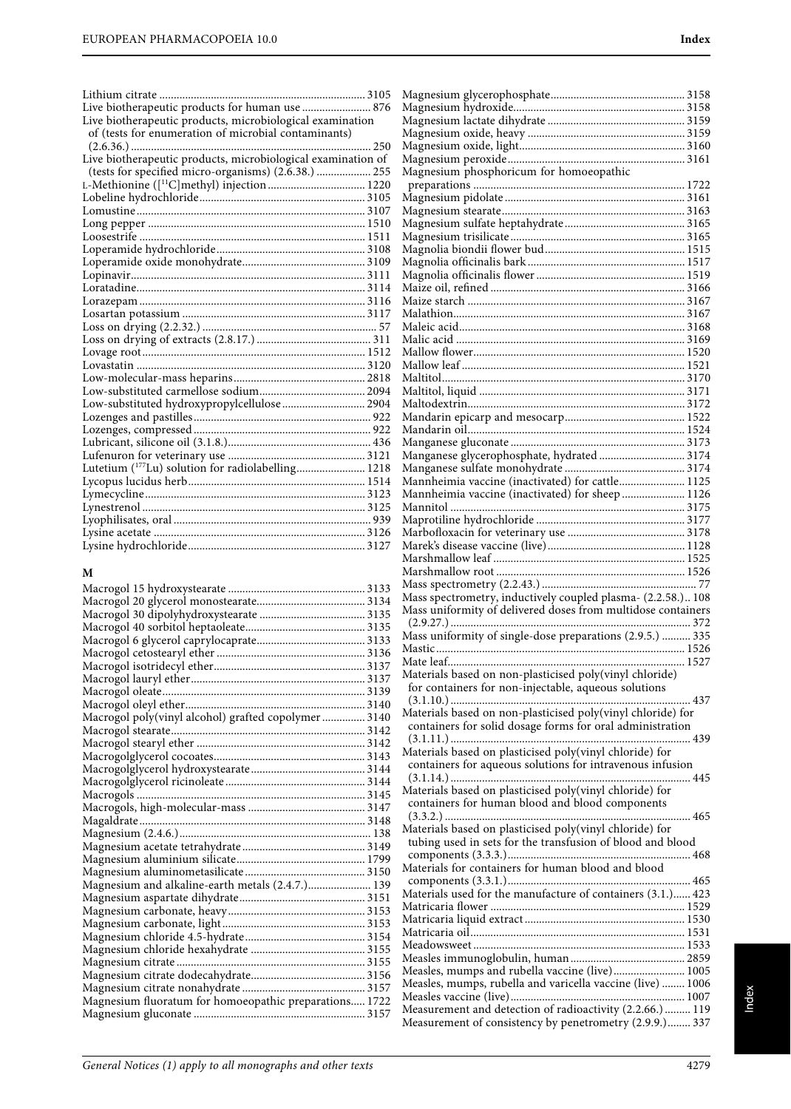| Live biotherapeutic products for human use  876                                                                   |                                                              |  |
|-------------------------------------------------------------------------------------------------------------------|--------------------------------------------------------------|--|
| Live biotherapeutic products, microbiological examination<br>of (tests for enumeration of microbial contaminants) |                                                              |  |
|                                                                                                                   |                                                              |  |
| Live biotherapeutic products, microbiological examination of                                                      |                                                              |  |
| (tests for specified micro-organisms) (2.6.38.)  255                                                              | Magnesium phosphoricum for homoeopathic                      |  |
|                                                                                                                   |                                                              |  |
|                                                                                                                   |                                                              |  |
|                                                                                                                   |                                                              |  |
|                                                                                                                   |                                                              |  |
|                                                                                                                   |                                                              |  |
|                                                                                                                   |                                                              |  |
|                                                                                                                   |                                                              |  |
|                                                                                                                   |                                                              |  |
|                                                                                                                   |                                                              |  |
|                                                                                                                   |                                                              |  |
|                                                                                                                   |                                                              |  |
|                                                                                                                   |                                                              |  |
|                                                                                                                   |                                                              |  |
|                                                                                                                   |                                                              |  |
|                                                                                                                   |                                                              |  |
|                                                                                                                   |                                                              |  |
|                                                                                                                   |                                                              |  |
| Low-substituted hydroxypropylcellulose  2904                                                                      |                                                              |  |
|                                                                                                                   |                                                              |  |
|                                                                                                                   |                                                              |  |
|                                                                                                                   |                                                              |  |
|                                                                                                                   | Manganese glycerophosphate, hydrated 3174                    |  |
| Lutetium ( <sup>177</sup> Lu) solution for radiolabelling 1218                                                    |                                                              |  |
|                                                                                                                   | Mannheimia vaccine (inactivated) for cattle 1125             |  |
|                                                                                                                   | Mannheimia vaccine (inactivated) for sheep  1126             |  |
|                                                                                                                   |                                                              |  |
|                                                                                                                   |                                                              |  |
|                                                                                                                   |                                                              |  |
|                                                                                                                   |                                                              |  |
|                                                                                                                   |                                                              |  |
| M                                                                                                                 |                                                              |  |
|                                                                                                                   | Mass spectrometry, inductively coupled plasma- (2.2.58.) 108 |  |
|                                                                                                                   | Mass uniformity of delivered doses from multidose containers |  |
|                                                                                                                   |                                                              |  |
|                                                                                                                   | Mass uniformity of single-dose preparations (2.9.5.)  335    |  |
|                                                                                                                   |                                                              |  |
|                                                                                                                   |                                                              |  |
|                                                                                                                   | Materials based on non-plasticised poly(vinyl chloride)      |  |
|                                                                                                                   | for containers for non-injectable, aqueous solutions         |  |
|                                                                                                                   |                                                              |  |
|                                                                                                                   | Materials based on non-plasticised poly(vinyl chloride) for  |  |
| Macrogol poly(vinyl alcohol) grafted copolymer 3140                                                               | containers for solid dosage forms for oral administration    |  |
|                                                                                                                   |                                                              |  |
|                                                                                                                   | Materials based on plasticised poly(vinyl chloride) for      |  |
|                                                                                                                   | containers for aqueous solutions for intravenous infusion    |  |
|                                                                                                                   |                                                              |  |
|                                                                                                                   | Materials based on plasticised poly(vinyl chloride) for      |  |
|                                                                                                                   | containers for human blood and blood components              |  |
|                                                                                                                   |                                                              |  |
|                                                                                                                   | Materials based on plasticised poly(vinyl chloride) for      |  |
|                                                                                                                   | tubing used in sets for the transfusion of blood and blood   |  |
|                                                                                                                   |                                                              |  |
|                                                                                                                   | Materials for containers for human blood and blood           |  |
| Magnesium and alkaline-earth metals (2.4.7.) 139                                                                  |                                                              |  |
|                                                                                                                   | Materials used for the manufacture of containers (3.1.) 423  |  |
|                                                                                                                   |                                                              |  |

Magnesium carbonate, light .................................................. 3153 Magnesium chloride 4.5-hydrate.......................................... 3154 Magnesium chloride hexahydrate ........................................ 3155 Magnesium citrate .................................................................. 3155 Magnesium citrate dodecahydrate........................................ 3156 Magnesium citrate nonahydrate ........................................... 3157 Magnesium fluoratum for homoeopathic preparations..... 1722 Magnesium gluconate ............................................................ 3157

Matricaria liquid extract ........................................................ 1530 Matricaria oil........................................................................... 1531 Meadowsweet .......................................................................... 1533 Measles immunoglobulin, human ........................................ 2859 Measles, mumps and rubella vaccine (live)......................... 1005 Measles, mumps, rubella and varicella vaccine (live) ........ 1006 Measles vaccine (live)............................................................. 1007 Measurement and detection of radioactivity (2.2.66.) ......... 119 Measurement of consistency by penetrometry (2.9.9.)........ 337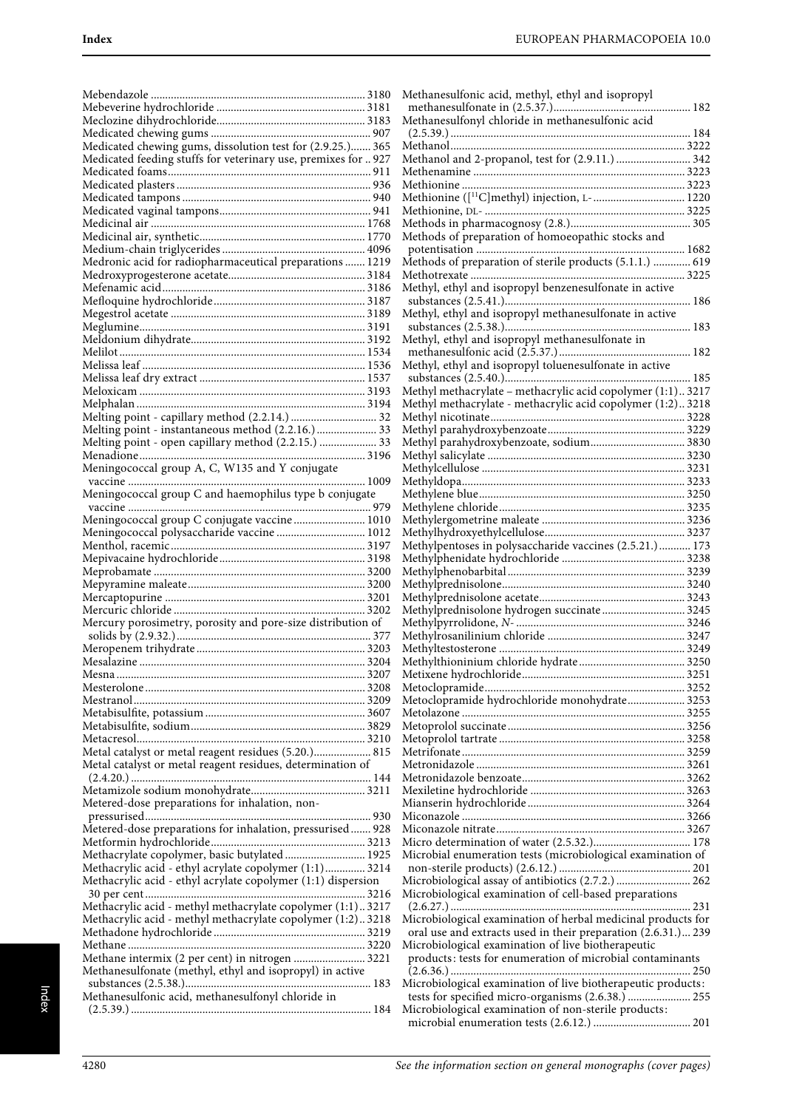| Medicated chewing gums, dissolution test for (2.9.25.) 365                                                    |  |
|---------------------------------------------------------------------------------------------------------------|--|
| Medicated feeding stuffs for veterinary use, premixes for  927                                                |  |
|                                                                                                               |  |
|                                                                                                               |  |
|                                                                                                               |  |
|                                                                                                               |  |
|                                                                                                               |  |
|                                                                                                               |  |
| Medronic acid for radiopharmaceutical preparations  1219                                                      |  |
|                                                                                                               |  |
|                                                                                                               |  |
|                                                                                                               |  |
|                                                                                                               |  |
|                                                                                                               |  |
|                                                                                                               |  |
|                                                                                                               |  |
|                                                                                                               |  |
| $\begin{minipage}{0.9\linewidth} Melphalan 3194 \\ Melting point - capillary method (2.2.14.) \end{minipage}$ |  |
| Melting point - instantaneous method (2.2.16.)  33<br>Melting point - open capillary method (2.2.15.)  33     |  |
|                                                                                                               |  |
| Meningococcal group A, C, W135 and Y conjugate                                                                |  |
|                                                                                                               |  |
| Meningococcal group C and haemophilus type b conjugate                                                        |  |
|                                                                                                               |  |
| Meningococcal group C conjugate vaccine  1010<br>Meningococcal polysaccharide vaccine  1012                   |  |
|                                                                                                               |  |
|                                                                                                               |  |
|                                                                                                               |  |
|                                                                                                               |  |
|                                                                                                               |  |
| Mercury porosimetry, porosity and pore-size distribution of                                                   |  |
|                                                                                                               |  |
|                                                                                                               |  |
|                                                                                                               |  |
|                                                                                                               |  |
|                                                                                                               |  |
|                                                                                                               |  |
|                                                                                                               |  |
| Metal catalyst or metal reagent residues (5.20.) 815                                                          |  |
| Metal catalyst or metal reagent residues, determination of                                                    |  |
|                                                                                                               |  |
| Metered-dose preparations for inhalation, non-                                                                |  |
|                                                                                                               |  |
| Metered-dose preparations for inhalation, pressurised 928                                                     |  |
|                                                                                                               |  |
| Methacrylate copolymer, basic butylated 1925<br>Methacrylic acid - ethyl acrylate copolymer (1:1) 3214        |  |
| Methacrylic acid - ethyl acrylate copolymer (1:1) dispersion                                                  |  |
|                                                                                                               |  |
| Methacrylic acid - methyl methacrylate copolymer (1:1)3217                                                    |  |
| Methacrylic acid - methyl methacrylate copolymer (1:2)3218                                                    |  |
|                                                                                                               |  |
| Methane intermix (2 per cent) in nitrogen  3221                                                               |  |
| Methanesulfonate (methyl, ethyl and isopropyl) in active                                                      |  |
| Methanesulfonic acid, methanesulfonyl chloride in                                                             |  |
|                                                                                                               |  |
|                                                                                                               |  |

| Methanesulfonic acid, methyl, ethyl and isopropyl                                                                             |
|-------------------------------------------------------------------------------------------------------------------------------|
|                                                                                                                               |
|                                                                                                                               |
|                                                                                                                               |
| Methanol and 2-propanol, test for (2.9.11.)  342                                                                              |
|                                                                                                                               |
| Methionine ([ <sup>11</sup> C]methyl) injection, L- 1220                                                                      |
|                                                                                                                               |
|                                                                                                                               |
|                                                                                                                               |
| Methods of preparation of sterile products (5.1.1.)  619                                                                      |
|                                                                                                                               |
| Methyl, ethyl and isopropyl benzenesulfonate in active                                                                        |
| Methyl, ethyl and isopropyl methanesulfonate in active                                                                        |
|                                                                                                                               |
| Methyl, ethyl and isopropyl methanesulfonate in                                                                               |
|                                                                                                                               |
| Methyl, ethyl and isopropyl toluenesulfonate in active                                                                        |
| Methyl methacrylate - methacrylic acid copolymer (1:1)3217                                                                    |
| Methyl methacrylate - methacrylic acid copolymer (1:2)3218                                                                    |
|                                                                                                                               |
|                                                                                                                               |
| Methyl parahydroxybenzoate, sodium 3830                                                                                       |
|                                                                                                                               |
|                                                                                                                               |
|                                                                                                                               |
|                                                                                                                               |
|                                                                                                                               |
| Methylpentoses in polysaccharide vaccines (2.5.21.)  173                                                                      |
|                                                                                                                               |
|                                                                                                                               |
|                                                                                                                               |
| Methylprednisolone hydrogen succinate 3245                                                                                    |
|                                                                                                                               |
|                                                                                                                               |
|                                                                                                                               |
|                                                                                                                               |
|                                                                                                                               |
| Metoclopramide hydrochloride monohydrate 3253                                                                                 |
|                                                                                                                               |
|                                                                                                                               |
|                                                                                                                               |
|                                                                                                                               |
|                                                                                                                               |
|                                                                                                                               |
|                                                                                                                               |
|                                                                                                                               |
|                                                                                                                               |
| Microbial enumeration tests (microbiological examination of                                                                   |
|                                                                                                                               |
| Microbiological assay of antibiotics (2.7.2.)  262                                                                            |
| Microbiological examination of cell-based preparations                                                                        |
|                                                                                                                               |
| Microbiological examination of herbal medicinal products for<br>oral use and extracts used in their preparation (2.6.31.) 239 |
| Microbiological examination of live biotherapeutic                                                                            |
| products: tests for enumeration of microbial contaminants                                                                     |
|                                                                                                                               |
| Microbiological examination of live biotherapeutic products:                                                                  |
| tests for specified micro-organisms (2.6.38.)  255<br>Microbiological examination of non-sterile products:                    |
|                                                                                                                               |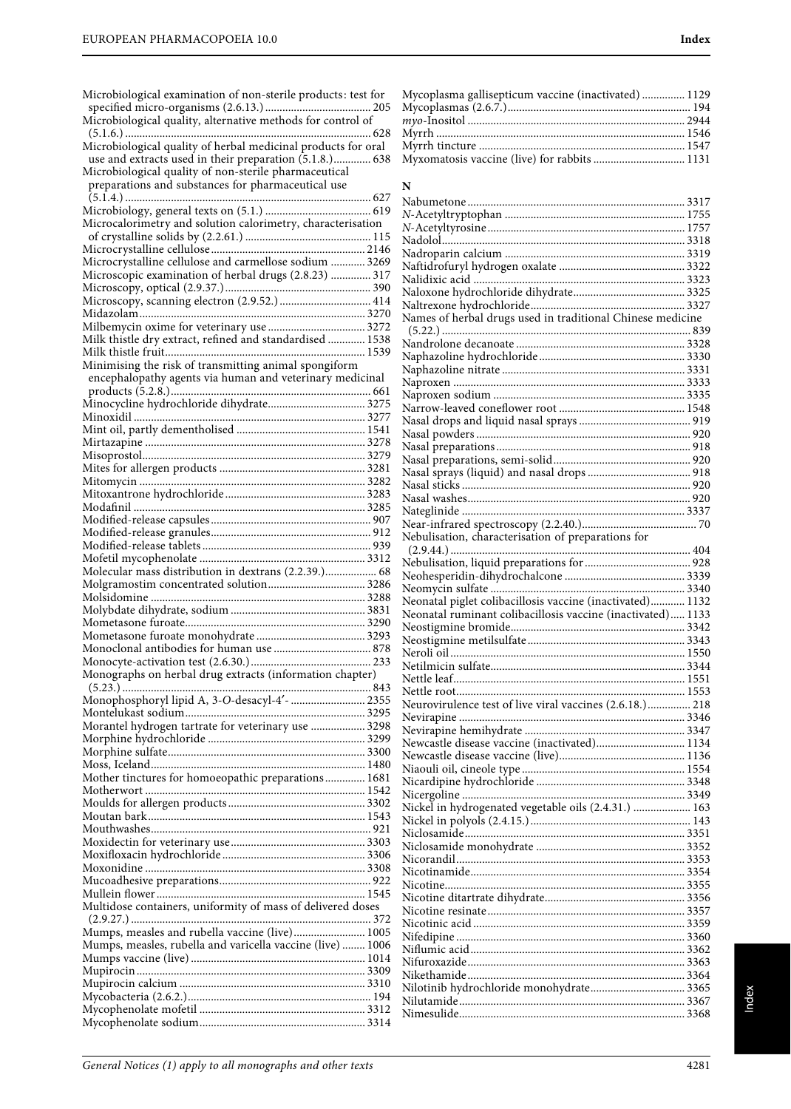| Microbiological examination of non-sterile products: test for                                                                                                          |
|------------------------------------------------------------------------------------------------------------------------------------------------------------------------|
| Microbiological quality of herbal medicinal products for oral                                                                                                          |
| use and extracts used in their preparation (5.1.8.) 638<br>Microbiological quality of non-sterile pharmaceutical<br>preparations and substances for pharmaceutical use |
| Microcalorimetry and solution calorimetry, characterisation                                                                                                            |
| Microcrystalline cellulose and carmellose sodium  3269                                                                                                                 |
| Microscopic examination of herbal drugs (2.8.23)  317                                                                                                                  |
|                                                                                                                                                                        |
| Microscopy, scanning electron (2.9.52.)  414                                                                                                                           |
|                                                                                                                                                                        |
| Milk thistle dry extract, refined and standardised  1538                                                                                                               |
|                                                                                                                                                                        |
| Minimising the risk of transmitting animal spongiform                                                                                                                  |
| encephalopathy agents via human and veterinary medicinal                                                                                                               |
| Minocycline hydrochloride dihydrate 3275                                                                                                                               |
|                                                                                                                                                                        |
|                                                                                                                                                                        |
|                                                                                                                                                                        |
|                                                                                                                                                                        |
|                                                                                                                                                                        |
|                                                                                                                                                                        |
|                                                                                                                                                                        |
|                                                                                                                                                                        |
|                                                                                                                                                                        |
|                                                                                                                                                                        |
|                                                                                                                                                                        |
| Molecular mass distribution in dextrans (2.2.39.) 68                                                                                                                   |
|                                                                                                                                                                        |
|                                                                                                                                                                        |
|                                                                                                                                                                        |
|                                                                                                                                                                        |
|                                                                                                                                                                        |
|                                                                                                                                                                        |
| Monographs on herbal drug extracts (information chapter)                                                                                                               |
|                                                                                                                                                                        |
|                                                                                                                                                                        |
| Morantel hydrogen tartrate for veterinary use  3298                                                                                                                    |
|                                                                                                                                                                        |
|                                                                                                                                                                        |
| Mother tinctures for homoeopathic preparations 1681                                                                                                                    |
|                                                                                                                                                                        |
|                                                                                                                                                                        |
|                                                                                                                                                                        |
|                                                                                                                                                                        |
|                                                                                                                                                                        |
|                                                                                                                                                                        |
|                                                                                                                                                                        |
|                                                                                                                                                                        |
| Multidose containers, uniformity of mass of delivered doses                                                                                                            |
|                                                                                                                                                                        |
| Mumps, measles and rubella vaccine (live) 1005                                                                                                                         |
| Mumps, measles, rubella and varicella vaccine (live)  1006                                                                                                             |
|                                                                                                                                                                        |
|                                                                                                                                                                        |
|                                                                                                                                                                        |
|                                                                                                                                                                        |
|                                                                                                                                                                        |

| Mycoplasma gallisepticum vaccine (inactivated) 1129 |  |
|-----------------------------------------------------|--|
|                                                     |  |
|                                                     |  |
|                                                     |  |
|                                                     |  |
| Myxomatosis vaccine (live) for rabbits  1131        |  |

## **N**

| Names of herbal drugs used in traditional Chinese medicine  |  |
|-------------------------------------------------------------|--|
|                                                             |  |
|                                                             |  |
|                                                             |  |
|                                                             |  |
|                                                             |  |
|                                                             |  |
|                                                             |  |
|                                                             |  |
|                                                             |  |
|                                                             |  |
|                                                             |  |
|                                                             |  |
|                                                             |  |
|                                                             |  |
|                                                             |  |
|                                                             |  |
|                                                             |  |
| Nebulisation, characterisation of preparations for          |  |
|                                                             |  |
|                                                             |  |
|                                                             |  |
|                                                             |  |
|                                                             |  |
|                                                             |  |
| Neonatal piglet colibacillosis vaccine (inactivated) 1132   |  |
| Neonatal ruminant colibacillosis vaccine (inactivated) 1133 |  |
|                                                             |  |
|                                                             |  |
|                                                             |  |
|                                                             |  |
|                                                             |  |
|                                                             |  |
| Neurovirulence test of live viral vaccines (2.6.18.) 218    |  |
|                                                             |  |
|                                                             |  |
| Newcastle disease vaccine (inactivated) 1134                |  |
|                                                             |  |
|                                                             |  |
|                                                             |  |
|                                                             |  |
| Nickel in hydrogenated vegetable oils (2.4.31.)  163        |  |
|                                                             |  |
|                                                             |  |
|                                                             |  |
|                                                             |  |
|                                                             |  |
|                                                             |  |
|                                                             |  |
|                                                             |  |
|                                                             |  |
|                                                             |  |
|                                                             |  |
|                                                             |  |
|                                                             |  |
| Nilotinib hydrochloride monohydrate 3365                    |  |
|                                                             |  |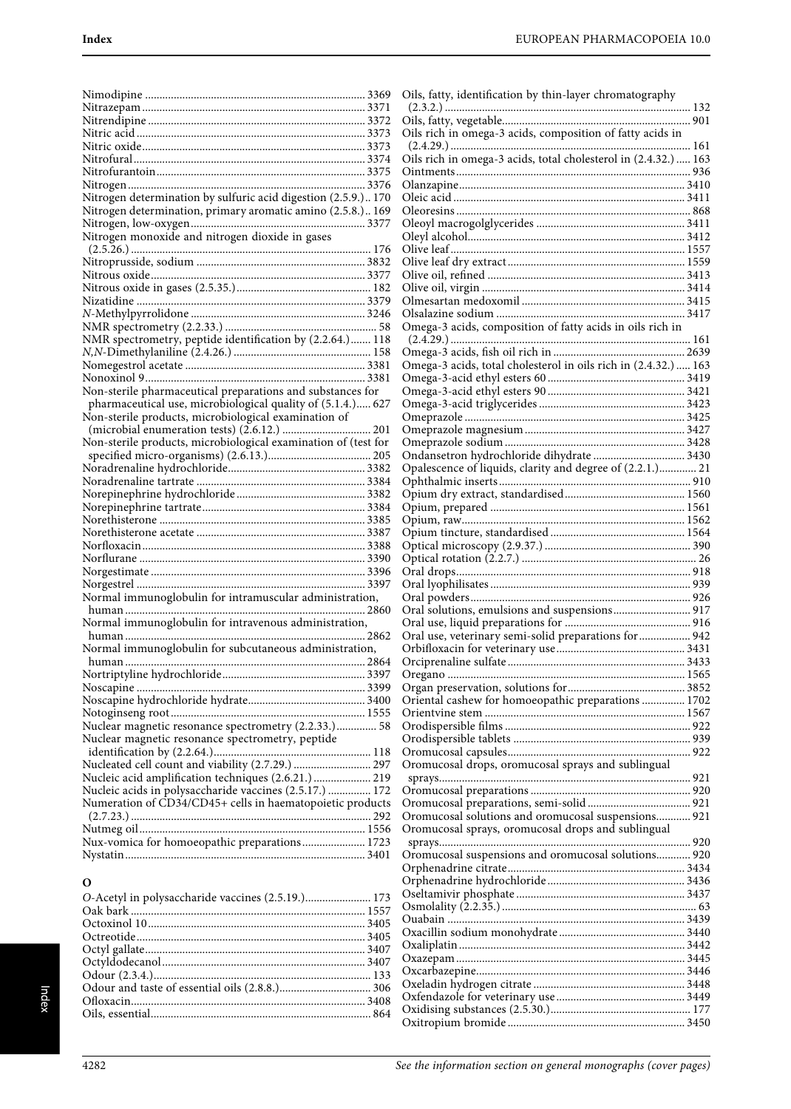Oils, fatty, identification by thin-layer chromatography (2.3.2.) ...................................................................................... 132 Oils, fatty, vegetable.................................................................. 901

| Nitrogen determination by sulfuric acid digestion (2.5.9.) 170<br>Nitrogen determination, primary aromatic amino (2.5.8.) 169<br>Nitrogen monoxide and nitrogen dioxide in gases<br>NMR spectrometry, peptide identification by (2.2.64.) 118<br>Non-sterile pharmaceutical preparations and substances for<br>pharmaceutical use, microbiological quality of (5.1.4.) 627<br>Non-sterile products, microbiological examination of<br>Non-sterile products, microbiological examination of (test for<br>Normal immunoglobulin for intramuscular administration,<br>Normal immunoglobulin for intravenous administration,<br>Normal immunoglobulin for subcutaneous administration,<br>2864<br>human<br>Nuclear magnetic resonance spectrometry (2.2.33.) 58<br>Nuclear magnetic resonance spectrometry, peptide<br>Nucleated cell count and viability (2.7.29.)  297<br>Nucleic acid amplification techniques (2.6.21.) 219<br>Nucleic acids in polysaccharide vaccines (2.5.17.)  172<br>Numeration of CD34/CD45+ cells in haematopoietic products<br>Nux-vomica for homoeopathic preparations 1723 |  |
|------------------------------------------------------------------------------------------------------------------------------------------------------------------------------------------------------------------------------------------------------------------------------------------------------------------------------------------------------------------------------------------------------------------------------------------------------------------------------------------------------------------------------------------------------------------------------------------------------------------------------------------------------------------------------------------------------------------------------------------------------------------------------------------------------------------------------------------------------------------------------------------------------------------------------------------------------------------------------------------------------------------------------------------------------------------------------------------------------|--|
|                                                                                                                                                                                                                                                                                                                                                                                                                                                                                                                                                                                                                                                                                                                                                                                                                                                                                                                                                                                                                                                                                                      |  |
|                                                                                                                                                                                                                                                                                                                                                                                                                                                                                                                                                                                                                                                                                                                                                                                                                                                                                                                                                                                                                                                                                                      |  |
|                                                                                                                                                                                                                                                                                                                                                                                                                                                                                                                                                                                                                                                                                                                                                                                                                                                                                                                                                                                                                                                                                                      |  |
|                                                                                                                                                                                                                                                                                                                                                                                                                                                                                                                                                                                                                                                                                                                                                                                                                                                                                                                                                                                                                                                                                                      |  |
|                                                                                                                                                                                                                                                                                                                                                                                                                                                                                                                                                                                                                                                                                                                                                                                                                                                                                                                                                                                                                                                                                                      |  |
|                                                                                                                                                                                                                                                                                                                                                                                                                                                                                                                                                                                                                                                                                                                                                                                                                                                                                                                                                                                                                                                                                                      |  |
|                                                                                                                                                                                                                                                                                                                                                                                                                                                                                                                                                                                                                                                                                                                                                                                                                                                                                                                                                                                                                                                                                                      |  |
|                                                                                                                                                                                                                                                                                                                                                                                                                                                                                                                                                                                                                                                                                                                                                                                                                                                                                                                                                                                                                                                                                                      |  |
|                                                                                                                                                                                                                                                                                                                                                                                                                                                                                                                                                                                                                                                                                                                                                                                                                                                                                                                                                                                                                                                                                                      |  |
|                                                                                                                                                                                                                                                                                                                                                                                                                                                                                                                                                                                                                                                                                                                                                                                                                                                                                                                                                                                                                                                                                                      |  |
|                                                                                                                                                                                                                                                                                                                                                                                                                                                                                                                                                                                                                                                                                                                                                                                                                                                                                                                                                                                                                                                                                                      |  |
|                                                                                                                                                                                                                                                                                                                                                                                                                                                                                                                                                                                                                                                                                                                                                                                                                                                                                                                                                                                                                                                                                                      |  |
|                                                                                                                                                                                                                                                                                                                                                                                                                                                                                                                                                                                                                                                                                                                                                                                                                                                                                                                                                                                                                                                                                                      |  |
|                                                                                                                                                                                                                                                                                                                                                                                                                                                                                                                                                                                                                                                                                                                                                                                                                                                                                                                                                                                                                                                                                                      |  |
|                                                                                                                                                                                                                                                                                                                                                                                                                                                                                                                                                                                                                                                                                                                                                                                                                                                                                                                                                                                                                                                                                                      |  |
|                                                                                                                                                                                                                                                                                                                                                                                                                                                                                                                                                                                                                                                                                                                                                                                                                                                                                                                                                                                                                                                                                                      |  |
|                                                                                                                                                                                                                                                                                                                                                                                                                                                                                                                                                                                                                                                                                                                                                                                                                                                                                                                                                                                                                                                                                                      |  |
|                                                                                                                                                                                                                                                                                                                                                                                                                                                                                                                                                                                                                                                                                                                                                                                                                                                                                                                                                                                                                                                                                                      |  |
|                                                                                                                                                                                                                                                                                                                                                                                                                                                                                                                                                                                                                                                                                                                                                                                                                                                                                                                                                                                                                                                                                                      |  |
|                                                                                                                                                                                                                                                                                                                                                                                                                                                                                                                                                                                                                                                                                                                                                                                                                                                                                                                                                                                                                                                                                                      |  |
|                                                                                                                                                                                                                                                                                                                                                                                                                                                                                                                                                                                                                                                                                                                                                                                                                                                                                                                                                                                                                                                                                                      |  |
|                                                                                                                                                                                                                                                                                                                                                                                                                                                                                                                                                                                                                                                                                                                                                                                                                                                                                                                                                                                                                                                                                                      |  |
|                                                                                                                                                                                                                                                                                                                                                                                                                                                                                                                                                                                                                                                                                                                                                                                                                                                                                                                                                                                                                                                                                                      |  |
|                                                                                                                                                                                                                                                                                                                                                                                                                                                                                                                                                                                                                                                                                                                                                                                                                                                                                                                                                                                                                                                                                                      |  |
|                                                                                                                                                                                                                                                                                                                                                                                                                                                                                                                                                                                                                                                                                                                                                                                                                                                                                                                                                                                                                                                                                                      |  |
|                                                                                                                                                                                                                                                                                                                                                                                                                                                                                                                                                                                                                                                                                                                                                                                                                                                                                                                                                                                                                                                                                                      |  |
|                                                                                                                                                                                                                                                                                                                                                                                                                                                                                                                                                                                                                                                                                                                                                                                                                                                                                                                                                                                                                                                                                                      |  |
|                                                                                                                                                                                                                                                                                                                                                                                                                                                                                                                                                                                                                                                                                                                                                                                                                                                                                                                                                                                                                                                                                                      |  |
|                                                                                                                                                                                                                                                                                                                                                                                                                                                                                                                                                                                                                                                                                                                                                                                                                                                                                                                                                                                                                                                                                                      |  |
|                                                                                                                                                                                                                                                                                                                                                                                                                                                                                                                                                                                                                                                                                                                                                                                                                                                                                                                                                                                                                                                                                                      |  |
|                                                                                                                                                                                                                                                                                                                                                                                                                                                                                                                                                                                                                                                                                                                                                                                                                                                                                                                                                                                                                                                                                                      |  |
|                                                                                                                                                                                                                                                                                                                                                                                                                                                                                                                                                                                                                                                                                                                                                                                                                                                                                                                                                                                                                                                                                                      |  |
|                                                                                                                                                                                                                                                                                                                                                                                                                                                                                                                                                                                                                                                                                                                                                                                                                                                                                                                                                                                                                                                                                                      |  |
|                                                                                                                                                                                                                                                                                                                                                                                                                                                                                                                                                                                                                                                                                                                                                                                                                                                                                                                                                                                                                                                                                                      |  |
|                                                                                                                                                                                                                                                                                                                                                                                                                                                                                                                                                                                                                                                                                                                                                                                                                                                                                                                                                                                                                                                                                                      |  |
|                                                                                                                                                                                                                                                                                                                                                                                                                                                                                                                                                                                                                                                                                                                                                                                                                                                                                                                                                                                                                                                                                                      |  |
|                                                                                                                                                                                                                                                                                                                                                                                                                                                                                                                                                                                                                                                                                                                                                                                                                                                                                                                                                                                                                                                                                                      |  |
|                                                                                                                                                                                                                                                                                                                                                                                                                                                                                                                                                                                                                                                                                                                                                                                                                                                                                                                                                                                                                                                                                                      |  |
|                                                                                                                                                                                                                                                                                                                                                                                                                                                                                                                                                                                                                                                                                                                                                                                                                                                                                                                                                                                                                                                                                                      |  |
|                                                                                                                                                                                                                                                                                                                                                                                                                                                                                                                                                                                                                                                                                                                                                                                                                                                                                                                                                                                                                                                                                                      |  |
|                                                                                                                                                                                                                                                                                                                                                                                                                                                                                                                                                                                                                                                                                                                                                                                                                                                                                                                                                                                                                                                                                                      |  |
|                                                                                                                                                                                                                                                                                                                                                                                                                                                                                                                                                                                                                                                                                                                                                                                                                                                                                                                                                                                                                                                                                                      |  |
|                                                                                                                                                                                                                                                                                                                                                                                                                                                                                                                                                                                                                                                                                                                                                                                                                                                                                                                                                                                                                                                                                                      |  |
|                                                                                                                                                                                                                                                                                                                                                                                                                                                                                                                                                                                                                                                                                                                                                                                                                                                                                                                                                                                                                                                                                                      |  |
|                                                                                                                                                                                                                                                                                                                                                                                                                                                                                                                                                                                                                                                                                                                                                                                                                                                                                                                                                                                                                                                                                                      |  |
|                                                                                                                                                                                                                                                                                                                                                                                                                                                                                                                                                                                                                                                                                                                                                                                                                                                                                                                                                                                                                                                                                                      |  |
|                                                                                                                                                                                                                                                                                                                                                                                                                                                                                                                                                                                                                                                                                                                                                                                                                                                                                                                                                                                                                                                                                                      |  |
|                                                                                                                                                                                                                                                                                                                                                                                                                                                                                                                                                                                                                                                                                                                                                                                                                                                                                                                                                                                                                                                                                                      |  |
|                                                                                                                                                                                                                                                                                                                                                                                                                                                                                                                                                                                                                                                                                                                                                                                                                                                                                                                                                                                                                                                                                                      |  |
|                                                                                                                                                                                                                                                                                                                                                                                                                                                                                                                                                                                                                                                                                                                                                                                                                                                                                                                                                                                                                                                                                                      |  |
|                                                                                                                                                                                                                                                                                                                                                                                                                                                                                                                                                                                                                                                                                                                                                                                                                                                                                                                                                                                                                                                                                                      |  |
|                                                                                                                                                                                                                                                                                                                                                                                                                                                                                                                                                                                                                                                                                                                                                                                                                                                                                                                                                                                                                                                                                                      |  |
|                                                                                                                                                                                                                                                                                                                                                                                                                                                                                                                                                                                                                                                                                                                                                                                                                                                                                                                                                                                                                                                                                                      |  |
|                                                                                                                                                                                                                                                                                                                                                                                                                                                                                                                                                                                                                                                                                                                                                                                                                                                                                                                                                                                                                                                                                                      |  |
|                                                                                                                                                                                                                                                                                                                                                                                                                                                                                                                                                                                                                                                                                                                                                                                                                                                                                                                                                                                                                                                                                                      |  |
|                                                                                                                                                                                                                                                                                                                                                                                                                                                                                                                                                                                                                                                                                                                                                                                                                                                                                                                                                                                                                                                                                                      |  |
|                                                                                                                                                                                                                                                                                                                                                                                                                                                                                                                                                                                                                                                                                                                                                                                                                                                                                                                                                                                                                                                                                                      |  |

| Oils rich in omega-3 acids, composition of fatty acids in       |
|-----------------------------------------------------------------|
|                                                                 |
| Oils rich in omega-3 acids, total cholesterol in (2.4.32.)  163 |
|                                                                 |
|                                                                 |
|                                                                 |
|                                                                 |
|                                                                 |
|                                                                 |
|                                                                 |
|                                                                 |
|                                                                 |
|                                                                 |
|                                                                 |
|                                                                 |
|                                                                 |
| Omega-3 acids, composition of fatty acids in oils rich in       |
|                                                                 |
|                                                                 |
| Omega-3 acids, total cholesterol in oils rich in (2.4.32.)  163 |
|                                                                 |
|                                                                 |
|                                                                 |
|                                                                 |
|                                                                 |
|                                                                 |
| Ondansetron hydrochloride dihydrate  3430                       |
|                                                                 |
| Opalescence of liquids, clarity and degree of (2.2.1.) 21       |
|                                                                 |
|                                                                 |
|                                                                 |
|                                                                 |
|                                                                 |
|                                                                 |
|                                                                 |
|                                                                 |
|                                                                 |
|                                                                 |
| Oral solutions, emulsions and suspensions 917                   |
|                                                                 |
| Oral use, veterinary semi-solid preparations for  942           |
|                                                                 |
|                                                                 |
|                                                                 |
|                                                                 |
|                                                                 |
| Oriental cashew for homoeopathic preparations  1702             |
|                                                                 |
|                                                                 |
|                                                                 |
|                                                                 |
| Oromucosal drops, oromucosal sprays and sublingual              |
|                                                                 |
|                                                                 |
|                                                                 |
| Oromucosal solutions and oromucosal suspensions 921             |
|                                                                 |
| Oromucosal sprays, oromucosal drops and sublingual              |
|                                                                 |
| Oromucosal suspensions and oromucosal solutions 920             |
|                                                                 |
|                                                                 |
|                                                                 |
|                                                                 |
|                                                                 |
|                                                                 |
|                                                                 |
|                                                                 |
|                                                                 |
|                                                                 |
|                                                                 |
|                                                                 |
|                                                                 |
|                                                                 |

## **O**

| O-Acetyl in polysaccharide vaccines (2.5.19.) 173 |  |
|---------------------------------------------------|--|
|                                                   |  |
|                                                   |  |
|                                                   |  |
|                                                   |  |
|                                                   |  |
|                                                   |  |
|                                                   |  |
|                                                   |  |
|                                                   |  |
|                                                   |  |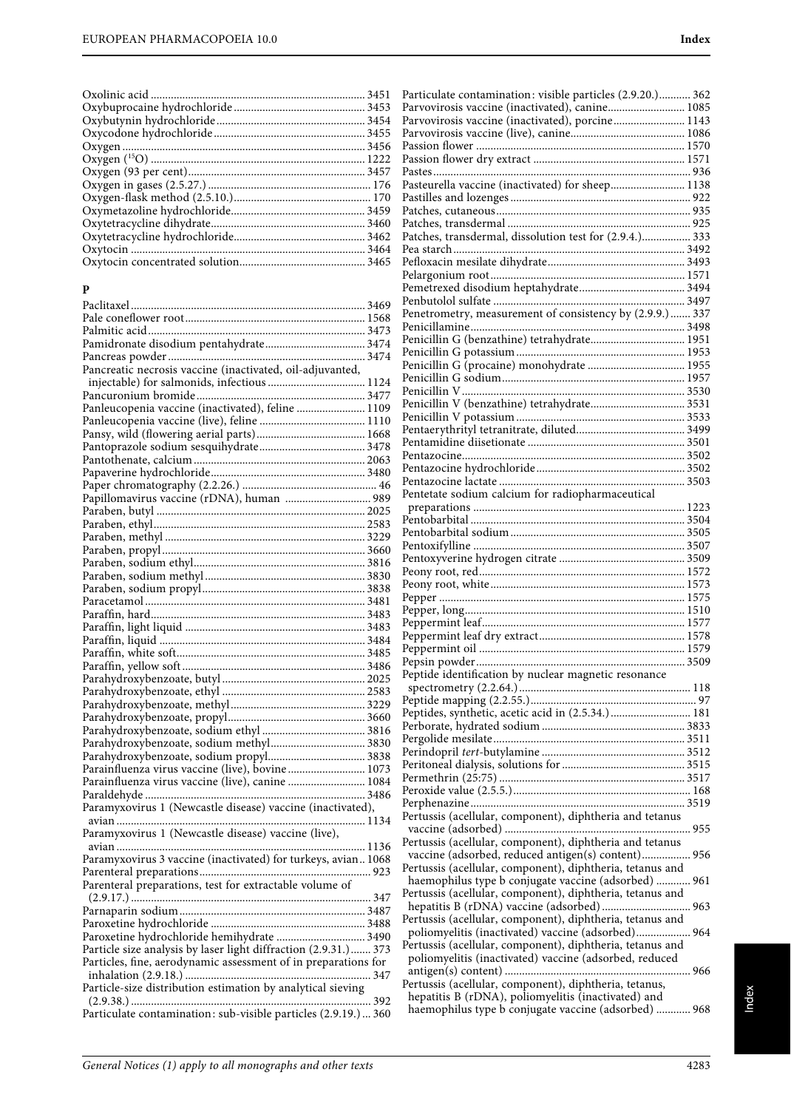| 3456 |
|------|
|      |
|      |
|      |
|      |
|      |
|      |
|      |
|      |
|      |
|      |

## **P**

| Pancreatic necrosis vaccine (inactivated, oil-adjuvanted,       |  |
|-----------------------------------------------------------------|--|
| injectable) for salmonids, infectious  1124                     |  |
|                                                                 |  |
|                                                                 |  |
|                                                                 |  |
|                                                                 |  |
|                                                                 |  |
|                                                                 |  |
|                                                                 |  |
|                                                                 |  |
| Papillomavirus vaccine (rDNA), human  989                       |  |
|                                                                 |  |
|                                                                 |  |
|                                                                 |  |
|                                                                 |  |
|                                                                 |  |
|                                                                 |  |
|                                                                 |  |
|                                                                 |  |
|                                                                 |  |
|                                                                 |  |
|                                                                 |  |
|                                                                 |  |
|                                                                 |  |
|                                                                 |  |
|                                                                 |  |
|                                                                 |  |
|                                                                 |  |
|                                                                 |  |
| Parahydroxybenzoate, sodium methyl 3830                         |  |
| Parahydroxybenzoate, sodium propyl 3838                         |  |
| Parainfluenza virus vaccine (live), bovine  1073                |  |
| Parainfluenza virus vaccine (live), canine  1084                |  |
|                                                                 |  |
| Paramyxovirus 1 (Newcastle disease) vaccine (inactivated),      |  |
|                                                                 |  |
| Paramyxovirus 1 (Newcastle disease) vaccine (live),             |  |
|                                                                 |  |
| Paramyxovirus 3 vaccine (inactivated) for turkeys, avian 1068   |  |
|                                                                 |  |
| Parenteral preparations, test for extractable volume of         |  |
|                                                                 |  |
|                                                                 |  |
| Paroxetine hydrochloride hemihydrate  3490                      |  |
| Particle size analysis by laser light diffraction (2.9.31.) 373 |  |
| Particles, fine, aerodynamic assessment of in preparations for  |  |
|                                                                 |  |
| Particle-size distribution estimation by analytical sieving     |  |
|                                                                 |  |
| Particulate contamination: sub-visible particles (2.9.19.)  360 |  |
|                                                                 |  |

| Parvovirosis vaccine (inactivated), canine 1085                                                               |  |
|---------------------------------------------------------------------------------------------------------------|--|
| Parvovirosis vaccine (inactivated), porcine 1143                                                              |  |
|                                                                                                               |  |
|                                                                                                               |  |
|                                                                                                               |  |
|                                                                                                               |  |
| Pasteurella vaccine (inactivated) for sheep 1138                                                              |  |
|                                                                                                               |  |
|                                                                                                               |  |
|                                                                                                               |  |
| Patches, transdermal, dissolution test for (2.9.4.) 333                                                       |  |
|                                                                                                               |  |
|                                                                                                               |  |
|                                                                                                               |  |
|                                                                                                               |  |
| Penetrometry, measurement of consistency by (2.9.9.) 337                                                      |  |
|                                                                                                               |  |
| Penicillin G (benzathine) tetrahydrate 1951                                                                   |  |
|                                                                                                               |  |
| Penicillin G (procaine) monohydrate  1955                                                                     |  |
|                                                                                                               |  |
|                                                                                                               |  |
| Penicillin V (benzathine) tetrahydrate 3531                                                                   |  |
|                                                                                                               |  |
|                                                                                                               |  |
|                                                                                                               |  |
|                                                                                                               |  |
|                                                                                                               |  |
|                                                                                                               |  |
|                                                                                                               |  |
| Pentetate sodium calcium for radiopharmaceutical                                                              |  |
|                                                                                                               |  |
|                                                                                                               |  |
|                                                                                                               |  |
|                                                                                                               |  |
|                                                                                                               |  |
|                                                                                                               |  |
|                                                                                                               |  |
|                                                                                                               |  |
|                                                                                                               |  |
|                                                                                                               |  |
|                                                                                                               |  |
|                                                                                                               |  |
|                                                                                                               |  |
|                                                                                                               |  |
| Peptide identification by nuclear magnetic resonance                                                          |  |
|                                                                                                               |  |
|                                                                                                               |  |
| Peptides, synthetic, acetic acid in (2.5.34.)  181                                                            |  |
|                                                                                                               |  |
|                                                                                                               |  |
|                                                                                                               |  |
|                                                                                                               |  |
|                                                                                                               |  |
|                                                                                                               |  |
|                                                                                                               |  |
| Pertussis (acellular, component), diphtheria and tetanus                                                      |  |
|                                                                                                               |  |
| Pertussis (acellular, component), diphtheria and tetanus                                                      |  |
| vaccine (adsorbed, reduced antigen(s) content) 956                                                            |  |
| Pertussis (acellular, component), diphtheria, tetanus and                                                     |  |
| haemophilus type b conjugate vaccine (adsorbed)  961                                                          |  |
| Pertussis (acellular, component), diphtheria, tetanus and                                                     |  |
| hepatitis B (rDNA) vaccine (adsorbed)  963                                                                    |  |
| Pertussis (acellular, component), diphtheria, tetanus and                                                     |  |
| poliomyelitis (inactivated) vaccine (adsorbed) 964                                                            |  |
| Pertussis (acellular, component), diphtheria, tetanus and                                                     |  |
| poliomyelitis (inactivated) vaccine (adsorbed, reduced                                                        |  |
|                                                                                                               |  |
| Pertussis (acellular, component), diphtheria, tetanus,<br>hepatitis B (rDNA), poliomyelitis (inactivated) and |  |

Particulate contamination: visible particles (2.9.20.)........... 362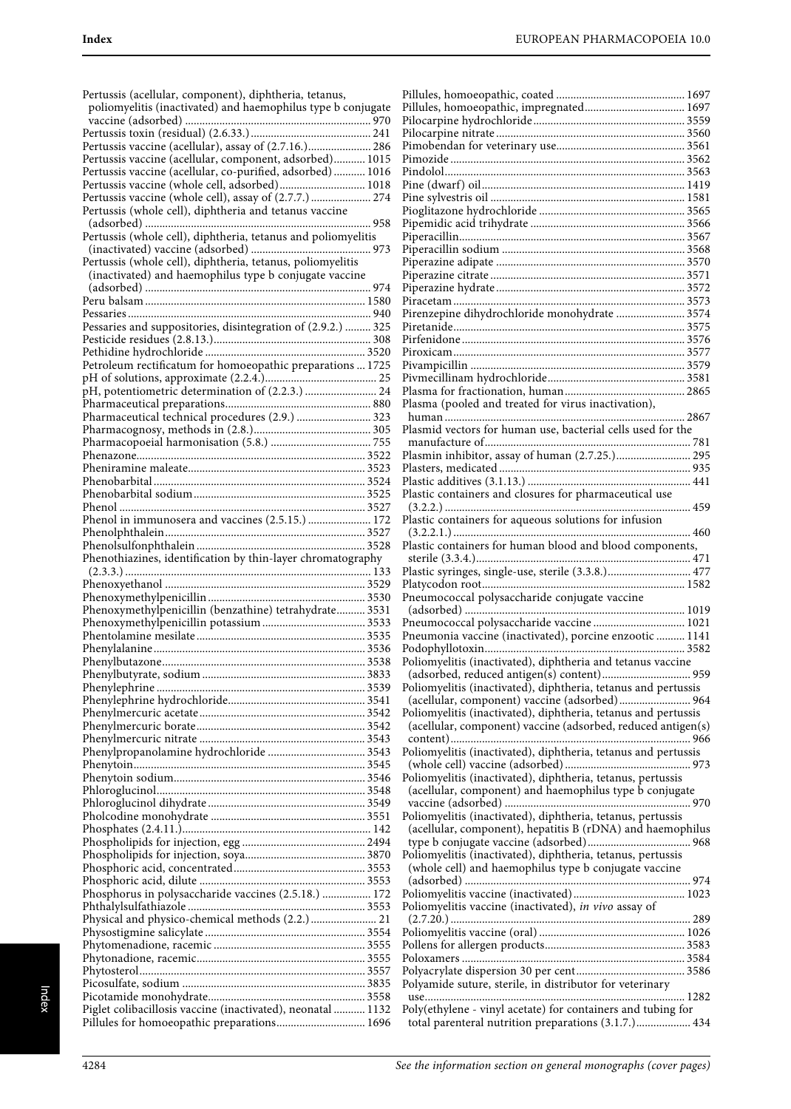| Pertussis (acellular, component), diphtheria, tetanus,<br>poliomyelitis (inactivated) and haemophilus type b conjugate |
|------------------------------------------------------------------------------------------------------------------------|
|                                                                                                                        |
|                                                                                                                        |
| Pertussis vaccine (acellular), assay of (2.7.16.) 286                                                                  |
| Pertussis vaccine (acellular, component, adsorbed) 1015                                                                |
| Pertussis vaccine (acellular, co-purified, adsorbed)  1016                                                             |
| Pertussis vaccine (whole cell, adsorbed) 1018                                                                          |
| Pertussis vaccine (whole cell), assay of (2.7.7.)  274                                                                 |
| Pertussis (whole cell), diphtheria and tetanus vaccine                                                                 |
|                                                                                                                        |
| Pertussis (whole cell), diphtheria, tetanus and poliomyelitis                                                          |
|                                                                                                                        |
|                                                                                                                        |
| Pertussis (whole cell), diphtheria, tetanus, poliomyelitis                                                             |
| (inactivated) and haemophilus type b conjugate vaccine                                                                 |
|                                                                                                                        |
|                                                                                                                        |
|                                                                                                                        |
| Pessaries and suppositories, disintegration of (2.9.2.)  325                                                           |
|                                                                                                                        |
|                                                                                                                        |
|                                                                                                                        |
| Petroleum rectificatum for homoeopathic preparations  1725                                                             |
|                                                                                                                        |
| pH, potentiometric determination of (2.2.3.)  24                                                                       |
|                                                                                                                        |
| Pharmaceutical technical procedures (2.9.)  323                                                                        |
|                                                                                                                        |
|                                                                                                                        |
|                                                                                                                        |
|                                                                                                                        |
|                                                                                                                        |
|                                                                                                                        |
|                                                                                                                        |
|                                                                                                                        |
| Phenol in immunosera and vaccines (2.5.15.)  172                                                                       |
|                                                                                                                        |
|                                                                                                                        |
|                                                                                                                        |
| Phenothiazines, identification by thin-layer chromatography                                                            |
|                                                                                                                        |
|                                                                                                                        |
|                                                                                                                        |
|                                                                                                                        |
|                                                                                                                        |
| Phenoxymethylpenicillin (benzathine) tetrahydrate 3531                                                                 |
|                                                                                                                        |
|                                                                                                                        |
|                                                                                                                        |
|                                                                                                                        |
|                                                                                                                        |
|                                                                                                                        |
|                                                                                                                        |
|                                                                                                                        |
|                                                                                                                        |
|                                                                                                                        |
|                                                                                                                        |
|                                                                                                                        |
|                                                                                                                        |
|                                                                                                                        |
|                                                                                                                        |
|                                                                                                                        |
|                                                                                                                        |
|                                                                                                                        |
|                                                                                                                        |
|                                                                                                                        |
|                                                                                                                        |
|                                                                                                                        |
|                                                                                                                        |
| Phosphorus in polysaccharide vaccines (2.5.18.)  172                                                                   |
|                                                                                                                        |
| Physical and physico-chemical methods (2.2.) 21                                                                        |
|                                                                                                                        |
|                                                                                                                        |
|                                                                                                                        |
|                                                                                                                        |
|                                                                                                                        |
|                                                                                                                        |
|                                                                                                                        |
| Piglet colibacillosis vaccine (inactivated), neonatal  1132<br>Pillules for homoeopathic preparations 1696             |

| Pillules, homoeopathic, impregnated 1697                                                                                       |
|--------------------------------------------------------------------------------------------------------------------------------|
|                                                                                                                                |
|                                                                                                                                |
|                                                                                                                                |
|                                                                                                                                |
|                                                                                                                                |
|                                                                                                                                |
|                                                                                                                                |
|                                                                                                                                |
|                                                                                                                                |
|                                                                                                                                |
|                                                                                                                                |
|                                                                                                                                |
| Pirenzepine dihydrochloride monohydrate  3574                                                                                  |
|                                                                                                                                |
|                                                                                                                                |
|                                                                                                                                |
|                                                                                                                                |
|                                                                                                                                |
|                                                                                                                                |
| Plasma (pooled and treated for virus inactivation),                                                                            |
| Plasmid vectors for human use, bacterial cells used for the                                                                    |
|                                                                                                                                |
| Plasmin inhibitor, assay of human (2.7.25.) 295                                                                                |
|                                                                                                                                |
|                                                                                                                                |
| Plastic containers and closures for pharmaceutical use                                                                         |
| Plastic containers for aqueous solutions for infusion                                                                          |
|                                                                                                                                |
| Plastic containers for human blood and blood components,                                                                       |
|                                                                                                                                |
|                                                                                                                                |
|                                                                                                                                |
|                                                                                                                                |
|                                                                                                                                |
|                                                                                                                                |
| Pneumococcal polysaccharide vaccine  1021                                                                                      |
| Pneumonia vaccine (inactivated), porcine enzootic  1141                                                                        |
| Poliomyelitis (inactivated), diphtheria and tetanus vaccine                                                                    |
|                                                                                                                                |
| Poliomyelitis (inactivated), diphtheria, tetanus and pertussis                                                                 |
| (acellular, component) vaccine (adsorbed) 964                                                                                  |
| Poliomyelitis (inactivated), diphtheria, tetanus and pertussis<br>(acellular, component) vaccine (adsorbed, reduced antigen(s) |
|                                                                                                                                |
| Poliomyelitis (inactivated), diphtheria, tetanus and pertussis                                                                 |
|                                                                                                                                |
| Poliomyelitis (inactivated), diphtheria, tetanus, pertussis                                                                    |
| (acellular, component) and haemophilus type b conjugate                                                                        |
| Poliomyelitis (inactivated), diphtheria, tetanus, pertussis                                                                    |
| (acellular, component), hepatitis B (rDNA) and haemophilus                                                                     |
|                                                                                                                                |
| Poliomyelitis (inactivated), diphtheria, tetanus, pertussis                                                                    |
| (whole cell) and haemophilus type b conjugate vaccine                                                                          |
|                                                                                                                                |
| Poliomyelitis vaccine (inactivated), in vivo assay of                                                                          |
|                                                                                                                                |
|                                                                                                                                |
|                                                                                                                                |
|                                                                                                                                |
|                                                                                                                                |
| Polyamide suture, sterile, in distributor for veterinary                                                                       |
| Poly(ethylene - vinyl acetate) for containers and tubing for<br>total parenteral nutrition preparations (3.1.7.) 434           |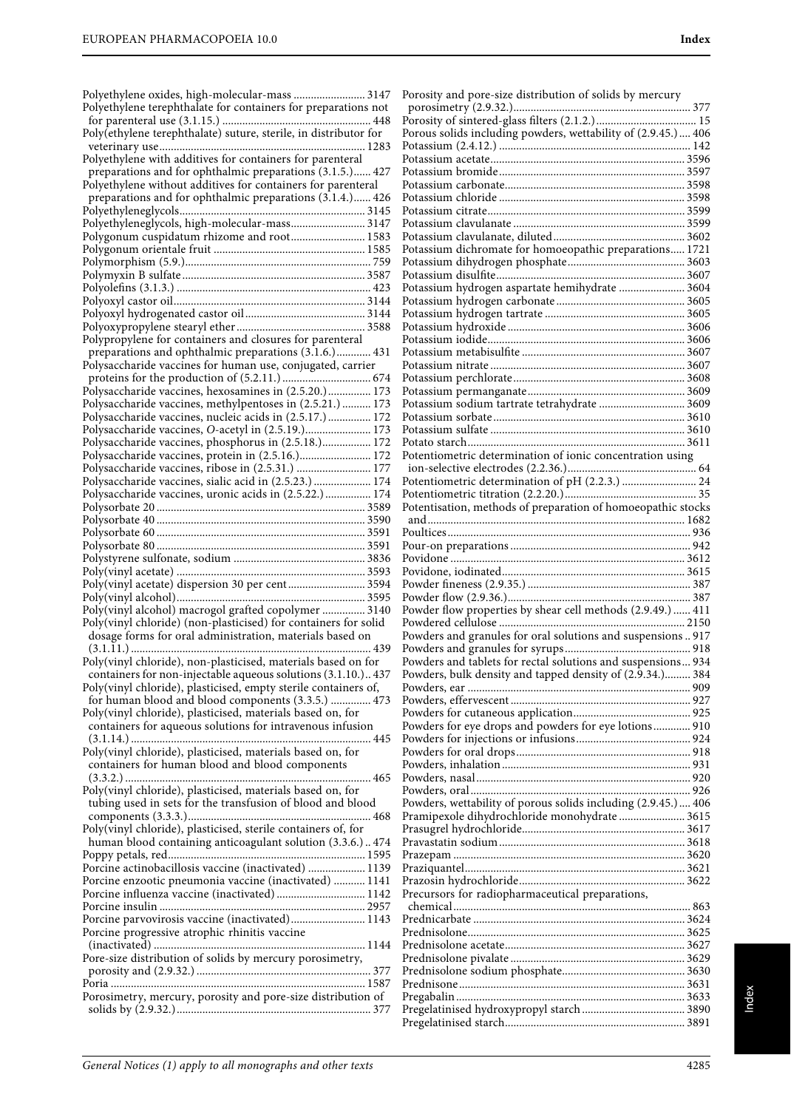| Polyethylene oxides, high-molecular-mass  3147                  | I |
|-----------------------------------------------------------------|---|
| Polyethylene terephthalate for containers for preparations not  |   |
|                                                                 | I |
|                                                                 | I |
|                                                                 | I |
| Polyethylene with additives for containers for parenteral       | I |
|                                                                 | I |
| preparations and for ophthalmic preparations (3.1.5.) 427       |   |
| Polyethylene without additives for containers for parenteral    | I |
| preparations and for ophthalmic preparations (3.1.4.) 426       | I |
|                                                                 | I |
| Polyethyleneglycols, high-molecular-mass 3147                   | I |
| Polygonum cuspidatum rhizome and root 1583                      | I |
|                                                                 | I |
|                                                                 | I |
|                                                                 | I |
|                                                                 | I |
|                                                                 | I |
|                                                                 | I |
|                                                                 | I |
| Polypropylene for containers and closures for parenteral        | I |
| preparations and ophthalmic preparations (3.1.6.) 431           | I |
| Polysaccharide vaccines for human use, conjugated, carrier      | I |
|                                                                 | I |
| Polysaccharide vaccines, hexosamines in (2.5.20.) 173           | I |
| Polysaccharide vaccines, methylpentoses in (2.5.21.)  173       | I |
|                                                                 |   |
| Polysaccharide vaccines, nucleic acids in (2.5.17.) 172         | I |
| Polysaccharide vaccines, O-acetyl in (2.5.19.) 173              | I |
| Polysaccharide vaccines, phosphorus in (2.5.18.) 172            | I |
| Polysaccharide vaccines, protein in (2.5.16.) 172               | I |
| Polysaccharide vaccines, ribose in (2.5.31.)  177               |   |
| Polysaccharide vaccines, sialic acid in (2.5.23.)  174          | I |
| Polysaccharide vaccines, uronic acids in (2.5.22.)  174         | I |
|                                                                 | I |
|                                                                 |   |
|                                                                 | I |
|                                                                 | I |
|                                                                 | I |
|                                                                 | I |
| Poly(vinyl acetate) dispersion 30 per cent 3594                 | I |
|                                                                 | I |
| Poly(vinyl alcohol) macrogol grafted copolymer  3140            | I |
| Poly(vinyl chloride) (non-plasticised) for containers for solid | I |
| dosage forms for oral administration, materials based on        | I |
|                                                                 | I |
| Poly(vinyl chloride), non-plasticised, materials based on for   | I |
|                                                                 | F |
| containers for non-injectable aqueous solutions (3.1.10.) 437   |   |
| Poly(vinyl chloride), plasticised, empty sterile containers of, | I |
| for human blood and blood components (3.3.5.)  473              | I |
| Poly(vinyl chloride), plasticised, materials based on, for      | F |
| containers for aqueous solutions for intravenous infusion       | I |
|                                                                 | F |
| Poly(vinyl chloride), plasticised, materials based on, for      | F |
| containers for human blood and blood components                 | F |
|                                                                 | F |
| Poly(vinyl chloride), plasticised, materials based on, for      | F |
| tubing used in sets for the transfusion of blood and blood      | F |
|                                                                 | F |
| Poly(vinyl chloride), plasticised, sterile containers of, for   | F |
| human blood containing anticoagulant solution (3.3.6.) 474      | I |
|                                                                 | I |
| Porcine actinobacillosis vaccine (inactivated)  1139            | F |
| Porcine enzootic pneumonia vaccine (inactivated)  1141          | I |
|                                                                 | I |
|                                                                 |   |
| Porcine parvovirosis vaccine (inactivated) 1143                 | I |
|                                                                 | I |
| Porcine progressive atrophic rhinitis vaccine                   | I |
|                                                                 |   |
| Pore-size distribution of solids by mercury porosimetry,        | I |
|                                                                 | I |
|                                                                 | I |
| Porosimetry, mercury, porosity and pore-size distribution of    | I |
|                                                                 | I |
|                                                                 | I |

| Porosity and pore-size distribution of solids by mercury      |  |
|---------------------------------------------------------------|--|
|                                                               |  |
|                                                               |  |
| Porous solids including powders, wettability of (2.9.45.) 406 |  |
|                                                               |  |
|                                                               |  |
|                                                               |  |
|                                                               |  |
|                                                               |  |
|                                                               |  |
|                                                               |  |
| Potassium dichromate for homoeopathic preparations 1721       |  |
|                                                               |  |
|                                                               |  |
| Potassium hydrogen aspartate hemihydrate  3604                |  |
|                                                               |  |
|                                                               |  |
|                                                               |  |
|                                                               |  |
|                                                               |  |
|                                                               |  |
|                                                               |  |
|                                                               |  |
| Potassium sodium tartrate tetrahydrate  3609                  |  |
|                                                               |  |
|                                                               |  |
|                                                               |  |
| Potentiometric determination of ionic concentration using     |  |
|                                                               |  |
|                                                               |  |
|                                                               |  |
| Potentisation, methods of preparation of homoeopathic stocks  |  |
|                                                               |  |
|                                                               |  |
|                                                               |  |
|                                                               |  |
|                                                               |  |
|                                                               |  |
|                                                               |  |
|                                                               |  |
|                                                               |  |
| Powders and granules for oral solutions and suspensions 917   |  |
|                                                               |  |
| Powders and tablets for rectal solutions and suspensions 934  |  |
| Powders, bulk density and tapped density of (2.9.34.) 384     |  |
|                                                               |  |
|                                                               |  |
|                                                               |  |
| Powders for eye drops and powders for eye lotions 910         |  |
|                                                               |  |
|                                                               |  |
|                                                               |  |
|                                                               |  |
|                                                               |  |
| Powders, wettability of porous solids including (2.9.45.) 406 |  |
| Pramipexole dihydrochloride monohydrate  3615                 |  |
|                                                               |  |
|                                                               |  |
|                                                               |  |
|                                                               |  |
|                                                               |  |
| Precursors for radiopharmaceutical preparations,              |  |
|                                                               |  |
|                                                               |  |
|                                                               |  |
|                                                               |  |
|                                                               |  |
|                                                               |  |
|                                                               |  |
|                                                               |  |
|                                                               |  |
|                                                               |  |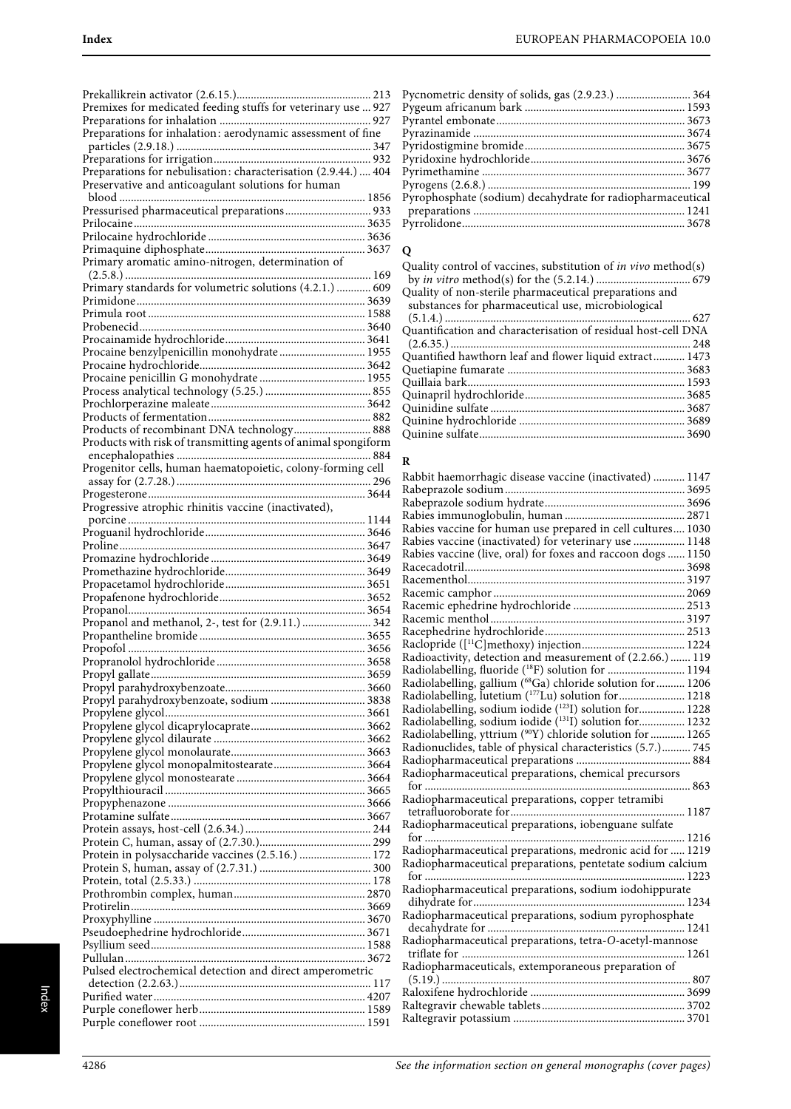| Premixes for medicated feeding stuffs for veterinary use  927  |  |
|----------------------------------------------------------------|--|
|                                                                |  |
|                                                                |  |
|                                                                |  |
|                                                                |  |
|                                                                |  |
| Preparations for nebulisation: characterisation (2.9.44.)  404 |  |
|                                                                |  |
| Preservative and anticoagulant solutions for human             |  |
|                                                                |  |
| Pressurised pharmaceutical preparations 933                    |  |
|                                                                |  |
|                                                                |  |
|                                                                |  |
|                                                                |  |
| Primary aromatic amino-nitrogen, determination of              |  |
|                                                                |  |
| Primary standards for volumetric solutions (4.2.1.)  609       |  |
|                                                                |  |
|                                                                |  |
|                                                                |  |
|                                                                |  |
|                                                                |  |
| Procaine benzylpenicillin monohydrate 1955                     |  |
|                                                                |  |
|                                                                |  |
|                                                                |  |
|                                                                |  |
|                                                                |  |
|                                                                |  |
|                                                                |  |
| Products of recombinant DNA technology 888                     |  |
| Products with risk of transmitting agents of animal spongiform |  |
|                                                                |  |
| Progenitor cells, human haematopoietic, colony-forming cell    |  |
|                                                                |  |
|                                                                |  |
|                                                                |  |
|                                                                |  |
|                                                                |  |
|                                                                |  |
|                                                                |  |
|                                                                |  |
|                                                                |  |
|                                                                |  |
|                                                                |  |
|                                                                |  |
|                                                                |  |
|                                                                |  |
|                                                                |  |
|                                                                |  |
| Propanol and methanol, 2-, test for (2.9.11.)  342             |  |
|                                                                |  |
|                                                                |  |
|                                                                |  |
|                                                                |  |
|                                                                |  |
|                                                                |  |
|                                                                |  |
|                                                                |  |
|                                                                |  |
|                                                                |  |
|                                                                |  |
|                                                                |  |
|                                                                |  |
|                                                                |  |
|                                                                |  |
|                                                                |  |
|                                                                |  |
|                                                                |  |
|                                                                |  |
|                                                                |  |
| Protein in polysaccharide vaccines (2.5.16.)  172              |  |
|                                                                |  |
|                                                                |  |
|                                                                |  |
|                                                                |  |
|                                                                |  |
|                                                                |  |
|                                                                |  |
|                                                                |  |
|                                                                |  |
|                                                                |  |
| Pulsed electrochemical detection and direct amperometric       |  |
|                                                                |  |
|                                                                |  |
|                                                                |  |
|                                                                |  |

| Pycnometric density of solids, gas (2.9.23.)  364          |  |
|------------------------------------------------------------|--|
|                                                            |  |
|                                                            |  |
|                                                            |  |
|                                                            |  |
|                                                            |  |
|                                                            |  |
|                                                            |  |
| Pyrophosphate (sodium) decahydrate for radiopharmaceutical |  |
|                                                            |  |
|                                                            |  |
|                                                            |  |

# **Q**

| Quality control of vaccines, substitution of <i>in vivo</i> method(s) |  |
|-----------------------------------------------------------------------|--|
|                                                                       |  |
| Quality of non-sterile pharmaceutical preparations and                |  |
| substances for pharmaceutical use, microbiological                    |  |
|                                                                       |  |
| Quantification and characterisation of residual host-cell DNA         |  |
|                                                                       |  |
| Quantified hawthorn leaf and flower liquid extract 1473               |  |
|                                                                       |  |
|                                                                       |  |
|                                                                       |  |
|                                                                       |  |
|                                                                       |  |
|                                                                       |  |
|                                                                       |  |

#### **R**

| Rabbit haemorrhagic disease vaccine (inactivated)  1147        |  |
|----------------------------------------------------------------|--|
|                                                                |  |
|                                                                |  |
|                                                                |  |
| Rabies vaccine for human use prepared in cell cultures 1030    |  |
| Rabies vaccine (inactivated) for veterinary use  1148          |  |
| Rabies vaccine (live, oral) for foxes and raccoon dogs  1150   |  |
|                                                                |  |
|                                                                |  |
|                                                                |  |
|                                                                |  |
|                                                                |  |
|                                                                |  |
|                                                                |  |
| Radioactivity, detection and measurement of (2.2.66.)  119     |  |
| Radiolabelling, fluoride ( <sup>18</sup> F) solution for  1194 |  |
| Radiolabelling, gallium (68Ga) chloride solution for  1206     |  |
| Radiolabelling, lutetium (177Lu) solution for  1218            |  |
| Radiolabelling, sodium iodide (1231) solution for 1228         |  |
| Radiolabelling, sodium iodide (131I) solution for 1232         |  |
| Radiolabelling, yttrium (90Y) chloride solution for  1265      |  |
| Radionuclides, table of physical characteristics (5.7.) 745    |  |
|                                                                |  |
| Radiopharmaceutical preparations, chemical precursors          |  |
|                                                                |  |
| Radiopharmaceutical preparations, copper tetramibi             |  |
|                                                                |  |
| Radiopharmaceutical preparations, iobenguane sulfate           |  |
| for ……………………………………………………………………………… 1216                        |  |
| Radiopharmaceutical preparations, medronic acid for  1219      |  |
| Radiopharmaceutical preparations, pentetate sodium calcium     |  |
|                                                                |  |
| Radiopharmaceutical preparations, sodium iodohippurate         |  |
|                                                                |  |
| Radiopharmaceutical preparations, sodium pyrophosphate         |  |
|                                                                |  |
| Radiopharmaceutical preparations, tetra-O-acetyl-mannose       |  |
|                                                                |  |
| Radiopharmaceuticals, extemporaneous preparation of            |  |
|                                                                |  |
|                                                                |  |
|                                                                |  |
|                                                                |  |
|                                                                |  |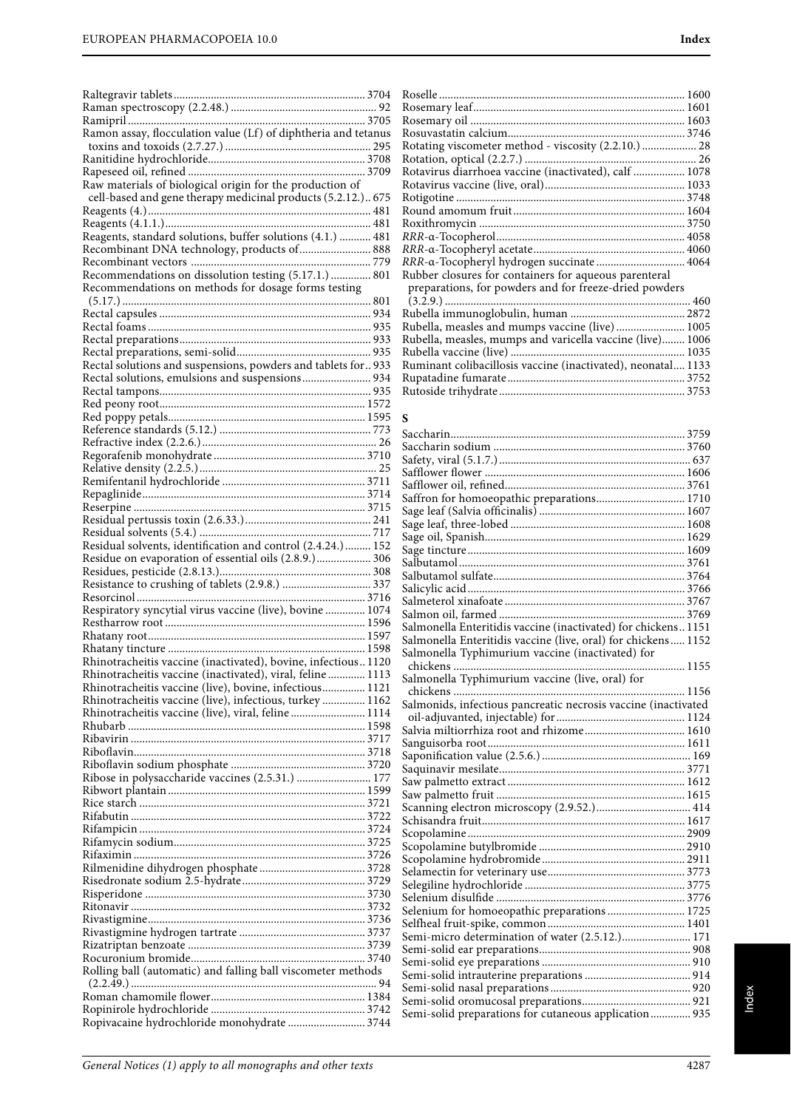|                                                                                                              | Roselle           |
|--------------------------------------------------------------------------------------------------------------|-------------------|
|                                                                                                              | Rosem             |
|                                                                                                              | Rosem             |
| Ramon assay, flocculation value (Lf) of diphtheria and tetanus                                               | Rosuva            |
|                                                                                                              | Rotatii           |
|                                                                                                              | Rotatio           |
|                                                                                                              | <b>Rotavi</b>     |
| Raw materials of biological origin for the production of                                                     | Rotavi            |
| cell-based and gene therapy medicinal products (5.2.12.) 675                                                 | Rotigo            |
|                                                                                                              | Round             |
|                                                                                                              | Roxith            |
| Reagents, standard solutions, buffer solutions (4.1.)  481                                                   | RRR-a             |
| Recombinant DNA technology, products of  888                                                                 | RRR-α             |
|                                                                                                              | RRR-a             |
| Recommendations on dissolution testing (5.17.1.)  801<br>Recommendations on methods for dosage forms testing | Rubbe:            |
|                                                                                                              | prepa<br>(3.2.9)  |
|                                                                                                              | Rubell            |
|                                                                                                              | Rubell            |
|                                                                                                              | Rubell            |
|                                                                                                              | Rubell            |
| Rectal solutions and suspensions, powders and tablets for  933                                               | Rumin             |
| Rectal solutions, emulsions and suspensions 934                                                              | Rupata            |
|                                                                                                              | Rutosi            |
|                                                                                                              |                   |
|                                                                                                              | S                 |
|                                                                                                              | Saccha            |
|                                                                                                              | Saccha            |
|                                                                                                              | Safety,           |
|                                                                                                              | Safflov           |
|                                                                                                              | Safflov           |
|                                                                                                              | Saffror           |
|                                                                                                              | Sage le           |
|                                                                                                              | Sage le           |
|                                                                                                              | Sage of           |
| Residual solvents, identification and control (2.4.24.)  152                                                 | Sage ti           |
| Residue on evaporation of essential oils (2.8.9.) 306                                                        | Salbuta           |
|                                                                                                              | Salbuta           |
|                                                                                                              | Salicyl           |
|                                                                                                              | Salmet            |
| Respiratory syncytial virus vaccine (live), bovine  1074                                                     | Salmor            |
|                                                                                                              | Salmoı            |
|                                                                                                              | Salmoı            |
| Rhinotracheitis vaccine (inactivated), bovine, infectious1120                                                | Salmoi            |
| Rhinotracheitis vaccine (inactivated), viral, feline  1113                                                   |                   |
| Rhinotracheitis vaccine (live), bovine, infectious 1121                                                      | chick             |
|                                                                                                              | Salmoı            |
|                                                                                                              | chick             |
| Rhinotracheitis vaccine (live), infectious, turkey 1162                                                      | Salmoı            |
| Rhinotracheitis vaccine (live), viral, feline  1114                                                          | oil-ac            |
|                                                                                                              | Salvia:           |
|                                                                                                              | Sangui            |
|                                                                                                              | Saponi            |
|                                                                                                              | Saquin            |
| Ribose in polysaccharide vaccines (2.5.31.)  177                                                             | Saw pa            |
|                                                                                                              | Saw pa            |
|                                                                                                              | Scanni<br>Schisaı |
|                                                                                                              |                   |
|                                                                                                              | Scopol            |
|                                                                                                              | Scopol<br>Scopol  |
|                                                                                                              | Selame            |
|                                                                                                              | Selegil           |
|                                                                                                              | Seleniu           |
|                                                                                                              | Seleniu           |
|                                                                                                              | Selfhea           |
|                                                                                                              | Semi-r            |
|                                                                                                              | Semi-s            |
|                                                                                                              | Semi-s            |
| Rolling ball (automatic) and falling ball viscometer methods                                                 | Semi-s            |
|                                                                                                              | Semi-s            |
|                                                                                                              | Semi-s<br>Semi-s  |

| Rotating viscometer method - viscosity (2.2.10.)  28         |  |
|--------------------------------------------------------------|--|
|                                                              |  |
| Rotavirus diarrhoea vaccine (inactivated), calf  1078        |  |
|                                                              |  |
|                                                              |  |
|                                                              |  |
|                                                              |  |
|                                                              |  |
|                                                              |  |
| RRR-a-Tocopheryl hydrogen succinate 4064                     |  |
| Rubber closures for containers for aqueous parenteral        |  |
| preparations, for powders and for freeze-dried powders       |  |
|                                                              |  |
|                                                              |  |
| Rubella, measles and mumps vaccine (live) 1005               |  |
| Rubella, measles, mumps and varicella vaccine (live) 1006    |  |
|                                                              |  |
| Ruminant colibacillosis vaccine (inactivated), neonatal 1133 |  |
|                                                              |  |
|                                                              |  |

## **S**

| Saffron for homoeopathic preparations 1710                     |  |
|----------------------------------------------------------------|--|
|                                                                |  |
|                                                                |  |
|                                                                |  |
|                                                                |  |
|                                                                |  |
|                                                                |  |
|                                                                |  |
|                                                                |  |
|                                                                |  |
| Salmonella Enteritidis vaccine (inactivated) for chickens 1151 |  |
| Salmonella Enteritidis vaccine (live, oral) for chickens 1152  |  |
| Salmonella Typhimurium vaccine (inactivated) for               |  |
|                                                                |  |
| Salmonella Typhimurium vaccine (live, oral) for                |  |
|                                                                |  |
| Salmonids, infectious pancreatic necrosis vaccine (inactivated |  |
|                                                                |  |
| Salvia miltiorrhiza root and rhizome 1610                      |  |
|                                                                |  |
|                                                                |  |
|                                                                |  |
|                                                                |  |
|                                                                |  |
|                                                                |  |
|                                                                |  |
|                                                                |  |
|                                                                |  |
|                                                                |  |
|                                                                |  |
|                                                                |  |
|                                                                |  |
| Selenium for homoeopathic preparations  1725                   |  |
|                                                                |  |
| Semi-micro determination of water (2.5.12.) 171                |  |
|                                                                |  |
|                                                                |  |
|                                                                |  |
|                                                                |  |
|                                                                |  |
| Semi-solid preparations for cutaneous application 935          |  |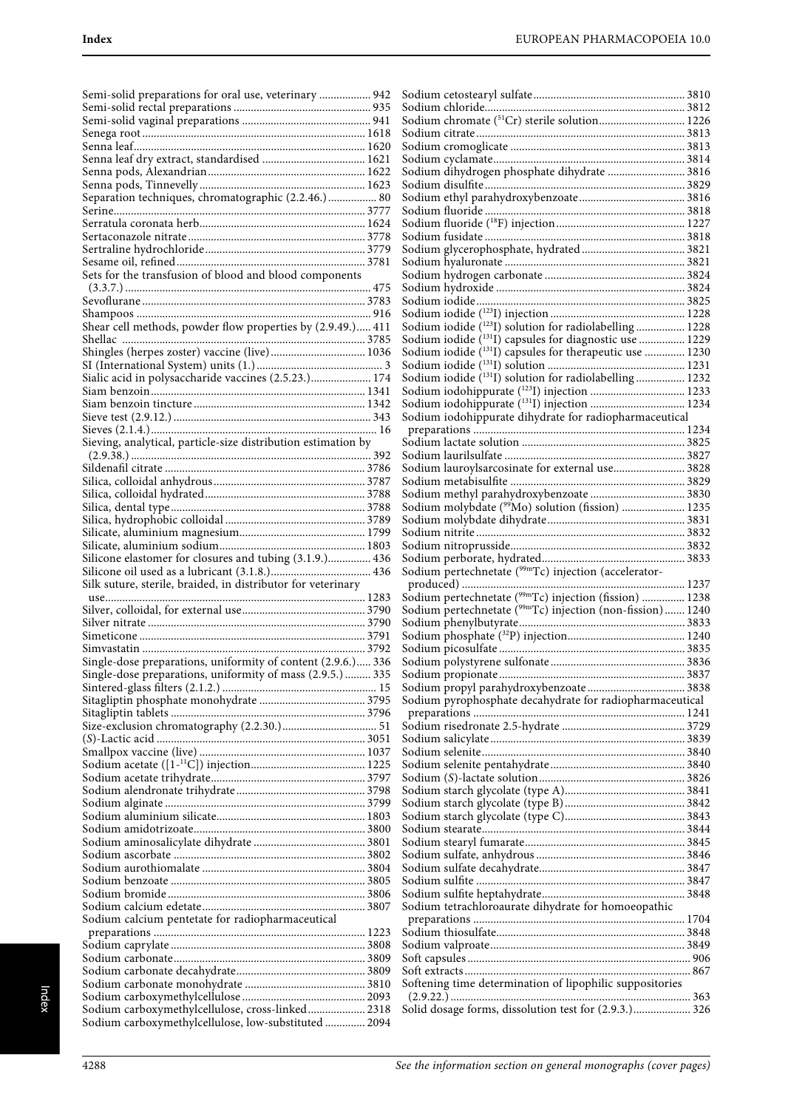| Semi-solid preparations for oral use, veterinary  942                                                    |
|----------------------------------------------------------------------------------------------------------|
|                                                                                                          |
|                                                                                                          |
|                                                                                                          |
|                                                                                                          |
|                                                                                                          |
|                                                                                                          |
|                                                                                                          |
| Separation techniques, chromatographic (2.2.46.) 80                                                      |
|                                                                                                          |
|                                                                                                          |
|                                                                                                          |
|                                                                                                          |
|                                                                                                          |
| Sets for the transfusion of blood and blood components                                                   |
|                                                                                                          |
|                                                                                                          |
|                                                                                                          |
| Shear cell methods, powder flow properties by (2.9.49.) 411                                              |
|                                                                                                          |
| Shingles (herpes zoster) vaccine (live) 1036                                                             |
|                                                                                                          |
|                                                                                                          |
|                                                                                                          |
|                                                                                                          |
|                                                                                                          |
|                                                                                                          |
| Sieving, analytical, particle-size distribution estimation by                                            |
|                                                                                                          |
|                                                                                                          |
|                                                                                                          |
|                                                                                                          |
|                                                                                                          |
|                                                                                                          |
|                                                                                                          |
|                                                                                                          |
|                                                                                                          |
|                                                                                                          |
| Silicone elastomer for closures and tubing (3.1.9.) 436                                                  |
|                                                                                                          |
| Silk suture, sterile, braided, in distributor for veterinary                                             |
|                                                                                                          |
|                                                                                                          |
|                                                                                                          |
|                                                                                                          |
|                                                                                                          |
| Single-dose preparations, uniformity of content (2.9.6.) 336                                             |
| Single-dose preparations, uniformity of mass (2.9.5.)  335                                               |
|                                                                                                          |
|                                                                                                          |
|                                                                                                          |
|                                                                                                          |
|                                                                                                          |
|                                                                                                          |
|                                                                                                          |
|                                                                                                          |
|                                                                                                          |
|                                                                                                          |
|                                                                                                          |
|                                                                                                          |
|                                                                                                          |
|                                                                                                          |
|                                                                                                          |
|                                                                                                          |
|                                                                                                          |
|                                                                                                          |
| Sodium calcium pentetate for radiopharmaceutical                                                         |
|                                                                                                          |
|                                                                                                          |
|                                                                                                          |
|                                                                                                          |
|                                                                                                          |
|                                                                                                          |
| Sodium carboxymethylcellulose, cross-linked 2318<br>Sodium carboxymethylcellulose, low-substituted  2094 |

| Sodium chromate (51Cr) sterile solution 1226                        |  |
|---------------------------------------------------------------------|--|
|                                                                     |  |
|                                                                     |  |
|                                                                     |  |
|                                                                     |  |
| Sodium dihydrogen phosphate dihydrate  3816                         |  |
|                                                                     |  |
|                                                                     |  |
|                                                                     |  |
|                                                                     |  |
|                                                                     |  |
|                                                                     |  |
|                                                                     |  |
|                                                                     |  |
|                                                                     |  |
|                                                                     |  |
|                                                                     |  |
|                                                                     |  |
|                                                                     |  |
|                                                                     |  |
| Sodium iodide (123I) solution for radiolabelling  1228              |  |
|                                                                     |  |
| Sodium iodide ( <sup>131</sup> I) capsules for diagnostic use  1229 |  |
| Sodium iodide (131I) capsules for therapeutic use  1230             |  |
|                                                                     |  |
| Sodium iodide $(131)$ solution for radiolabelling  1232             |  |
|                                                                     |  |
|                                                                     |  |
| Sodium iodohippurate (131I) injection  1234                         |  |
| Sodium iodohippurate dihydrate for radiopharmaceutical              |  |
|                                                                     |  |
|                                                                     |  |
|                                                                     |  |
|                                                                     |  |
| Sodium lauroylsarcosinate for external use 3828                     |  |
|                                                                     |  |
|                                                                     |  |
| Sodium methyl parahydroxybenzoate  3830                             |  |
| Sodium molybdate ( <sup>99</sup> Mo) solution (fission)  1235       |  |
|                                                                     |  |
|                                                                     |  |
|                                                                     |  |
|                                                                     |  |
|                                                                     |  |
|                                                                     |  |
|                                                                     |  |
|                                                                     |  |
|                                                                     |  |
|                                                                     |  |
| Sodium pertechnetate ( <sup>99m</sup> Tc) injection (fission)  1238 |  |
| Sodium pertechnetate (99mTc) injection (non-fission) 1240           |  |
|                                                                     |  |
|                                                                     |  |
|                                                                     |  |
|                                                                     |  |
|                                                                     |  |
|                                                                     |  |
|                                                                     |  |
|                                                                     |  |
| Sodium pyrophosphate decahydrate for radiopharmaceutical            |  |
|                                                                     |  |
|                                                                     |  |
|                                                                     |  |
|                                                                     |  |
|                                                                     |  |
|                                                                     |  |
|                                                                     |  |
|                                                                     |  |
|                                                                     |  |
|                                                                     |  |
|                                                                     |  |
|                                                                     |  |
|                                                                     |  |
|                                                                     |  |
|                                                                     |  |
|                                                                     |  |
|                                                                     |  |
|                                                                     |  |
|                                                                     |  |
| Sodium tetrachloroaurate dihydrate for homoeopathic                 |  |
|                                                                     |  |
|                                                                     |  |
|                                                                     |  |
|                                                                     |  |
|                                                                     |  |
|                                                                     |  |
| Softening time determination of lipophilic suppositories            |  |
|                                                                     |  |
| Solid dosage forms, dissolution test for (2.9.3.) 326               |  |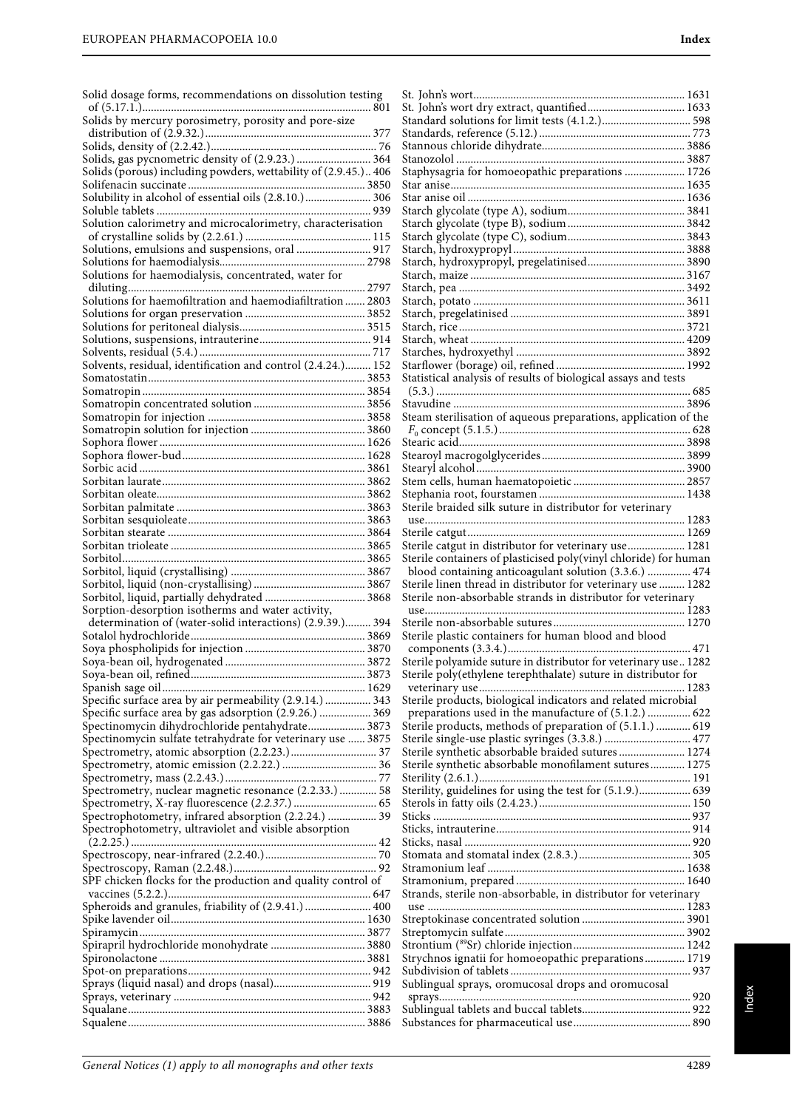| Solid dosage forms, recommendations on dissolution testing                                                     |  |
|----------------------------------------------------------------------------------------------------------------|--|
| Solids by mercury porosimetry, porosity and pore-size                                                          |  |
|                                                                                                                |  |
| Solids, gas pycnometric density of (2.9.23.)  364                                                              |  |
| Solids (porous) including powders, wettability of (2.9.45.) 406                                                |  |
|                                                                                                                |  |
|                                                                                                                |  |
| Solution calorimetry and microcalorimetry, characterisation                                                    |  |
|                                                                                                                |  |
| Solutions, emulsions and suspensions, oral  917                                                                |  |
|                                                                                                                |  |
| Solutions for haemodialysis, concentrated, water for                                                           |  |
|                                                                                                                |  |
| Solutions for haemofiltration and haemodiafiltration  2803                                                     |  |
|                                                                                                                |  |
|                                                                                                                |  |
|                                                                                                                |  |
| Solvents, residual, identification and control (2.4.24.) 152                                                   |  |
|                                                                                                                |  |
|                                                                                                                |  |
|                                                                                                                |  |
|                                                                                                                |  |
|                                                                                                                |  |
|                                                                                                                |  |
|                                                                                                                |  |
|                                                                                                                |  |
|                                                                                                                |  |
|                                                                                                                |  |
|                                                                                                                |  |
|                                                                                                                |  |
|                                                                                                                |  |
|                                                                                                                |  |
|                                                                                                                |  |
|                                                                                                                |  |
| Sorbitol, liquid, partially dehydrated  3868                                                                   |  |
| Sorption-desorption isotherms and water activity,<br>determination of (water-solid interactions) (2.9.39.) 394 |  |
|                                                                                                                |  |
|                                                                                                                |  |
| Soya-bean oil, hydrogenated                                                                                    |  |
|                                                                                                                |  |
|                                                                                                                |  |
| Specific surface area by air permeability (2.9.14.)  343                                                       |  |
| Specific surface area by gas adsorption (2.9.26.)  369<br>Spectinomycin dihydrochloride pentahydrate 3873      |  |
| Spectinomycin sulfate tetrahydrate for veterinary use  3875                                                    |  |
|                                                                                                                |  |
|                                                                                                                |  |
|                                                                                                                |  |
| Spectrometry, nuclear magnetic resonance (2.2.33.)  58                                                         |  |
|                                                                                                                |  |
| Spectrophotometry, infrared absorption (2.2.24.)  39                                                           |  |
| Spectrophotometry, ultraviolet and visible absorption                                                          |  |
|                                                                                                                |  |
|                                                                                                                |  |
| SPF chicken flocks for the production and quality control of                                                   |  |
|                                                                                                                |  |
| Spheroids and granules, friability of (2.9.41.)  400                                                           |  |
|                                                                                                                |  |
|                                                                                                                |  |
| Spirapril hydrochloride monohydrate  3880                                                                      |  |
|                                                                                                                |  |
|                                                                                                                |  |
|                                                                                                                |  |
|                                                                                                                |  |
|                                                                                                                |  |

| Staphysagria for homoeopathic preparations  1726                 |  |
|------------------------------------------------------------------|--|
|                                                                  |  |
|                                                                  |  |
|                                                                  |  |
|                                                                  |  |
|                                                                  |  |
|                                                                  |  |
|                                                                  |  |
|                                                                  |  |
|                                                                  |  |
|                                                                  |  |
|                                                                  |  |
|                                                                  |  |
| Statistical analysis of results of biological assays and tests   |  |
|                                                                  |  |
|                                                                  |  |
| Steam sterilisation of aqueous preparations, application of the  |  |
|                                                                  |  |
|                                                                  |  |
|                                                                  |  |
|                                                                  |  |
|                                                                  |  |
| Sterile braided silk suture in distributor for veterinary        |  |
|                                                                  |  |
| Sterile catgut in distributor for veterinary use 1281            |  |
| Sterile containers of plasticised poly(vinyl chloride) for human |  |
| blood containing anticoagulant solution (3.3.6.)  474            |  |
| Sterile linen thread in distributor for veterinary use  1282     |  |
| Sterile non-absorbable strands in distributor for veterinary     |  |
|                                                                  |  |
| Sterile plastic containers for human blood and blood             |  |
|                                                                  |  |
| Sterile polyamide suture in distributor for veterinary use 1282  |  |
| Sterile poly(ethylene terephthalate) suture in distributor for   |  |
| Sterile products, biological indicators and related microbial    |  |
| preparations used in the manufacture of (5.1.2.)  622            |  |
| Sterile products, methods of preparation of (5.1.1.)  619        |  |
| Sterile single-use plastic syringes (3.3.8.)  477                |  |
| Sterile synthetic absorbable braided sutures 1274                |  |
| Sterile synthetic absorbable monofilament sutures 1275           |  |
| Sterility, guidelines for using the test for (5.1.9.) 639        |  |
|                                                                  |  |
|                                                                  |  |
|                                                                  |  |
|                                                                  |  |
|                                                                  |  |
|                                                                  |  |
| Strands, sterile non-absorbable, in distributor for veterinary   |  |
|                                                                  |  |
|                                                                  |  |
|                                                                  |  |
| Strychnos ignatii for homoeopathic preparations 1719             |  |
|                                                                  |  |
| Sublingual sprays, oromucosal drops and oromucosal               |  |
|                                                                  |  |
|                                                                  |  |
|                                                                  |  |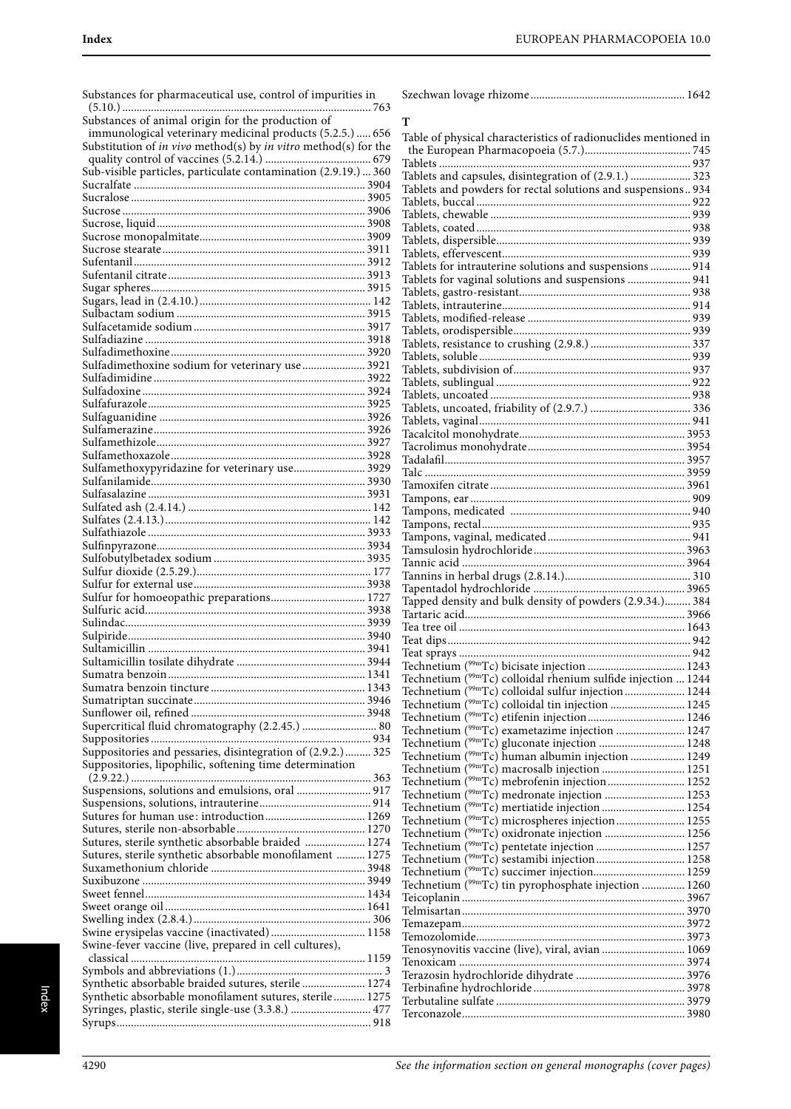| Substances for pharmaceutical use, control of impurities in     |                                                                           |  |
|-----------------------------------------------------------------|---------------------------------------------------------------------------|--|
| Substances of animal origin for the production of               |                                                                           |  |
| immunological veterinary medicinal products (5.2.5.)  656       | т                                                                         |  |
| Substitution of in vivo method(s) by in vitro method(s) for the | Table of physical characteristics of radionuclides mentioned in           |  |
|                                                                 |                                                                           |  |
| Sub-visible particles, particulate contamination (2.9.19.)  360 | Tablets and capsules, disintegration of (2.9.1.)  323                     |  |
|                                                                 | Tablets and powders for rectal solutions and suspensions 934              |  |
|                                                                 |                                                                           |  |
|                                                                 |                                                                           |  |
|                                                                 |                                                                           |  |
|                                                                 |                                                                           |  |
|                                                                 |                                                                           |  |
|                                                                 | Tablets for intrauterine solutions and suspensions  914                   |  |
|                                                                 | Tablets for vaginal solutions and suspensions  941                        |  |
|                                                                 |                                                                           |  |
|                                                                 |                                                                           |  |
|                                                                 |                                                                           |  |
|                                                                 |                                                                           |  |
|                                                                 |                                                                           |  |
| Sulfadimethoxine sodium for veterinary use  3921                |                                                                           |  |
|                                                                 |                                                                           |  |
|                                                                 |                                                                           |  |
|                                                                 |                                                                           |  |
|                                                                 |                                                                           |  |
|                                                                 |                                                                           |  |
|                                                                 |                                                                           |  |
|                                                                 |                                                                           |  |
| Sulfamethoxypyridazine for veterinary use 3929                  |                                                                           |  |
|                                                                 |                                                                           |  |
|                                                                 |                                                                           |  |
|                                                                 |                                                                           |  |
|                                                                 |                                                                           |  |
|                                                                 |                                                                           |  |
|                                                                 |                                                                           |  |
|                                                                 |                                                                           |  |
|                                                                 |                                                                           |  |
| Sulfur for homoeopathic preparations 1727                       |                                                                           |  |
|                                                                 | Tapped density and bulk density of powders (2.9.34.) 384                  |  |
|                                                                 |                                                                           |  |
|                                                                 |                                                                           |  |
|                                                                 |                                                                           |  |
|                                                                 |                                                                           |  |
|                                                                 | Technetium ( <sup>99m</sup> Tc) colloidal rhenium sulfide injection  1244 |  |
|                                                                 | Technetium (99mTc) colloidal sulfur injection  1244                       |  |
|                                                                 |                                                                           |  |
|                                                                 |                                                                           |  |
| Supercritical fluid chromatography (2.2.45.)  80                | Technetium ( <sup>99m</sup> Tc) exametazime injection  1247               |  |
|                                                                 |                                                                           |  |
| Suppositories and pessaries, disintegration of (2.9.2.) 325     | Technetium (99mTc) human albumin injection  1249                          |  |
| Suppositories, lipophilic, softening time determination         |                                                                           |  |
|                                                                 |                                                                           |  |
| Suspensions, solutions and emulsions, oral  917                 | Technetium (99mTc) medronate injection  1253                              |  |
|                                                                 | Technetium ( <sup>99m</sup> Tc) mertiatide injection  1254                |  |
|                                                                 |                                                                           |  |
| Sutures, sterile synthetic absorbable braided  1274             | Technetium (99mTc) oxidronate injection  1256                             |  |
| Sutures, sterile synthetic absorbable monofilament  1275        |                                                                           |  |
|                                                                 |                                                                           |  |
|                                                                 | Technetium (99mTc) succimer injection 1259                                |  |
|                                                                 | Technetium ( <sup>99m</sup> Tc) tin pyrophosphate injection  1260         |  |
|                                                                 |                                                                           |  |
|                                                                 |                                                                           |  |
| Swine erysipelas vaccine (inactivated) 1158                     |                                                                           |  |
| Swine-fever vaccine (live, prepared in cell cultures),          | Tenosynovitis vaccine (live), viral, avian  1069                          |  |
|                                                                 |                                                                           |  |
|                                                                 |                                                                           |  |
| Synthetic absorbable braided sutures, sterile  1274             |                                                                           |  |
| Synthetic absorbable monofilament sutures, sterile 1275         |                                                                           |  |
| Syringes, plastic, sterile single-use (3.3.8.)  477             |                                                                           |  |
|                                                                 |                                                                           |  |

| т                                                                                                                        |  |
|--------------------------------------------------------------------------------------------------------------------------|--|
| Table of physical characteristics of radionuclides mentioned in                                                          |  |
|                                                                                                                          |  |
|                                                                                                                          |  |
| Tablets and capsules, disintegration of (2.9.1.)  323                                                                    |  |
| Tablets and powders for rectal solutions and suspensions 934                                                             |  |
|                                                                                                                          |  |
|                                                                                                                          |  |
|                                                                                                                          |  |
|                                                                                                                          |  |
| Tablets for intrauterine solutions and suspensions  914                                                                  |  |
| Tablets for vaginal solutions and suspensions  941                                                                       |  |
|                                                                                                                          |  |
|                                                                                                                          |  |
|                                                                                                                          |  |
|                                                                                                                          |  |
|                                                                                                                          |  |
|                                                                                                                          |  |
|                                                                                                                          |  |
|                                                                                                                          |  |
|                                                                                                                          |  |
|                                                                                                                          |  |
|                                                                                                                          |  |
|                                                                                                                          |  |
|                                                                                                                          |  |
|                                                                                                                          |  |
|                                                                                                                          |  |
|                                                                                                                          |  |
|                                                                                                                          |  |
|                                                                                                                          |  |
|                                                                                                                          |  |
|                                                                                                                          |  |
|                                                                                                                          |  |
|                                                                                                                          |  |
|                                                                                                                          |  |
|                                                                                                                          |  |
|                                                                                                                          |  |
|                                                                                                                          |  |
|                                                                                                                          |  |
| Technetium ( <sup>99m</sup> Tc) colloidal rhenium sulfide injection  1244                                                |  |
| Technetium ( <sup>99m</sup> Tc) colloidal sulfur injection 1244                                                          |  |
| Technetium ( <sup>99m</sup> Tc) colloidal tin injection  1245                                                            |  |
|                                                                                                                          |  |
| Technetium ( <sup>99m</sup> Tc) exametazime injection  1247<br>Technetium ( <sup>99m</sup> Tc) gluconate injection  1248 |  |
| Technetium ( <sup>99m</sup> Tc) human albumin injection  1249                                                            |  |
| Technetium ( <sup>99m</sup> Tc) macrosalb injection  1251                                                                |  |
| Technetium ( <sup>99m</sup> Tc) mebrofenin injection 1252                                                                |  |
| Technetium ( <sup>99m</sup> Tc) medronate injection  1253                                                                |  |
| Technetium ( <sup>99m</sup> Tc) mertiatide injection  1254                                                               |  |
| Technetium ( <sup>99m</sup> Tc) microspheres injection 1255                                                              |  |
| Technetium ( <sup>99m</sup> Tc) oxidronate injection  1256                                                               |  |
|                                                                                                                          |  |
| Technetium ( <sup>99m</sup> Tc) succimer injection 1259                                                                  |  |
| Technetium ( <sup>99m</sup> Tc) tin pyrophosphate injection  1260                                                        |  |
|                                                                                                                          |  |
|                                                                                                                          |  |
|                                                                                                                          |  |
|                                                                                                                          |  |
| Tenosynovitis vaccine (live), viral, avian  1069                                                                         |  |
|                                                                                                                          |  |
|                                                                                                                          |  |
|                                                                                                                          |  |
|                                                                                                                          |  |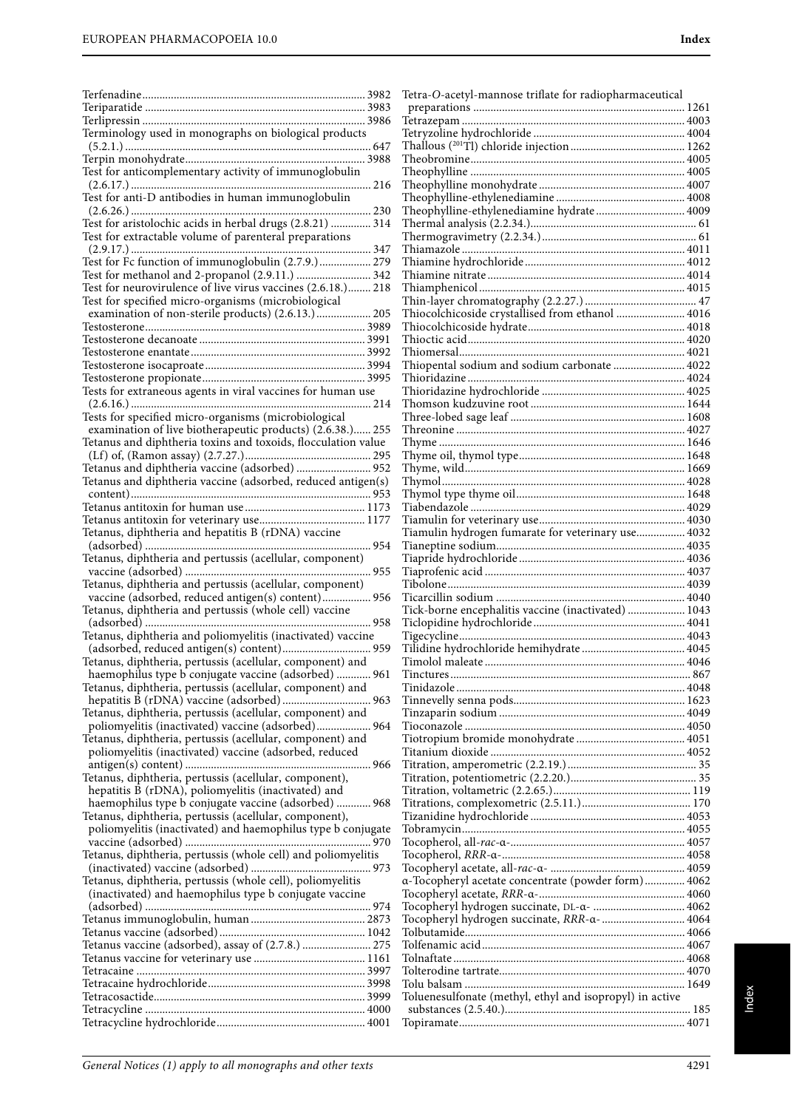|                                                                                                               | Tetra-O-acetyl-mannose triflate for radiopharmaceutical  |  |
|---------------------------------------------------------------------------------------------------------------|----------------------------------------------------------|--|
|                                                                                                               |                                                          |  |
|                                                                                                               |                                                          |  |
| Terminology used in monographs on biological products                                                         |                                                          |  |
|                                                                                                               |                                                          |  |
|                                                                                                               |                                                          |  |
| Test for anticomplementary activity of immunoglobulin                                                         |                                                          |  |
| Test for anti-D antibodies in human immunoglobulin                                                            |                                                          |  |
|                                                                                                               | Theophylline-ethylenediamine hydrate 4009                |  |
| Test for aristolochic acids in herbal drugs (2.8.21)  314                                                     |                                                          |  |
| Test for extractable volume of parenteral preparations                                                        |                                                          |  |
|                                                                                                               |                                                          |  |
| Test for Fc function of immunoglobulin (2.7.9.) 279                                                           |                                                          |  |
| Test for methanol and 2-propanol (2.9.11.)  342                                                               |                                                          |  |
| Test for neurovirulence of live virus vaccines (2.6.18.) 218                                                  |                                                          |  |
| Test for specified micro-organisms (microbiological                                                           |                                                          |  |
| examination of non-sterile products) (2.6.13.) 205                                                            | Thiocolchicoside crystallised from ethanol  4016         |  |
|                                                                                                               |                                                          |  |
|                                                                                                               |                                                          |  |
|                                                                                                               | Thiopental sodium and sodium carbonate  4022             |  |
|                                                                                                               |                                                          |  |
| Tests for extraneous agents in viral vaccines for human use                                                   |                                                          |  |
|                                                                                                               |                                                          |  |
| Tests for specified micro-organisms (microbiological                                                          |                                                          |  |
| examination of live biotherapeutic products) (2.6.38.) 255                                                    |                                                          |  |
| Tetanus and diphtheria toxins and toxoids, flocculation value                                                 |                                                          |  |
|                                                                                                               |                                                          |  |
| Tetanus and diphtheria vaccine (adsorbed)  952                                                                |                                                          |  |
| Tetanus and diphtheria vaccine (adsorbed, reduced antigen(s)                                                  |                                                          |  |
|                                                                                                               |                                                          |  |
|                                                                                                               |                                                          |  |
|                                                                                                               |                                                          |  |
| Tetanus, diphtheria and hepatitis B (rDNA) vaccine                                                            | Tiamulin hydrogen fumarate for veterinary use 4032       |  |
|                                                                                                               |                                                          |  |
| Tetanus, diphtheria and pertussis (acellular, component)                                                      |                                                          |  |
|                                                                                                               |                                                          |  |
| Tetanus, diphtheria and pertussis (acellular, component)                                                      |                                                          |  |
| Tetanus, diphtheria and pertussis (whole cell) vaccine                                                        | Tick-borne encephalitis vaccine (inactivated)  1043      |  |
|                                                                                                               |                                                          |  |
| Tetanus, diphtheria and poliomyelitis (inactivated) vaccine                                                   |                                                          |  |
|                                                                                                               |                                                          |  |
| Tetanus, diphtheria, pertussis (acellular, component) and                                                     |                                                          |  |
| haemophilus type b conjugate vaccine (adsorbed)  961                                                          |                                                          |  |
| Tetanus, diphtheria, pertussis (acellular, component) and                                                     |                                                          |  |
|                                                                                                               |                                                          |  |
| Tetanus, diphtheria, pertussis (acellular, component) and                                                     |                                                          |  |
| poliomyelitis (inactivated) vaccine (adsorbed) 964                                                            |                                                          |  |
| Tetanus, diphtheria, pertussis (acellular, component) and                                                     |                                                          |  |
| poliomyelitis (inactivated) vaccine (adsorbed, reduced                                                        |                                                          |  |
|                                                                                                               |                                                          |  |
| Tetanus, diphtheria, pertussis (acellular, component),<br>hepatitis B (rDNA), poliomyelitis (inactivated) and |                                                          |  |
| haemophilus type b conjugate vaccine (adsorbed)  968                                                          |                                                          |  |
| Tetanus, diphtheria, pertussis (acellular, component),                                                        |                                                          |  |
| poliomyelitis (inactivated) and haemophilus type b conjugate                                                  |                                                          |  |
|                                                                                                               |                                                          |  |
| Tetanus, diphtheria, pertussis (whole cell) and poliomyelitis                                                 |                                                          |  |
|                                                                                                               |                                                          |  |
| Tetanus, diphtheria, pertussis (whole cell), poliomyelitis                                                    | a-Tocopheryl acetate concentrate (powder form) 4062      |  |
| (inactivated) and haemophilus type b conjugate vaccine                                                        |                                                          |  |
|                                                                                                               | Tocopheryl hydrogen succinate, DL-a-  4062               |  |
|                                                                                                               | Tocopheryl hydrogen succinate, RRR-a- 4064               |  |
|                                                                                                               |                                                          |  |
| Tetanus vaccine (adsorbed), assay of (2.7.8.)  275                                                            |                                                          |  |
|                                                                                                               |                                                          |  |
|                                                                                                               |                                                          |  |
|                                                                                                               | Toluenesulfonate (methyl, ethyl and isopropyl) in active |  |
|                                                                                                               |                                                          |  |
|                                                                                                               |                                                          |  |
|                                                                                                               |                                                          |  |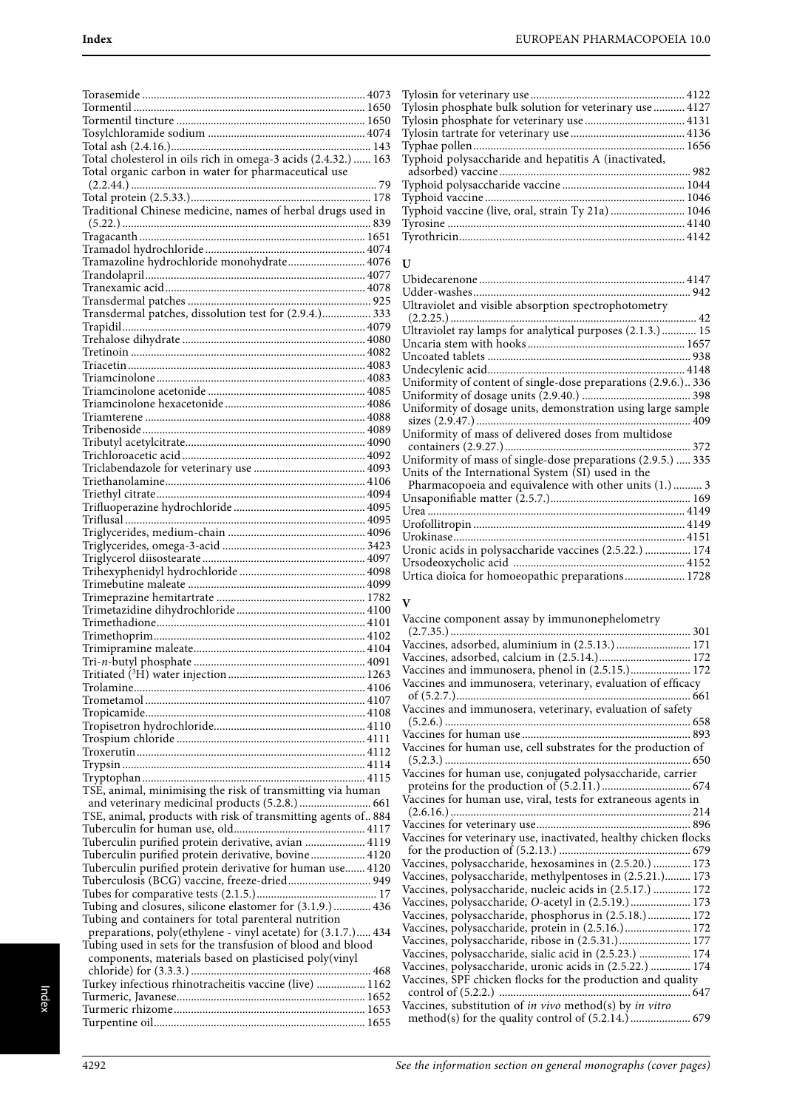| Total cholesterol in oils rich in omega-3 acids (2.4.32.)  163 |  |
|----------------------------------------------------------------|--|
| Total organic carbon in water for pharmaceutical use           |  |
|                                                                |  |
|                                                                |  |
| Traditional Chinese medicine, names of herbal drugs used in    |  |
|                                                                |  |
|                                                                |  |
|                                                                |  |
| Tramazoline hydrochloride monohydrate 4076                     |  |
|                                                                |  |
|                                                                |  |
|                                                                |  |
|                                                                |  |
|                                                                |  |
|                                                                |  |
|                                                                |  |
|                                                                |  |
|                                                                |  |
|                                                                |  |
|                                                                |  |
|                                                                |  |
|                                                                |  |
|                                                                |  |
|                                                                |  |
|                                                                |  |
|                                                                |  |
|                                                                |  |
|                                                                |  |
|                                                                |  |
|                                                                |  |
|                                                                |  |
|                                                                |  |
|                                                                |  |
|                                                                |  |
|                                                                |  |
|                                                                |  |
|                                                                |  |
|                                                                |  |
|                                                                |  |
|                                                                |  |
|                                                                |  |
|                                                                |  |
|                                                                |  |
|                                                                |  |
|                                                                |  |
|                                                                |  |
|                                                                |  |
| TSE, animal, minimising the risk of transmitting via human     |  |
| and veterinary medicinal products (5.2.8.)  661                |  |
| TSE, animal, products with risk of transmitting agents of. 884 |  |
|                                                                |  |
| Tuberculin purified protein derivative, avian  4119            |  |
| Tuberculin purified protein derivative, bovine 4120            |  |
| Tuberculin purified protein derivative for human use 4120      |  |
| Tuberculosis (BCG) vaccine, freeze-dried 949                   |  |
|                                                                |  |
| Tubing and closures, silicone elastomer for (3.1.9.)  436      |  |
| Tubing and containers for total parenteral nutrition           |  |
| preparations, poly(ethylene - vinyl acetate) for (3.1.7.) 434  |  |
| Tubing used in sets for the transfusion of blood and blood     |  |
| components, materials based on plasticised poly(vinyl          |  |
|                                                                |  |
| Turkey infectious rhinotracheitis vaccine (live)  1162         |  |
|                                                                |  |
|                                                                |  |
|                                                                |  |

| Tylosin phosphate bulk solution for veterinary use  4127 |  |
|----------------------------------------------------------|--|
|                                                          |  |
|                                                          |  |
|                                                          |  |
| Typhoid polysaccharide and hepatitis A (inactivated,     |  |
|                                                          |  |
|                                                          |  |
|                                                          |  |
| Typhoid vaccine (live, oral, strain Ty 21a)  1046        |  |
|                                                          |  |
|                                                          |  |
|                                                          |  |

## **U**

| Ultraviolet and visible absorption spectrophotometry           |
|----------------------------------------------------------------|
|                                                                |
| Ultraviolet ray lamps for analytical purposes (2.1.3.)  15     |
|                                                                |
|                                                                |
|                                                                |
| Uniformity of content of single-dose preparations (2.9.6.) 336 |
|                                                                |
| Uniformity of dosage units, demonstration using large sample   |
|                                                                |
| Uniformity of mass of delivered doses from multidose           |
|                                                                |
| Uniformity of mass of single-dose preparations (2.9.5.)  335   |
| Units of the International System (SI) used in the             |
| Pharmacopoeia and equivalence with other units (1.)  3         |
|                                                                |
|                                                                |
|                                                                |
|                                                                |
| Uronic acids in polysaccharide vaccines (2.5.22.)  174         |
|                                                                |
| Urtica dioica for homoeopathic preparations 1728               |

## **V**

| Vaccine component assay by immunonephelometry                    |  |
|------------------------------------------------------------------|--|
|                                                                  |  |
| Vaccines, adsorbed, aluminium in (2.5.13.)  171                  |  |
|                                                                  |  |
| Vaccines and immunosera, phenol in (2.5.15.) 172                 |  |
| Vaccines and immunosera, veterinary, evaluation of efficacy      |  |
| Vaccines and immunosera, veterinary, evaluation of safety        |  |
|                                                                  |  |
|                                                                  |  |
|                                                                  |  |
| Vaccines for human use, cell substrates for the production of    |  |
|                                                                  |  |
| Vaccines for human use, conjugated polysaccharide, carrier       |  |
|                                                                  |  |
| Vaccines for human use, viral, tests for extraneous agents in    |  |
|                                                                  |  |
|                                                                  |  |
| Vaccines for veterinary use, inactivated, healthy chicken flocks |  |
|                                                                  |  |
| Vaccines, polysaccharide, hexosamines in (2.5.20.)  173          |  |
| Vaccines, polysaccharide, methylpentoses in (2.5.21.) 173        |  |
| Vaccines, polysaccharide, nucleic acids in (2.5.17.)  172        |  |
| Vaccines, polysaccharide, O-acetyl in (2.5.19.) 173              |  |
| Vaccines, polysaccharide, phosphorus in (2.5.18.) 172            |  |
| Vaccines, polysaccharide, protein in (2.5.16.) 172               |  |
| Vaccines, polysaccharide, ribose in (2.5.31.) 177                |  |
| Vaccines, polysaccharide, sialic acid in (2.5.23.)  174          |  |
| Vaccines, polysaccharide, uronic acids in (2.5.22.)  174         |  |
| Vaccines, SPF chicken flocks for the production and quality      |  |
|                                                                  |  |
| Vaccines, substitution of in vivo method(s) by in vitro          |  |
|                                                                  |  |
|                                                                  |  |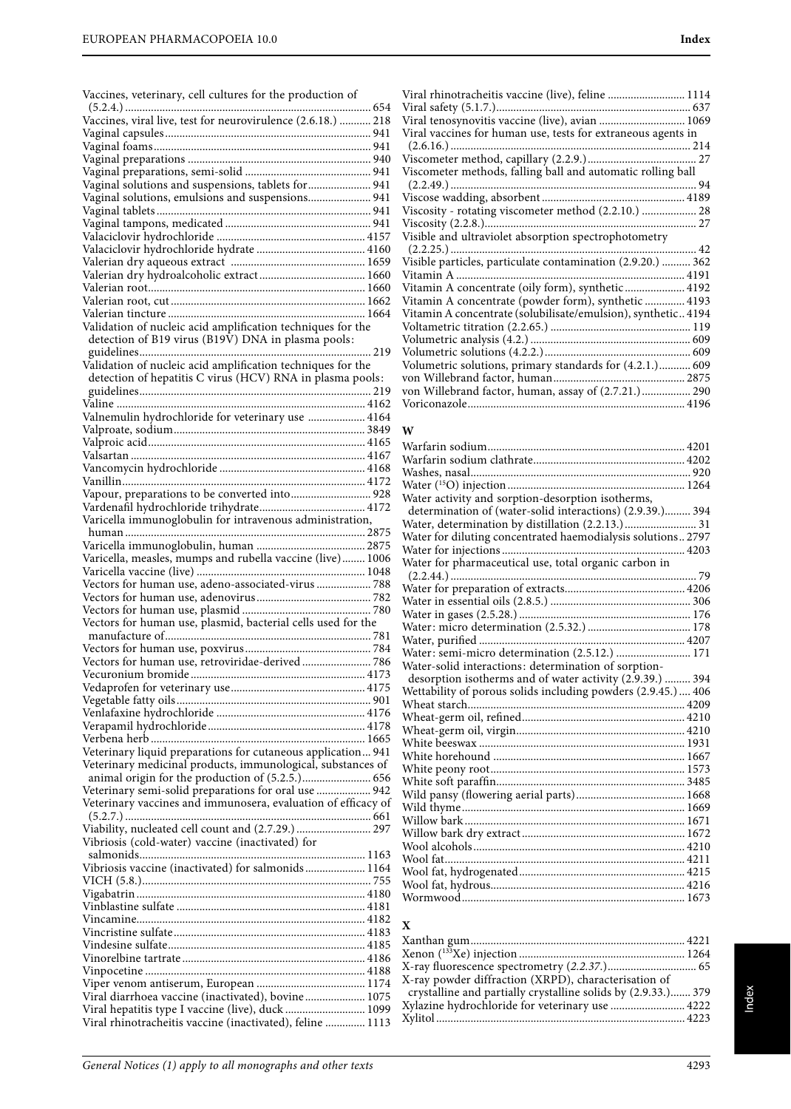|  |  |  | Vaccines, veterinary, cell cultures for the production of |  |
|--|--|--|-----------------------------------------------------------|--|
|  |  |  |                                                           |  |

| Vaccines, viral live, test for neurovirulence (2.6.18.)  218                                                   |
|----------------------------------------------------------------------------------------------------------------|
|                                                                                                                |
|                                                                                                                |
|                                                                                                                |
|                                                                                                                |
| Vaginal solutions and suspensions, tablets for  941                                                            |
|                                                                                                                |
| Vaginal solutions, emulsions and suspensions 941                                                               |
|                                                                                                                |
|                                                                                                                |
|                                                                                                                |
|                                                                                                                |
|                                                                                                                |
|                                                                                                                |
|                                                                                                                |
|                                                                                                                |
|                                                                                                                |
| Validation of nucleic acid amplification techniques for the                                                    |
| detection of B19 virus (B19V) DNA in plasma pools:                                                             |
|                                                                                                                |
|                                                                                                                |
| Validation of nucleic acid amplification techniques for the                                                    |
| detection of hepatitis C virus (HCV) RNA in plasma pools:                                                      |
|                                                                                                                |
|                                                                                                                |
| Valnemulin hydrochloride for veterinary use  4164                                                              |
|                                                                                                                |
|                                                                                                                |
|                                                                                                                |
|                                                                                                                |
|                                                                                                                |
|                                                                                                                |
| Vapour, preparations to be converted into 928                                                                  |
|                                                                                                                |
| Varicella immunoglobulin for intravenous administration,                                                       |
|                                                                                                                |
|                                                                                                                |
|                                                                                                                |
| Varicella, measles, mumps and rubella vaccine (live)  1006                                                     |
|                                                                                                                |
|                                                                                                                |
| Vectors for human use, adeno-associated-virus  788                                                             |
|                                                                                                                |
|                                                                                                                |
| Vectors for human use, plasmid, bacterial cells used for the                                                   |
|                                                                                                                |
|                                                                                                                |
| Vectors for human use, retroviridae-derived 786                                                                |
|                                                                                                                |
|                                                                                                                |
|                                                                                                                |
|                                                                                                                |
|                                                                                                                |
|                                                                                                                |
| Veterinary liquid preparations for cutaneous application 941                                                   |
|                                                                                                                |
| Veterinary medicinal products, immunological, substances of                                                    |
|                                                                                                                |
| Veterinary semi-solid preparations for oral use  942                                                           |
| Veterinary vaccines and immunosera, evaluation of efficacy of                                                  |
|                                                                                                                |
| Viability, nucleated cell count and (2.7.29.)  297                                                             |
| Vibriosis (cold-water) vaccine (inactivated) for                                                               |
|                                                                                                                |
| Vibriosis vaccine (inactivated) for salmonids  1164                                                            |
|                                                                                                                |
|                                                                                                                |
|                                                                                                                |
|                                                                                                                |
|                                                                                                                |
|                                                                                                                |
|                                                                                                                |
|                                                                                                                |
|                                                                                                                |
|                                                                                                                |
| Viral diarrhoea vaccine (inactivated), bovine 1075                                                             |
| Viral hepatitis type I vaccine (live), duck  1099<br>Viral rhinotracheitis vaccine (inactivated), feline  1113 |

| Viral rhinotracheitis vaccine (live), feline  1114           |  |
|--------------------------------------------------------------|--|
|                                                              |  |
| Viral tenosynovitis vaccine (live), avian  1069              |  |
| Viral vaccines for human use, tests for extraneous agents in |  |
|                                                              |  |
|                                                              |  |
| Viscometer methods, falling ball and automatic rolling ball  |  |
|                                                              |  |
|                                                              |  |
| Viscosity - rotating viscometer method (2.2.10.)  28         |  |
|                                                              |  |
| Visible and ultraviolet absorption spectrophotometry         |  |
|                                                              |  |
| Visible particles, particulate contamination (2.9.20.)  362  |  |
|                                                              |  |
| Vitamin A concentrate (oily form), synthetic 4192            |  |
|                                                              |  |
| Vitamin A concentrate (powder form), synthetic  4193         |  |
| Vitamin A concentrate (solubilisate/emulsion), synthetic4194 |  |
|                                                              |  |
|                                                              |  |
|                                                              |  |
| Volumetric solutions, primary standards for (4.2.1.) 609     |  |
|                                                              |  |
| von Willebrand factor, human, assay of (2.7.21.) 290         |  |
|                                                              |  |

#### **W**

| Water activity and sorption-desorption isotherms,             |  |
|---------------------------------------------------------------|--|
| determination of (water-solid interactions) (2.9.39.) 394     |  |
| Water, determination by distillation (2.2.13.) 31             |  |
| Water for diluting concentrated haemodialysis solutions 2797  |  |
|                                                               |  |
| Water for pharmaceutical use, total organic carbon in         |  |
|                                                               |  |
|                                                               |  |
|                                                               |  |
|                                                               |  |
|                                                               |  |
| Water: semi-micro determination (2.5.12.)  171                |  |
| Water-solid interactions: determination of sorption-          |  |
| desorption isotherms and of water activity (2.9.39.)  394     |  |
| Wettability of porous solids including powders (2.9.45.)  406 |  |
|                                                               |  |
|                                                               |  |
|                                                               |  |
|                                                               |  |
|                                                               |  |
|                                                               |  |
|                                                               |  |
|                                                               |  |
|                                                               |  |
|                                                               |  |
|                                                               |  |
|                                                               |  |
|                                                               |  |
|                                                               |  |
|                                                               |  |
|                                                               |  |
|                                                               |  |

| $\mathbf{x}$                                                  |  |
|---------------------------------------------------------------|--|
|                                                               |  |
|                                                               |  |
|                                                               |  |
| X-ray powder diffraction (XRPD), characterisation of          |  |
| crystalline and partially crystalline solids by (2.9.33.) 379 |  |
| Xylazine hydrochloride for veterinary use  4222               |  |
|                                                               |  |